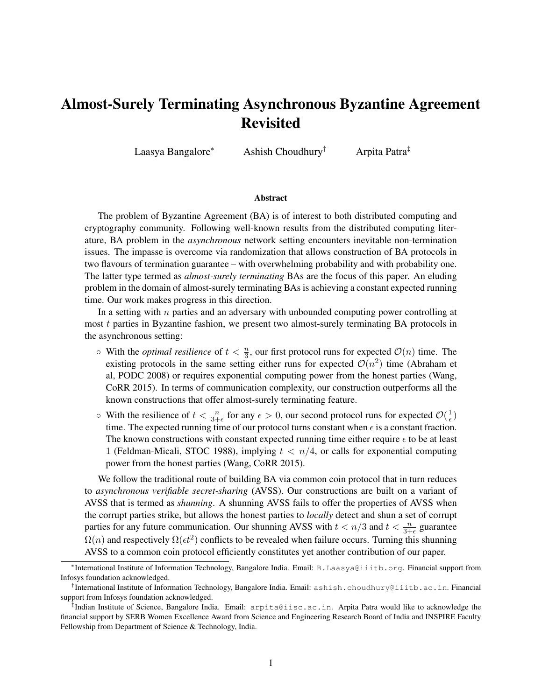# Almost-Surely Terminating Asynchronous Byzantine Agreement Revisited

Laasya Bangalore<sup>∗</sup> Ashish Choudhury† Arpita Patra‡

#### Abstract

The problem of Byzantine Agreement (BA) is of interest to both distributed computing and cryptography community. Following well-known results from the distributed computing literature, BA problem in the *asynchronous* network setting encounters inevitable non-termination issues. The impasse is overcome via randomization that allows construction of BA protocols in two flavours of termination guarantee – with overwhelming probability and with probability one. The latter type termed as *almost-surely terminating* BAs are the focus of this paper. An eluding problem in the domain of almost-surely terminating BAs is achieving a constant expected running time. Our work makes progress in this direction.

In a setting with  $n$  parties and an adversary with unbounded computing power controlling at most  $t$  parties in Byzantine fashion, we present two almost-surely terminating BA protocols in the asynchronous setting:

- $\circ$  With the *optimal resilience* of  $t < \frac{n}{3}$ , our first protocol runs for expected  $\mathcal{O}(n)$  time. The existing protocols in the same setting either runs for expected  $\mathcal{O}(n^2)$  time (Abraham et al, PODC 2008) or requires exponential computing power from the honest parties (Wang, CoRR 2015). In terms of communication complexity, our construction outperforms all the known constructions that offer almost-surely terminating feature.
- $\circ$  With the resilience of  $t < \frac{n}{3+\epsilon}$  for any  $\epsilon > 0$ , our second protocol runs for expected  $\mathcal{O}(\frac{1}{\epsilon})$  $(\frac{1}{\epsilon})$ time. The expected running time of our protocol turns constant when  $\epsilon$  is a constant fraction. The known constructions with constant expected running time either require  $\epsilon$  to be at least 1 (Feldman-Micali, STOC 1988), implying  $t < n/4$ , or calls for exponential computing power from the honest parties (Wang, CoRR 2015).

We follow the traditional route of building BA via common coin protocol that in turn reduces to *asynchronous verifiable secret-sharing* (AVSS). Our constructions are built on a variant of AVSS that is termed as *shunning*. A shunning AVSS fails to offer the properties of AVSS when the corrupt parties strike, but allows the honest parties to *locally* detect and shun a set of corrupt parties for any future communication. Our shunning AVSS with  $t < n/3$  and  $t < \frac{n}{3+\epsilon}$  guarantee  $\Omega(n)$  and respectively  $\Omega(\epsilon t^2)$  conflicts to be revealed when failure occurs. Turning this shunning AVSS to a common coin protocol efficiently constitutes yet another contribution of our paper.

<sup>∗</sup> International Institute of Information Technology, Bangalore India. Email: B.Laasya@iiitb.org. Financial support from Infosys foundation acknowledged.

<sup>†</sup> International Institute of Information Technology, Bangalore India. Email: ashish.choudhury@iiitb.ac.in. Financial support from Infosys foundation acknowledged.

<sup>‡</sup> Indian Institute of Science, Bangalore India. Email: arpita@iisc.ac.in. Arpita Patra would like to acknowledge the financial support by SERB Women Excellence Award from Science and Engineering Research Board of India and INSPIRE Faculty Fellowship from Department of Science & Technology, India.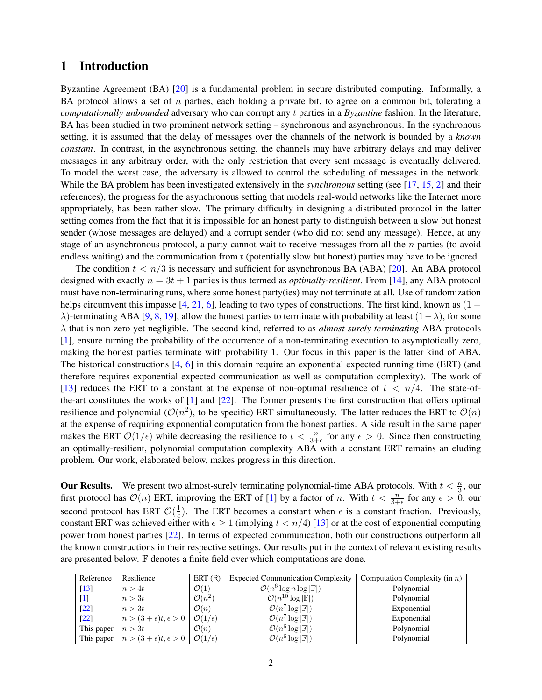# 1 Introduction

Byzantine Agreement (BA) [\[20\]](#page-34-0) is a fundamental problem in secure distributed computing. Informally, a BA protocol allows a set of  $n$  parties, each holding a private bit, to agree on a common bit, tolerating a *computationally unbounded* adversary who can corrupt any t parties in a *Byzantine* fashion. In the literature, BA has been studied in two prominent network setting – synchronous and asynchronous. In the synchronous setting, it is assumed that the delay of messages over the channels of the network is bounded by a *known constant*. In contrast, in the asynchronous setting, the channels may have arbitrary delays and may deliver messages in any arbitrary order, with the only restriction that every sent message is eventually delivered. To model the worst case, the adversary is allowed to control the scheduling of messages in the network. While the BA problem has been investigated extensively in the *synchronous* setting (see [\[17,](#page-33-0) [15,](#page-33-1) [2\]](#page-33-2) and their references), the progress for the asynchronous setting that models real-world networks like the Internet more appropriately, has been rather slow. The primary difficulty in designing a distributed protocol in the latter setting comes from the fact that it is impossible for an honest party to distinguish between a slow but honest sender (whose messages are delayed) and a corrupt sender (who did not send any message). Hence, at any stage of an asynchronous protocol, a party cannot wait to receive messages from all the  $n$  parties (to avoid endless waiting) and the communication from t (potentially slow but honest) parties may have to be ignored.

The condition  $t < n/3$  is necessary and sufficient for asynchronous BA (ABA) [\[20\]](#page-34-0). An ABA protocol designed with exactly  $n = 3t + 1$  parties is thus termed as *optimally-resilient*. From [\[14\]](#page-33-3), any ABA protocol must have non-terminating runs, where some honest party(ies) may not terminate at all. Use of randomization helps circumvent this impasse  $[4, 21, 6]$  $[4, 21, 6]$  $[4, 21, 6]$  $[4, 21, 6]$  $[4, 21, 6]$ , leading to two types of constructions. The first kind, known as  $(1 \lambda$ )-terminating ABA [\[9,](#page-33-6) [8,](#page-33-7) [19\]](#page-34-2), allow the honest parties to terminate with probability at least  $(1-\lambda)$ , for some λ that is non-zero yet negligible. The second kind, referred to as *almost-surely terminating* ABA protocols [\[1\]](#page-33-8), ensure turning the probability of the occurrence of a non-terminating execution to asymptotically zero, making the honest parties terminate with probability 1. Our focus in this paper is the latter kind of ABA. The historical constructions [\[4,](#page-33-4) [6\]](#page-33-5) in this domain require an exponential expected running time (ERT) (and therefore requires exponential expected communication as well as computation complexity). The work of [\[13\]](#page-33-9) reduces the ERT to a constant at the expense of non-optimal resilience of  $t < n/4$ . The state-ofthe-art constitutes the works of [\[1\]](#page-33-8) and [\[22\]](#page-34-3). The former presents the first construction that offers optimal resilience and polynomial ( $\mathcal{O}(n^2)$ , to be specific) ERT simultaneously. The latter reduces the ERT to  $\mathcal{O}(n)$ at the expense of requiring exponential computation from the honest parties. A side result in the same paper makes the ERT  $\mathcal{O}(1/\epsilon)$  while decreasing the resilience to  $t < \frac{n}{3+\epsilon}$  for any  $\epsilon > 0$ . Since then constructing an optimally-resilient, polynomial computation complexity ABA with a constant ERT remains an eluding problem. Our work, elaborated below, makes progress in this direction.

**Our Results.** We present two almost-surely terminating polynomial-time ABA protocols. With  $t < \frac{n}{3}$ , our first protocol has  $\mathcal{O}(n)$  ERT, improving the ERT of [\[1\]](#page-33-8) by a factor of n. With  $t < \frac{n}{3+\epsilon}$  for any  $\epsilon > 0$ , our second protocol has ERT  $\mathcal{O}(\frac{1}{\epsilon})$  $\frac{1}{\epsilon}$ ). The ERT becomes a constant when  $\epsilon$  is a constant fraction. Previously, constant ERT was achieved either with  $\epsilon \geq 1$  (implying  $t < n/4$ ) [\[13\]](#page-33-9) or at the cost of exponential computing power from honest parties [\[22\]](#page-34-3). In terms of expected communication, both our constructions outperform all the known constructions in their respective settings. Our results put in the context of relevant existing results are presented below. F denotes a finite field over which computations are done.

| Reference          | Resilience                                       | ERT(R)                    | <b>Expected Communication Complexity</b>         | Computation Complexity (in $n$ ) |
|--------------------|--------------------------------------------------|---------------------------|--------------------------------------------------|----------------------------------|
| $\lceil 13 \rceil$ | n > 4t                                           | $\mathcal{O}(1)$          | $\mathcal{O}(n^6 \log n \log  \mathbb{F} )$      | Polynomial                       |
| $[1]$              | n > 3t                                           | $\mathcal{O}(n^2)$        | $\overline{\mathcal{O}(n^{10}\log \mathbb{F} )}$ | Polynomial                       |
| $[22]$             | n > 3t                                           | $\mathcal{O}(n)$          | $\mathcal{O}(n^7 \log  \mathbb{F} )$             | Exponential                      |
| $[22]$             | $n>(3+\epsilon)t, \epsilon>0$                    | $\mathcal{O}(1/\epsilon)$ | $\mathcal{O}(n^7 \log  \mathbb{F} )$             | Exponential                      |
| This paper         | n>3t                                             | $\mathcal{O}(n)$          | $\mathcal{O}(n^6 \log  \mathbb{F} )$             | Polynomial                       |
|                    | This paper $ n > (3 + \epsilon)t, \epsilon > 0 $ | $\mathcal{O}(1/\epsilon)$ | $\mathcal{O}(n^6 \log  \mathbb{F} )$             | Polynomial                       |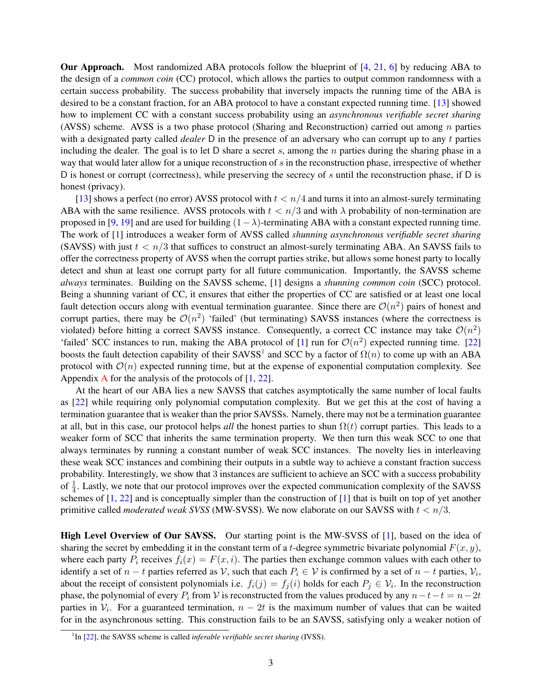Our Approach. Most randomized ABA protocols follow the blueprint of [\[4,](#page-33-4) [21,](#page-34-1) [6\]](#page-33-5) by reducing ABA to the design of a *common coin* (CC) protocol, which allows the parties to output common randomness with a certain success probability. The success probability that inversely impacts the running time of the ABA is desired to be a constant fraction, for an ABA protocol to have a constant expected running time. [\[13\]](#page-33-9) showed how to implement CC with a constant success probability using an *asynchronous verifiable secret sharing* (AVSS) scheme. AVSS is a two phase protocol (Sharing and Reconstruction) carried out among  $n$  parties with a designated party called *dealer* D in the presence of an adversary who can corrupt up to any t parties including the dealer. The goal is to let D share a secret s, among the  $n$  parties during the sharing phase in a way that would later allow for a unique reconstruction of  $s$  in the reconstruction phase, irrespective of whether D is honest or corrupt (correctness), while preserving the secrecy of s until the reconstruction phase, if D is honest (privacy).

[\[13\]](#page-33-9) shows a perfect (no error) AVSS protocol with  $t < n/4$  and turns it into an almost-surely terminating ABA with the same resilience. AVSS protocols with  $t < n/3$  and with  $\lambda$  probability of non-termination are proposed in [\[9,](#page-33-6) [19\]](#page-34-2) and are used for building  $(1-\lambda)$ -terminating ABA with a constant expected running time. The work of [\[1\]](#page-33-8) introduces a weaker form of AVSS called *shunning asynchronous verifiable secret sharing* (SAVSS) with just  $t < n/3$  that suffices to construct an almost-surely terminating ABA. An SAVSS fails to offer the correctness property of AVSS when the corrupt parties strike, but allows some honest party to locally detect and shun at least one corrupt party for all future communication. Importantly, the SAVSS scheme *always* terminates. Building on the SAVSS scheme, [\[1\]](#page-33-8) designs a *shunning common coin* (SCC) protocol. Being a shunning variant of CC, it ensures that either the properties of CC are satisfied or at least one local fault detection occurs along with eventual termination guarantee. Since there are  $\mathcal{O}(n^2)$  pairs of honest and corrupt parties, there may be  $\mathcal{O}(n^2)$  'failed' (but terminating) SAVSS instances (where the correctness is violated) before hitting a correct SAVSS instance. Consequently, a correct CC instance may take  $\mathcal{O}(n^2)$ 'failed' SCC instances to run, making the ABA protocol of [\[1\]](#page-33-8) run for  $\mathcal{O}(n^2)$  expected running time. [\[22\]](#page-34-3) boosts the fault detection capability of their SAVSS<sup>[1](#page-2-0)</sup> and SCC by a factor of  $\Omega(n)$  to come up with an ABA protocol with  $\mathcal{O}(n)$  expected running time, but at the expense of exponential computation complexity. See [A](#page-34-4)ppendix A for the analysis of the protocols of  $[1, 22]$  $[1, 22]$  $[1, 22]$ .

At the heart of our ABA lies a new SAVSS that catches asymptotically the same number of local faults as [\[22\]](#page-34-3) while requiring only polynomial computation complexity. But we get this at the cost of having a termination guarantee that is weaker than the prior SAVSSs. Namely, there may not be a termination guarantee at all, but in this case, our protocol helps *all* the honest parties to shun  $\Omega(t)$  corrupt parties. This leads to a weaker form of SCC that inherits the same termination property. We then turn this weak SCC to one that always terminates by running a constant number of weak SCC instances. The novelty lies in interleaving these weak SCC instances and combining their outputs in a subtle way to achieve a constant fraction success probability. Interestingly, we show that 3 instances are sufficient to achieve an SCC with a success probability of  $\frac{1}{4}$ . Lastly, we note that our protocol improves over the expected communication complexity of the SAVSS schemes of [\[1,](#page-33-8) [22\]](#page-34-3) and is conceptually simpler than the construction of [\[1\]](#page-33-8) that is built on top of yet another primitive called *moderated weak SVSS* (MW-SVSS). We now elaborate on our SAVSS with  $t < n/3$ .

High Level Overview of Our SAVSS. Our starting point is the MW-SVSS of [\[1\]](#page-33-8), based on the idea of sharing the secret by embedding it in the constant term of a t-degree symmetric bivariate polynomial  $F(x, y)$ , where each party  $P_i$  receives  $f_i(x) = F(x, i)$ . The parties then exchange common values with each other to identify a set of  $n - t$  parties referred as  $\mathcal{V}$ , such that each  $P_i \in \mathcal{V}$  is confirmed by a set of  $n - t$  parties,  $\mathcal{V}_i$ , about the receipt of consistent polynomials i.e.  $f_i(j) = f_j(i)$  holds for each  $P_j \in \mathcal{V}_i$ . In the reconstruction phase, the polynomial of every  $P_i$  from V is reconstructed from the values produced by any  $n-t-t = n-2t$ parties in  $V_i$ . For a guaranteed termination,  $n-2t$  is the maximum number of values that can be waited for in the asynchronous setting. This construction fails to be an SAVSS, satisfying only a weaker notion of

<span id="page-2-0"></span><sup>&</sup>lt;sup>1</sup>In [\[22\]](#page-34-3), the SAVSS scheme is called *inferable verifiable secret sharing* (IVSS).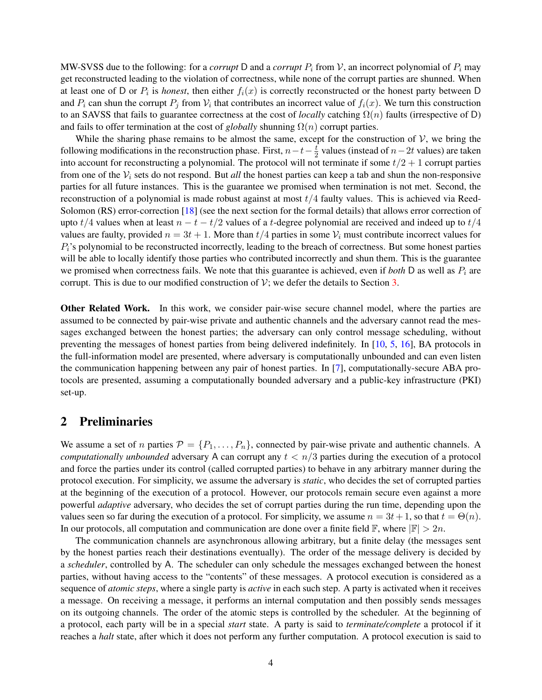MW-SVSS due to the following: for a *corrupt* D and a *corrupt*  $P_i$  from V, an incorrect polynomial of  $P_i$  may get reconstructed leading to the violation of correctness, while none of the corrupt parties are shunned. When at least one of D or  $P_i$  is *honest*, then either  $f_i(x)$  is correctly reconstructed or the honest party between D and  $P_i$  can shun the corrupt  $P_j$  from  $V_i$  that contributes an incorrect value of  $f_i(x)$ . We turn this construction to an SAVSS that fails to guarantee correctness at the cost of *locally* catching  $\Omega(n)$  faults (irrespective of D) and fails to offer termination at the cost of *globally* shunning  $\Omega(n)$  corrupt parties.

While the sharing phase remains to be almost the same, except for the construction of  $\mathcal{V}$ , we bring the following modifications in the reconstruction phase. First,  $n-t-\frac{t}{2}$  $\frac{t}{2}$  values (instead of  $n-2t$  values) are taken into account for reconstructing a polynomial. The protocol will not terminate if some  $t/2 + 1$  corrupt parties from one of the  $V_i$  sets do not respond. But *all* the honest parties can keep a tab and shun the non-responsive parties for all future instances. This is the guarantee we promised when termination is not met. Second, the reconstruction of a polynomial is made robust against at most  $t/4$  faulty values. This is achieved via Reed-Solomon (RS) error-correction [\[18\]](#page-34-5) (see the next section for the formal details) that allows error correction of upto  $t/4$  values when at least  $n - t - t/2$  values of a t-degree polynomial are received and indeed up to  $t/4$ values are faulty, provided  $n = 3t + 1$ . More than  $t/4$  parties in some  $\mathcal{V}_i$  must contribute incorrect values for  $P_i$ 's polynomial to be reconstructed incorrectly, leading to the breach of correctness. But some honest parties will be able to locally identify those parties who contributed incorrectly and shun them. This is the guarantee we promised when correctness fails. We note that this guarantee is achieved, even if *both* D as well as  $P_i$  are corrupt. This is due to our modified construction of  $\mathcal{V}$ ; we defer the details to Section [3.](#page-5-0)

Other Related Work. In this work, we consider pair-wise secure channel model, where the parties are assumed to be connected by pair-wise private and authentic channels and the adversary cannot read the messages exchanged between the honest parties; the adversary can only control message scheduling, without preventing the messages of honest parties from being delivered indefinitely. In [\[10,](#page-33-10) [5,](#page-33-11) [16\]](#page-33-12), BA protocols in the full-information model are presented, where adversary is computationally unbounded and can even listen the communication happening between any pair of honest parties. In [\[7\]](#page-33-13), computationally-secure ABA protocols are presented, assuming a computationally bounded adversary and a public-key infrastructure (PKI) set-up.

### 2 Preliminaries

We assume a set of n parties  $\mathcal{P} = \{P_1, \ldots, P_n\}$ , connected by pair-wise private and authentic channels. A *computationally unbounded* adversary A can corrupt any  $t < n/3$  parties during the execution of a protocol and force the parties under its control (called corrupted parties) to behave in any arbitrary manner during the protocol execution. For simplicity, we assume the adversary is *static*, who decides the set of corrupted parties at the beginning of the execution of a protocol. However, our protocols remain secure even against a more powerful *adaptive* adversary, who decides the set of corrupt parties during the run time, depending upon the values seen so far during the execution of a protocol. For simplicity, we assume  $n = 3t + 1$ , so that  $t = \Theta(n)$ . In our protocols, all computation and communication are done over a finite field  $\mathbb{F}$ , where  $|\mathbb{F}| > 2n$ .

The communication channels are asynchronous allowing arbitrary, but a finite delay (the messages sent by the honest parties reach their destinations eventually). The order of the message delivery is decided by a *scheduler*, controlled by A. The scheduler can only schedule the messages exchanged between the honest parties, without having access to the "contents" of these messages. A protocol execution is considered as a sequence of *atomic steps*, where a single party is *active* in each such step. A party is activated when it receives a message. On receiving a message, it performs an internal computation and then possibly sends messages on its outgoing channels. The order of the atomic steps is controlled by the scheduler. At the beginning of a protocol, each party will be in a special *start* state. A party is said to *terminate/complete* a protocol if it reaches a *halt* state, after which it does not perform any further computation. A protocol execution is said to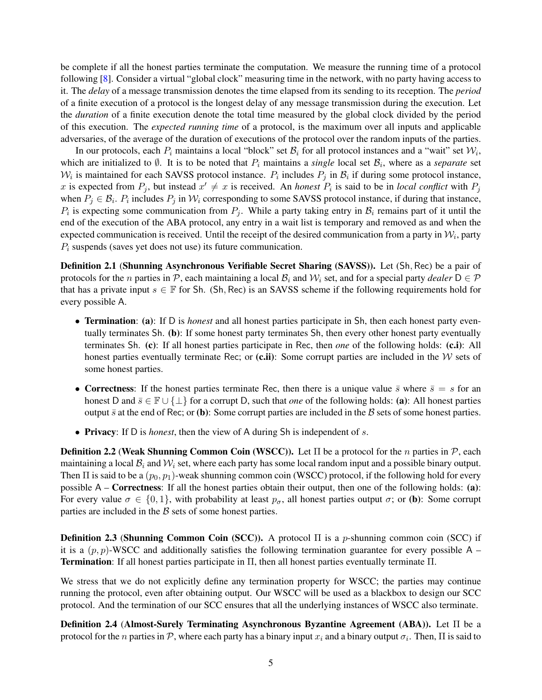be complete if all the honest parties terminate the computation. We measure the running time of a protocol following [\[8\]](#page-33-7). Consider a virtual "global clock" measuring time in the network, with no party having access to it. The *delay* of a message transmission denotes the time elapsed from its sending to its reception. The *period* of a finite execution of a protocol is the longest delay of any message transmission during the execution. Let the *duration* of a finite execution denote the total time measured by the global clock divided by the period of this execution. The *expected running time* of a protocol, is the maximum over all inputs and applicable adversaries, of the average of the duration of executions of the protocol over the random inputs of the parties.

In our protocols, each  $P_i$  maintains a local "block" set  $B_i$  for all protocol instances and a "wait" set  $W_i$ , which are initialized to  $\emptyset$ . It is to be noted that  $P_i$  maintains a *single* local set  $\mathcal{B}_i$ , where as a *separate* set  $W_i$  is maintained for each SAVSS protocol instance.  $P_i$  includes  $P_j$  in  $\mathcal{B}_i$  if during some protocol instance, x is expected from  $P_j$ , but instead  $x' \neq x$  is received. An *honest*  $P_i$  is said to be in *local conflict* with  $P_j$ when  $P_j \in \mathcal{B}_i$ .  $P_i$  includes  $P_j$  in  $\mathcal{W}_i$  corresponding to some SAVSS protocol instance, if during that instance,  $P_i$  is expecting some communication from  $P_j$ . While a party taking entry in  $\mathcal{B}_i$  remains part of it until the end of the execution of the ABA protocol, any entry in a wait list is temporary and removed as and when the expected communication is received. Until the receipt of the desired communication from a party in  $\mathcal{W}_i$ , party  $P_i$  suspends (saves yet does not use) its future communication.

Definition 2.1 (Shunning Asynchronous Verifiable Secret Sharing (SAVSS)). Let (Sh, Rec) be a pair of protocols for the *n* parties in P, each maintaining a local  $B_i$  and  $W_i$  set, and for a special party *dealer*  $D \in \mathcal{P}$ that has a private input  $s \in \mathbb{F}$  for Sh. (Sh, Rec) is an SAVSS scheme if the following requirements hold for every possible A.

- Termination: (a): If D is *honest* and all honest parties participate in Sh, then each honest party eventually terminates Sh. (b): If some honest party terminates Sh, then every other honest party eventually terminates Sh. (c): If all honest parties participate in Rec, then *one* of the following holds: (c.i): All honest parties eventually terminate Rec; or  $(c, ii)$ : Some corrupt parties are included in the W sets of some honest parties.
- Correctness: If the honest parties terminate Rec, then there is a unique value  $\bar{s}$  where  $\bar{s} = s$  for an honest D and  $\bar{s} \in \mathbb{F} \cup \{\perp\}$  for a corrupt D, such that *one* of the following holds: (a): All honest parties output  $\bar{s}$  at the end of Rec; or (b): Some corrupt parties are included in the  $\beta$  sets of some honest parties.
- Privacy: If D is *honest*, then the view of A during Sh is independent of s.

**Definition 2.2 (Weak Shunning Common Coin (WSCC)).** Let  $\Pi$  be a protocol for the n parties in  $P$ , each maintaining a local  $B_i$  and  $W_i$  set, where each party has some local random input and a possible binary output. Then  $\Pi$  is said to be a  $(p_0, p_1)$ -weak shunning common coin (WSCC) protocol, if the following hold for every possible A – Correctness: If all the honest parties obtain their output, then one of the following holds: (a): For every value  $\sigma \in \{0, 1\}$ , with probability at least  $p_{\sigma}$ , all honest parties output  $\sigma$ ; or (b): Some corrupt parties are included in the  $\beta$  sets of some honest parties.

**Definition 2.3 (Shunning Common Coin (SCC)).** A protocol  $\Pi$  is a p-shunning common coin (SCC) if it is a  $(p, p)$ -WSCC and additionally satisfies the following termination guarantee for every possible A – Termination: If all honest parties participate in Π, then all honest parties eventually terminate Π.

We stress that we do not explicitly define any termination property for WSCC; the parties may continue running the protocol, even after obtaining output. Our WSCC will be used as a blackbox to design our SCC protocol. And the termination of our SCC ensures that all the underlying instances of WSCC also terminate.

Definition 2.4 (Almost-Surely Terminating Asynchronous Byzantine Agreement (ABA)). Let Π be a protocol for the n parties in  $P$ , where each party has a binary input  $x_i$  and a binary output  $\sigma_i$ . Then,  $\Pi$  is said to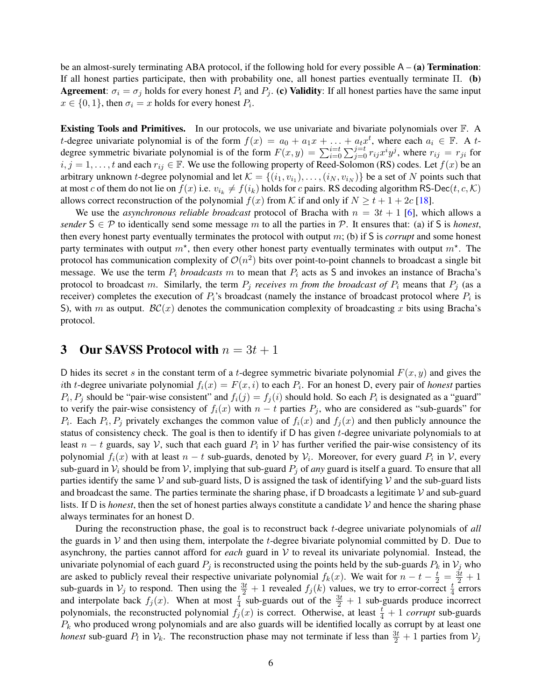be an almost-surely terminating ABA protocol, if the following hold for every possible  $A - (a)$  Termination: If all honest parties participate, then with probability one, all honest parties eventually terminate Π. (b) Agreement:  $\sigma_i = \sigma_j$  holds for every honest  $P_i$  and  $P_j$ . (c) Validity: If all honest parties have the same input  $x \in \{0, 1\}$ , then  $\sigma_i = x$  holds for every honest  $P_i$ .

Existing Tools and Primitives. In our protocols, we use univariate and bivariate polynomials over F. A t-degree univariate polynomial is of the form  $f(x) = a_0 + a_1x + \ldots + a_tx^t$ , where each  $a_i \in \mathbb{F}$ . A tdegree symmetric bivariate polynomial is of the form  $F(x,y) = \sum_{i=0}^{i=t} \sum_{j=0}^{j=t} r_{ij} x^i y^j$ , where  $r_{ij} = r_{ji}$  for  $i, j = 1, \ldots, t$  and each  $r_{ij} \in \mathbb{F}$ . We use the following property of Reed-Solomon (RS) codes. Let  $f(x)$  be an arbitrary unknown *t*-degree polynomial and let  $\mathcal{K} = \{(i_1, v_{i_1}), \dots, (i_N, v_{i_N})\}$  be a set of N points such that at most c of them do not lie on  $f(x)$  i.e.  $v_{i_k} \neq f(i_k)$  holds for c pairs. RS decoding algorithm RS-Dec(t, c, K) allows correct reconstruction of the polynomial  $f(x)$  from K if and only if  $N \ge t + 1 + 2c$  [\[18\]](#page-34-5).

We use the *asynchronous reliable broadcast* protocol of Bracha with  $n = 3t + 1$  [\[6\]](#page-33-5), which allows a *sender*  $S \in \mathcal{P}$  to identically send some message m to all the parties in  $\mathcal{P}$ . It ensures that: (a) if S is *honest*, then every honest party eventually terminates the protocol with output m; (b) if S is *corrupt* and some honest party terminates with output  $m^*$ , then every other honest party eventually terminates with output  $m^*$ . The protocol has communication complexity of  $\mathcal{O}(n^2)$  bits over point-to-point channels to broadcast a single bit message. We use the term  $P_i$  *broadcasts* m to mean that  $P_i$  acts as S and invokes an instance of Bracha's protocol to broadcast m. Similarly, the term  $P_i$  *receives* m *from the broadcast of*  $P_i$  means that  $P_j$  (as a receiver) completes the execution of  $P_i$ 's broadcast (namely the instance of broadcast protocol where  $P_i$  is S), with m as output.  $BC(x)$  denotes the communication complexity of broadcasting x bits using Bracha's protocol.

### <span id="page-5-0"></span>3 Our SAVSS Protocol with  $n = 3t + 1$

D hides its secret s in the constant term of a t-degree symmetric bivariate polynomial  $F(x, y)$  and gives the ith t-degree univariate polynomial  $f_i(x) = F(x, i)$  to each  $P_i$ . For an honest D, every pair of *honest* parties  $P_i, P_j$  should be "pair-wise consistent" and  $f_i(j) = f_j(i)$  should hold. So each  $P_i$  is designated as a "guard" to verify the pair-wise consistency of  $f_i(x)$  with  $n - t$  parties  $P_j$ , who are considered as "sub-guards" for  $P_i$ . Each  $P_i$ ,  $P_j$  privately exchanges the common value of  $f_i(x)$  and  $f_j(x)$  and then publicly announce the status of consistency check. The goal is then to identify if  $D$  has given  $t$ -degree univariate polynomials to at least  $n - t$  guards, say  $V$ , such that each guard  $P_i$  in  $V$  has further verified the pair-wise consistency of its polynomial  $f_i(x)$  with at least  $n - t$  sub-guards, denoted by  $\mathcal{V}_i$ . Moreover, for every guard  $P_i$  in  $\mathcal{V}$ , every sub-guard in  $V_i$  should be from V, implying that sub-guard  $P_j$  of *any* guard is itself a guard. To ensure that all parties identify the same  $\mathcal V$  and sub-guard lists, D is assigned the task of identifying  $\mathcal V$  and the sub-guard lists and broadcast the same. The parties terminate the sharing phase, if D broadcasts a legitimate  $V$  and sub-guard lists. If D is *honest*, then the set of honest parties always constitute a candidate  $\mathcal V$  and hence the sharing phase always terminates for an honest D.

During the reconstruction phase, the goal is to reconstruct back t-degree univariate polynomials of *all* the guards in  $V$  and then using them, interpolate the t-degree bivariate polynomial committed by D. Due to asynchrony, the parties cannot afford for *each* guard in V to reveal its univariate polynomial. Instead, the univariate polynomial of each guard  $P_j$  is reconstructed using the points held by the sub-guards  $P_k$  in  $V_j$  who are asked to publicly reveal their respective univariate polynomial  $f_k(x)$ . We wait for  $n-t-\frac{t}{2}=\frac{3t}{2}+1$ sub-guards in  $V_j$  to respond. Then using the  $\frac{3t}{2}+1$  revealed  $f_j(k)$  values, we try to error-correct  $\frac{t}{4}$  errors and interpolate back  $f_j(x)$ . When at most  $\frac{t}{4}$  sub-guards out of the  $\frac{3t}{2} + 1$  sub-guards produce incorrect polynomials, the reconstructed polynomial  $f_j(x)$  is correct. Otherwise, at least  $\frac{t}{4} + 1$  *corrupt* sub-guards  $P_k$  who produced wrong polynomials and are also guards will be identified locally as corrupt by at least one *honest* sub-guard  $P_l$  in  $V_k$ . The reconstruction phase may not terminate if less than  $\frac{3t}{2} + 1$  parties from  $V_j$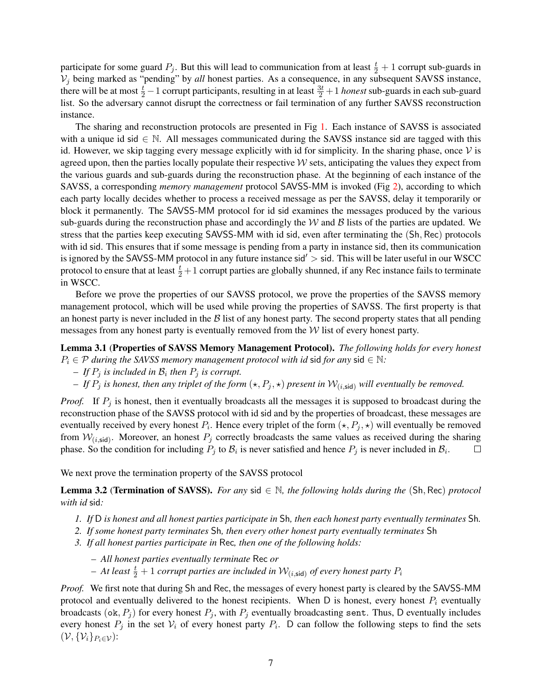participate for some guard  $P_j$ . But this will lead to communication from at least  $\frac{t}{2} + 1$  corrupt sub-guards in  $V_j$  being marked as "pending" by *all* honest parties. As a consequence, in any subsequent SAVSS instance, there will be at most  $\frac{t}{2} - 1$  corrupt participants, resulting in at least  $\frac{3t}{2} + 1$  *honest* sub-guards in each sub-guard list. So the adversary cannot disrupt the correctness or fail termination of any further SAVSS reconstruction instance.

The sharing and reconstruction protocols are presented in Fig [1.](#page-7-0) Each instance of SAVSS is associated with a unique id sid  $\in \mathbb{N}$ . All messages communicated during the SAVSS instance sid are tagged with this id. However, we skip tagging every message explicitly with id for simplicity. In the sharing phase, once  $V$  is agreed upon, then the parties locally populate their respective  $W$  sets, anticipating the values they expect from the various guards and sub-guards during the reconstruction phase. At the beginning of each instance of the SAVSS, a corresponding *memory management* protocol SAVSS-MM is invoked (Fig [2\)](#page-8-0), according to which each party locally decides whether to process a received message as per the SAVSS, delay it temporarily or block it permanently. The SAVSS-MM protocol for id sid examines the messages produced by the various sub-guards during the reconstruction phase and accordingly the  $W$  and  $B$  lists of the parties are updated. We stress that the parties keep executing SAVSS-MM with id sid, even after terminating the (Sh, Rec) protocols with id sid. This ensures that if some message is pending from a party in instance sid, then its communication is ignored by the SAVSS-MM protocol in any future instance  $\sin^2$   $> \sin^2$ . This will be later useful in our WSCC protocol to ensure that at least  $\frac{t}{2}+1$  corrupt parties are globally shunned, if any Rec instance fails to terminate in WSCC.

Before we prove the properties of our SAVSS protocol, we prove the properties of the SAVSS memory management protocol, which will be used while proving the properties of SAVSS. The first property is that an honest party is never included in the  $\beta$  list of any honest party. The second property states that all pending messages from any honest party is eventually removed from the  $W$  list of every honest party.

<span id="page-6-1"></span>Lemma 3.1 (Properties of SAVSS Memory Management Protocol). *The following holds for every honest*  $P_i \in \mathcal{P}$  *during the SAVSS memory management protocol with id sid for any sid*  $\in \mathbb{N}$ :

- $-$  *If*  $P_j$  *is included in*  $B_i$  *then*  $P_j$  *is corrupt.*
- *–* If  $P_j$  is honest, then any triplet of the form  $(\star, P_j, \star)$  present in  $\mathcal{W}_{(i, \text{sid})}$  will eventually be removed.

*Proof.* If  $P_i$  is honest, then it eventually broadcasts all the messages it is supposed to broadcast during the reconstruction phase of the SAVSS protocol with id sid and by the properties of broadcast, these messages are eventually received by every honest  $P_i$ . Hence every triplet of the form  $(\star, P_j, \star)$  will eventually be removed from  $W_{(i, \text{sid})}$ . Moreover, an honest  $P_j$  correctly broadcasts the same values as received during the sharing phase. So the condition for including  $P_j$  to  $\mathcal{B}_i$  is never satisfied and hence  $P_j$  is never included in  $\mathcal{B}_i$ .  $\Box$ 

We next prove the termination property of the SAVSS protocol

<span id="page-6-0"></span>**Lemma 3.2 (Termination of SAVSS).** For any sid  $\in \mathbb{N}$ , the following holds during the (Sh, Rec) protocol *with id* sid*:*

- *1. If* D *is honest and all honest parties participate in* Sh*, then each honest party eventually terminates* Sh*.*
- *2. If some honest party terminates* Sh*, then every other honest party eventually terminates* Sh
- *3. If all honest parties participate in* Rec*, then one of the following holds:*
	- *– All honest parties eventually terminate* Rec *or*
	- $-$  At least  $\frac{t}{2}+1$  *corrupt parties are included in*  $\mathcal{W}_{(i,\mathsf{sid})}$  *of every honest party*  $P_i$

*Proof.* We first note that during Sh and Rec, the messages of every honest party is cleared by the SAVSS-MM protocol and eventually delivered to the honest recipients. When D is honest, every honest  $P_i$  eventually broadcasts (ok,  $P_j$ ) for every honest  $P_j$ , with  $P_j$  eventually broadcasting sent. Thus, D eventually includes every honest  $P_j$  in the set  $V_i$  of every honest party  $P_i$ . D can follow the following steps to find the sets  $(\mathcal{V}, {\mathcal{V}_i}_{P_i \in \mathcal{V}})$ :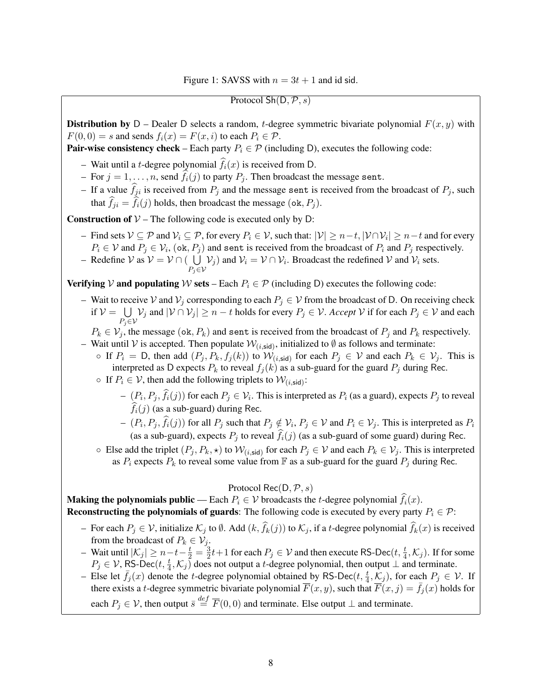Protocol  $\mathsf{Sh}(\mathsf{D}, \mathcal{P}, s)$ 

<span id="page-7-0"></span>**Distribution by** D – Dealer D selects a random, t-degree symmetric bivariate polynomial  $F(x, y)$  with  $F(0, 0) = s$  and sends  $f_i(x) = F(x, i)$  to each  $P_i \in \mathcal{P}$ .

**Pair-wise consistency check** – Each party  $P_i \in \mathcal{P}$  (including D), executes the following code:

- Wait until a *t*-degree polynomial  $\hat{f}_i(x)$  is received from D.
- For  $j = 1, ..., n$ , send  $f_i(j)$  to party  $P_j$ . Then broadcast the message sent.
- If a value  $\hat{f}_{ji}$  is received from  $P_j$  and the message sent is received from the broadcast of  $P_j$ , such that  $f_{ji} = f_i(j)$  holds, then broadcast the message (ok,  $P_j$ ).

**Construction of**  $V$  – The following code is executed only by D:

- Find sets  $\mathcal{V} \subseteq \mathcal{P}$  and  $\mathcal{V}_i \subseteq \mathcal{P}$ , for every  $P_i \in \mathcal{V}$ , such that:  $|\mathcal{V}| \ge n-t$ ,  $|\mathcal{V} \cap \mathcal{V}_i| \ge n-t$  and for every  $P_i \in V$  and  $P_j \in V_i$ ,  $(\text{ok}, P_j)$  and sent is received from the broadcast of  $P_i$  and  $P_j$  respectively.
- Redefine V as  $V = V \cap ( \bigcup V_j)$  and  $V_i = V \cap V_i$ . Broadcast the redefined V and  $V_i$  sets.  $P_j \in \mathcal{V}$

Verifying V and populating W sets – Each  $P_i \in \mathcal{P}$  (including D) executes the following code:

- Wait to receive V and  $V_j$  corresponding to each  $P_j \in V$  from the broadcast of D. On receiving check if  $V = \bigcup V_j$  and  $|V \cap V_j| \ge n - t$  holds for every  $P_j \in V$ . *Accept* V if for each  $P_j \in V$  and each  $P_j \in \mathcal{V}$ 
	- $P_k \in \mathcal{V}_j$ , the message (ok,  $P_k$ ) and sent is received from the broadcast of  $P_j$  and  $P_k$  respectively.
- Wait until V is accepted. Then populate  $W_{(i, sid)}$ , initialized to  $\emptyset$  as follows and terminate:
	- $\circ$  If  $P_i = D$ , then add  $(P_j, P_k, f_j(k))$  to  $\mathcal{W}_{(i, \text{sid})}$  for each  $P_j \in \mathcal{V}$  and each  $P_k \in \mathcal{V}_j$ . This is interpreted as D expects  $P_k$  to reveal  $f_j(k)$  as a sub-guard for the guard  $P_j$  during Rec.
	- If  $P_i \in V$ , then add the following triplets to  $W_{(i, \text{sid})}$ :
		- $-(P_i, P_j, f_i(j))$  for each  $P_j \in \mathcal{V}_i$ . This is interpreted as  $P_i$  (as a guard), expects  $P_j$  to reveal  $\widehat{f}_i(j)$  (as a sub-guard) during Rec.
		- $(- (P_i, P_j, f_i(j))$  for all  $P_j$  such that  $P_j \notin V_i$ ,  $P_j \in V$  and  $P_i \in V_j$ . This is interpreted as  $P_i$ (as a sub-guard), expects  $P_i$  to reveal  $\hat{f}_i(j)$  (as a sub-guard of some guard) during Rec.
	- Else add the triplet  $(P_j, P_k, \star)$  to  $\mathcal{W}_{(i, \text{sid})}$  for each  $P_j \in \mathcal{V}$  and each  $P_k \in \mathcal{V}_j$ . This is interpreted as  $P_i$  expects  $P_k$  to reveal some value from  $\mathbb F$  as a sub-guard for the guard  $P_j$  during Rec.

Protocol Rec(D,  $P, s$ )

**Making the polynomials public** — Each  $P_i \in V$  broadcasts the *t*-degree polynomial  $\hat{f}_i(x)$ . Reconstructing the polynomials of guards: The following code is executed by every party  $P_i \in \mathcal{P}$ :

- For each  $P_j \in V$ , initialize  $\mathcal{K}_j$  to  $\emptyset$ . Add  $(k, f_k(j))$  to  $\mathcal{K}_j$ , if a *t*-degree polynomial  $f_k(x)$  is received from the broadcast of  $P_k \in V_j$ .
- Wait until  $|\mathcal{K}_j|$  ≥  $n t \frac{t}{2} = \frac{3}{2}$  $\frac{3}{2}t+1$  for each  $P_j \in \mathcal{V}$  and then execute RS-Dec $(t, \frac{t}{4}, \mathcal{K}_j)$ . If for some  $P_j \in V$ , RS-Dec $(t, \frac{t}{4}, \mathcal{K}_j)$  does not output a t-degree polynomial, then output  $\perp$  and terminate.
- Else let  $\bar{f}_j(x)$  denote the t-degree polynomial obtained by RS-Dec $(t, \frac{t}{4}, \overline{\mathcal{K}}_j)$ , for each  $P_j \in \mathcal{V}$ . If there exists a t-degree symmetric bivariate polynomial  $\overline{F}(x, y)$ , such that  $\overline{F}(x, j) = \overline{f}_j(x)$  holds for each  $P_j \in \mathcal{V}$ , then output  $\bar{s} \stackrel{def}{=} \overline{F}(0,0)$  and terminate. Else output  $\bot$  and terminate.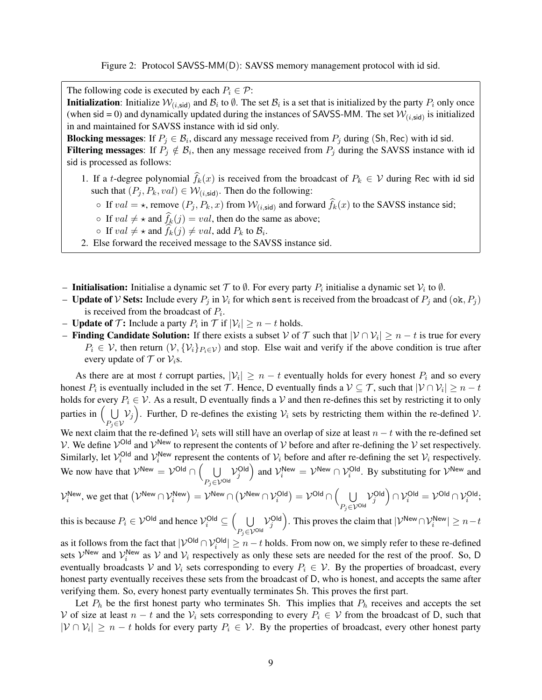Figure 2: Protocol SAVSS-MM(D): SAVSS memory management protocol with id sid.

<span id="page-8-0"></span>The following code is executed by each  $P_i \in \mathcal{P}$ :

**Initialization**: Initialize  $W_{(i, \text{sid})}$  and  $B_i$  to  $\emptyset$ . The set  $B_i$  is a set that is initialized by the party  $P_i$  only once (when sid = 0) and dynamically updated during the instances of SAVSS-MM. The set  $W_{(i, sid)}$  is initialized in and maintained for SAVSS instance with id sid only.

**Blocking messages:** If  $P_j \in \mathcal{B}_i$ , discard any message received from  $P_j$  during (Sh, Rec) with id sid. **Filtering messages:** If  $P_j \notin \mathcal{B}_i$ , then any message received from  $P_j$  during the SAVSS instance with id sid is processed as follows:

- 1. If a t-degree polynomial  $f_k(x)$  is received from the broadcast of  $P_k \in V$  during Rec with id sid such that  $(P_j, P_k, val) \in W_{(i, sid)}$ . Then do the following:
	- If  $val = \star$ , remove  $(P_j, P_k, x)$  from  $W_{(i, sid)}$  and forward  $f_k(x)$  to the SAVSS instance sid;
	- If  $val \neq \star$  and  $f_k(j) = val$ , then do the same as above;
	- $\circ$  If  $val \neq \star$  and  $f_k(j) \neq val$ , add  $P_k$  to  $\mathcal{B}_i$ .
- 2. Else forward the received message to the SAVSS instance sid.
- Initialisation: Initialise a dynamic set  $\mathcal T$  to  $\emptyset$ . For every party  $P_i$  initialise a dynamic set  $\mathcal V_i$  to  $\emptyset$ .
- Update of V Sets: Include every  $P_j$  in  $V_i$  for which sent is received from the broadcast of  $P_j$  and  $(\alpha k, P_j)$ is received from the broadcast of  $P_i$ .
- **Update of**  $\mathcal{T}$ : Include a party  $P_i$  in  $\mathcal{T}$  if  $|\mathcal{V}_i| \ge n t$  holds.
- **Finding Candidate Solution:** If there exists a subset  $\mathcal V$  of  $\mathcal T$  such that  $|\mathcal V \cap \mathcal V_i| \ge n t$  is true for every  $P_i \in \mathcal{V}$ , then return  $(\mathcal{V}, \{\mathcal{V}_i\}_{P_i \in \mathcal{V}})$  and stop. Else wait and verify if the above condition is true after every update of  $\mathcal T$  or  $\mathcal V_i$ s.

As there are at most t corrupt parties,  $|\mathcal{V}_i| \ge n - t$  eventually holds for every honest  $P_i$  and so every honest  $P_i$  is eventually included in the set  $\mathcal{T}$ . Hence, D eventually finds a  $\mathcal{V} \subseteq \mathcal{T}$ , such that  $|\mathcal{V} \cap \mathcal{V}_i| \ge n - t$ holds for every  $P_i \in V$ . As a result, D eventually finds a V and then re-defines this set by restricting it to only parties in  $( \cup )$  $P_j \in \mathcal{V}$  $V_j$ ). Further, D re-defines the existing  $V_i$  sets by restricting them within the re-defined V.

We next claim that the re-defined  $V_i$  sets will still have an overlap of size at least  $n - t$  with the re-defined set V. We define  $V^{Old}$  and  $V^{New}$  to represent the contents of V before and after re-defining the V set respectively. Similarly, let  $V_i^{\text{Old}}$  and  $V_i^{\text{New}}$  represent the contents of  $V_i$  before and after re-defining the set  $V_i$  respectively. We now have that  $V^{New} = V^{Old} \cap ($  $P_j\!\in\!\mathcal{V}^{\mathsf{Old}}$  $\mathcal{V}_j^{\text{Old}}$  and  $\mathcal{V}_i^{\text{New}} = \mathcal{V}^{\text{New}} \cap \mathcal{V}_i^{\text{Old}}$ . By substituting for  $\mathcal{V}^{\text{New}}$  and

$$
\mathcal{V}^{\mathsf{New}}_i\text{, we get that }\big(\mathcal{V}^{\mathsf{New}}\cap\mathcal{V}^{\mathsf{New}}_i\big)=\mathcal{V}^{\mathsf{New}}\cap\big(\mathcal{V}^{\mathsf{New}}\cap\mathcal{V}^{\mathsf{Old}}_i\big)=\mathcal{V}^{\mathsf{Old}}\cap\Big(\bigcup_{P_j\in\mathcal{V}^{\mathsf{Old}}} \mathcal{V}^{\mathsf{Old}}_j\Big)\cap\mathcal{V}^{\mathsf{Old}}_i=\mathcal{V}^{\mathsf{Old}}\cap\mathcal{V}^{\mathsf{Old}}_i;
$$

this is because  $P_i \in \mathcal{V}^\mathsf{Old}$  and hence  $\mathcal{V}^\mathsf{Old}_i \subseteq \left(\begin{array}{c} \bigcup \ \mathcal{V}^\mathsf{Old} \end{array}\right)$  $P_j\!\in\!\mathcal{V}^{\mathsf{Old}}$  $\mathcal{V}_j^{\textsf{Old}}$ ). This proves the claim that  $|\mathcal{V}^{\mathsf{New}} \cap \mathcal{V}_i^{\mathsf{New}}| \ge n-t$ 

as it follows from the fact that  $|V^{\text{Old}} \cap V^{\text{Old}}_i| \ge n - t$  holds. From now on, we simply refer to these re-defined sets  $\mathcal{V}^{\text{New}}$  and  $\mathcal{V}^{\text{New}}_i$  as  $\mathcal{V}$  and  $\mathcal{V}_i$  respectively as only these sets are needed for the rest of the proof. So, D eventually broadcasts V and  $V_i$  sets corresponding to every  $P_i \in V$ . By the properties of broadcast, every honest party eventually receives these sets from the broadcast of D, who is honest, and accepts the same after verifying them. So, every honest party eventually terminates Sh. This proves the first part.

Let  $P_h$  be the first honest party who terminates Sh. This implies that  $P_h$  receives and accepts the set V of size at least  $n - t$  and the  $V_i$  sets corresponding to every  $P_i \in V$  from the broadcast of D, such that  $|V \cap V_i| \ge n - t$  holds for every party  $P_i \in V$ . By the properties of broadcast, every other honest party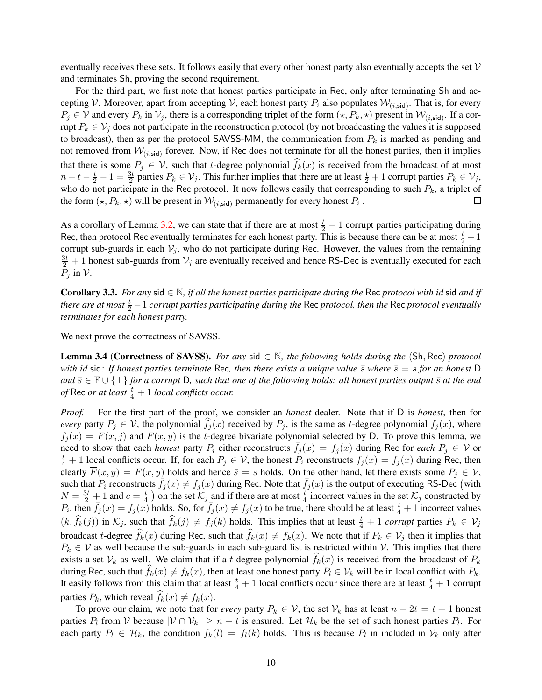eventually receives these sets. It follows easily that every other honest party also eventually accepts the set  $V$ and terminates Sh, proving the second requirement.

For the third part, we first note that honest parties participate in Rec, only after terminating Sh and accepting V. Moreover, apart from accepting V, each honest party  $P_i$  also populates  $W_{(i, sid)}$ . That is, for every  $P_j \in V$  and every  $P_k$  in  $V_j$ , there is a corresponding triplet of the form  $(\star, P_k, \star)$  present in  $W_{(i, sid)}$ . If a corrupt  $P_k \in V_j$  does not participate in the reconstruction protocol (by not broadcasting the values it is supposed to broadcast), then as per the protocol SAVSS-MM, the communication from  $P_k$  is marked as pending and not removed from  $W_{(i, \text{sid})}$  forever. Now, if Rec does not terminate for all the honest parties, then it implies that there is some  $P_j \in V$ , such that t-degree polynomial  $f_k(x)$  is received from the broadcast of at most  $n-t-\frac{t}{2}-1=\frac{3t}{2}$  parties  $P_k \in V_j$ . This further implies that there are at least  $\frac{t}{2}+1$  corrupt parties  $P_k \in V_j$ , who do not participate in the Rec protocol. It now follows easily that corresponding to such  $P_k$ , a triplet of the form  $(\star, P_k, \star)$  will be present in  $\mathcal{W}_{(i, \mathsf{sid})}$  permanently for every honest  $P_i$ .  $\Box$ 

As a corollary of Lemma [3.2,](#page-6-0) we can state that if there are at most  $\frac{t}{2} - 1$  corrupt parties participating during Rec, then protocol Rec eventually terminates for each honest party. This is because there can be at most  $\frac{t}{2} - 1$ corrupt sub-guards in each  $V_j$ , who do not participate during Rec. However, the values from the remaining  $\frac{3t}{2}+1$  honest sub-guards from  $\mathcal{V}_j$  are eventually received and hence RS-Dec is eventually executed for each  $P_i$  in  $\mathcal V$ .

<span id="page-9-1"></span>Corollary 3.3. *For any* sid ∈ N*, if all the honest parties participate during the* Rec *protocol with id* sid *and if there are at most*  $\frac{t}{2} - 1$  *corrupt parties participating during the Rec protocol, then the Rec protocol eventually terminates for each honest party.*

<span id="page-9-0"></span>We next prove the correctness of SAVSS.

Lemma 3.4 (Correctness of SAVSS). *For any* sid ∈ N*, the following holds during the* (Sh, Rec) *protocol with id* sid: If honest parties terminate Rec, then there exists a unique value  $\bar{s}$  where  $\bar{s} = s$  for an honest D *and*  $\bar{s}$  ∈  $\mathbb{F}$  ∪ { $\perp$ } *for a corrupt* D, such that one of the following holds: all honest parties output  $\bar{s}$  at the end *of* Rec *or at least*  $\frac{t}{4} + 1$  *local conflicts occur.* 

*Proof.* For the first part of the proof, we consider an *honest* dealer. Note that if D is *honest*, then for *every* party  $P_i \in V$ , the polynomial  $f_i(x)$  received by  $P_i$ , is the same as t-degree polynomial  $f_i(x)$ , where  $f_i(x) = F(x, j)$  and  $F(x, y)$  is the t-degree bivariate polynomial selected by D. To prove this lemma, we need to show that each *honest* party  $P_i$  either reconstructs  $f_i(x) = f_i(x)$  during Rec for *each*  $P_i \in V$  or  $\frac{t}{4}+1$  local conflicts occur. If, for each  $P_j \in V$ , the honest  $\overline{P_i}$  reconstructs  $\overline{f_j}(x) = f_j(x)$  during Rec, then clearly  $\overline{F}(x, y) = F(x, y)$  holds and hence  $\overline{s} = s$  holds. On the other hand, let there exists some  $P_i \in V$ , such that  $P_i$  reconstructs  $\bar{f}_j(x) \neq f_j(x)$  during Rec. Note that  $\bar{f}_j(x)$  is the output of executing RS-Dec (with  $N = \frac{3t}{2} + 1$  and  $c = \frac{t}{4}$  $\frac{t}{4}$ ) on the set  $\mathcal{K}_j$  and if there are at most  $\frac{t}{4}$  incorrect values in the set  $\mathcal{K}_j$  constructed by  $P_i$ , then  $\bar{f}_j(x) = f_j(x)$  holds. So, for  $\bar{f}_j(x) \neq f_j(x)$  to be true, there should be at least  $\frac{t}{4} + 1$  incorrect values  $(k, \hat{f}_k(j))$  in  $\mathcal{K}_j$ , such that  $\hat{f}_k(j) \neq f_j(k)$  holds. This implies that at least  $\frac{t}{4} + 1$  *corrupt* parties  $P_k \in \mathcal{V}_j$ broadcast t-degree  $f_k(x)$  during Rec, such that  $f_k(x) \neq f_k(x)$ . We note that if  $P_k \in V_j$  then it implies that  $P_k \in V$  as well because the sub-guards in each sub-guard list is restricted within V. This implies that there exists a set  $V_k$  as well. We claim that if a t-degree polynomial  $f_k(x)$  is received from the broadcast of  $P_k$ during Rec, such that  $f_k(x) \neq f_k(x)$ , then at least one honest party  $P_l \in V_k$  will be in local conflict with  $P_k$ . It easily follows from this claim that at least  $\frac{t}{4} + 1$  local conflicts occur since there are at least  $\frac{t}{4} + 1$  corrupt parties  $P_k$ , which reveal  $f_k(x) \neq f_k(x)$ .

To prove our claim, we note that for *every* party  $P_k \in V$ , the set  $V_k$  has at least  $n - 2t = t + 1$  honest parties  $P_l$  from V because  $|V \cap V_k| \ge n - t$  is ensured. Let  $\mathcal{H}_k$  be the set of such honest parties  $P_l$ . For each party  $P_l \in \mathcal{H}_k$ , the condition  $f_k(l) = f_l(k)$  holds. This is because  $P_l$  in included in  $\mathcal{V}_k$  only after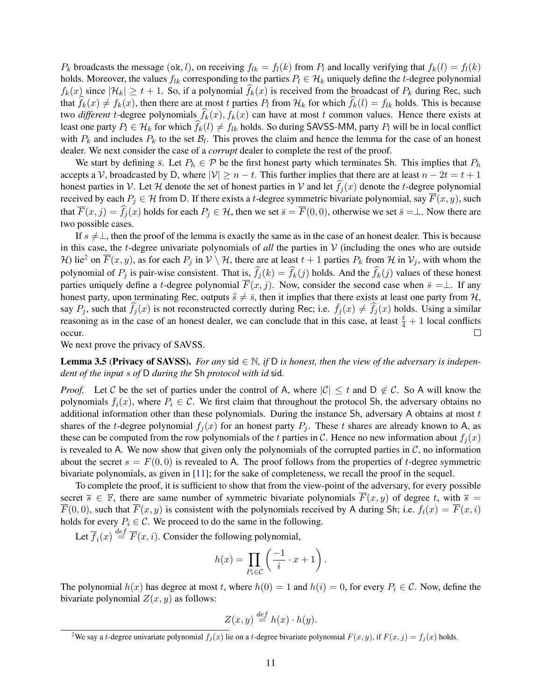$P_k$  broadcasts the message (ok, l), on receiving  $f_{lk} = f_l(k)$  from  $P_l$  and locally verifying that  $f_k(l) = f_l(k)$ holds. Moreover, the values  $f_{lk}$  corresponding to the parties  $P_l \in \mathcal{H}_k$  uniquely define the t-degree polynomial  $f_k(x)$  since  $|\mathcal{H}_k| \ge t + 1$ . So, if a polynomial  $f_k(x)$  is received from the broadcast of  $P_k$  during Rec, such that  $f_k(x) \neq f_k(x)$ , then there are at most t parties  $P_l$  from  $\mathcal{H}_k$  for which  $f_k(l) = f_{lk}$  holds. This is because two *different* t-degree polynomials  $f_k(x)$ ,  $f_k(x)$  can have at most t common values. Hence there exists at least one party  $P_l \in \mathcal{H}_k$  for which  $f_k(l) \neq f_{lk}$  holds. So during SAVSS-MM, party  $P_l$  will be in local conflict with  $P_k$  and includes  $P_k$  to the set  $\mathcal{B}_l$ . This proves the claim and hence the lemma for the case of an honest dealer. We next consider the case of a *corrupt* dealer to complete the rest of the proof.

We start by defining  $\bar{s}$ . Let  $P_h \in \mathcal{P}$  be the first honest party which terminates Sh. This implies that  $P_h$ accepts a V, broadcasted by D, where  $|V| \ge n - t$ . This further implies that there are at least  $n - 2t = t + 1$ honest parties in V. Let H denote the set of honest parties in V and let  $f_j(x)$  denote the t-degree polynomial received by each  $P_j \in H$  from D. If there exists a t-degree symmetric bivariate polynomial, say  $\overline{F}(x, y)$ , such that  $\overline{F}(x, j) = \widehat{f}_j(x)$  holds for each  $P_j \in \mathcal{H}$ , then we set  $\overline{s} = \overline{F}(0, 0)$ , otherwise we set  $\overline{s} = \perp$ . Now there are two possible cases.

If  $s \neq \perp$ , then the proof of the lemma is exactly the same as in the case of an honest dealer. This is because in this case, the t-degree univariate polynomials of *all* the parties in  $V$  (including the ones who are outside H) lie<sup>[2](#page-10-0)</sup> on  $\overline{F}(x, y)$ , as for each  $P_j$  in  $V \setminus H$ , there are at least  $t + 1$  parties  $P_k$  from H in  $V_j$ , with whom the polynomial of  $P_j$  is pair-wise consistent. That is,  $f_j(k) = f_k(j)$  holds. And the  $f_k(j)$  values of these honest parties uniquely define a t-degree polynomial  $\overline{F}(x, j)$ . Now, consider the second case when  $\overline{s} = \perp$ . If any honest party, upon terminating Rec, outputs  $\bar{s} \neq \bar{s}$ , then it implies that there exists at least one party from H, say  $P_j$ , such that  $f_j(x)$  is not reconstructed correctly during Rec; i.e.  $f_j(x) \neq f_j(x)$  holds. Using a similar reasoning as in the case of an honest dealer, we can conclude that in this case, at least  $\frac{t}{4} + 1$  local conflicts occur.

We next prove the privacy of SAVSS.

<span id="page-10-1"></span>**Lemma 3.5 (Privacy of SAVSS).** *For any* sid  $\in \mathbb{N}$ , if D is honest, then the view of the adversary is indepen*dent of the input* s *of* D *during the* Sh *protocol with id* sid*.*

*Proof.* Let C be the set of parties under the control of A, where  $|C| \le t$  and  $D \notin C$ . So A will know the polynomials  $f_i(x)$ , where  $P_i \in \mathcal{C}$ . We first claim that throughout the protocol Sh, the adversary obtains no additional information other than these polynomials. During the instance  $Sh$ , adversary A obtains at most  $t$ shares of the t-degree polynomial  $f_i(x)$  for an honest party  $P_i$ . These t shares are already known to A, as these can be computed from the row polynomials of the t parties in C. Hence no new information about  $f_i(x)$ is revealed to A. We now show that given only the polynomials of the corrupted parties in  $\mathcal{C}$ , no information about the secret  $s = F(0, 0)$  is revealed to A. The proof follows from the properties of t-degree symmetric bivariate polynomials, as given in [\[11\]](#page-33-14); for the sake of completeness, we recall the proof in the sequel.

To complete the proof, it is sufficient to show that from the view-point of the adversary, for every possible secret  $\overline{s} \in \mathbb{F}$ , there are same number of symmetric bivariate polynomials  $\overline{F}(x, y)$  of degree t, with  $\overline{s} =$  $\overline{F}(0,0)$ , such that  $\overline{F}(x,y)$  is consistent with the polynomials received by A during Sh; i.e.  $f_i(x) = \overline{F}(x,i)$ holds for every  $P_i \in \mathcal{C}$ . We proceed to do the same in the following.

Let  $\overline{f}_i(x) \stackrel{\text{def}}{=} \overline{F}(x, i)$ . Consider the following polynomial,

$$
h(x) = \prod_{P_i \in \mathcal{C}} \left( \frac{-1}{i} \cdot x + 1 \right).
$$

The polynomial  $h(x)$  has degree at most t, where  $h(0) = 1$  and  $h(i) = 0$ , for every  $P_i \in \mathcal{C}$ . Now, define the bivariate polynomial  $Z(x, y)$  as follows:

$$
Z(x, y) \stackrel{def}{=} h(x) \cdot h(y).
$$

<span id="page-10-0"></span><sup>&</sup>lt;sup>2</sup>We say a t-degree univariate polynomial  $f_i(x)$  lie on a t-degree bivariate polynomial  $F(x, y)$ , if  $F(x, j) = f_i(x)$  holds.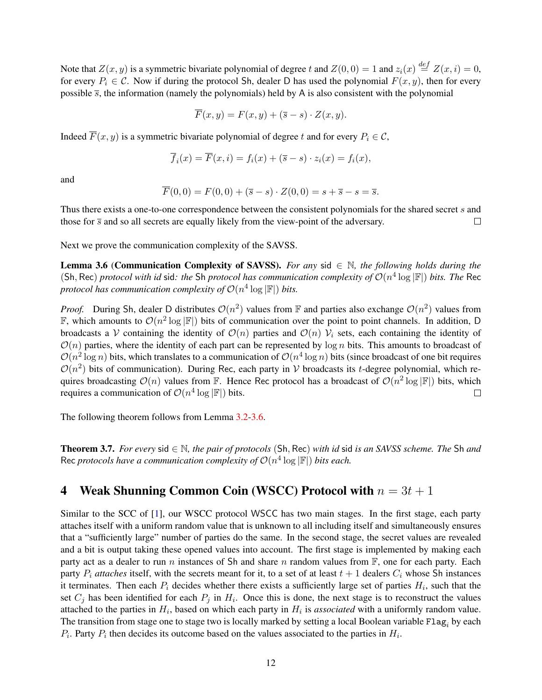Note that  $Z(x, y)$  is a symmetric bivariate polynomial of degree t and  $Z(0, 0) = 1$  and  $z_i(x) \stackrel{def}{=} Z(x, i) = 0$ , for every  $P_i \in \mathcal{C}$ . Now if during the protocol Sh, dealer D has used the polynomial  $F(x, y)$ , then for every possible  $\bar{s}$ , the information (namely the polynomials) held by A is also consistent with the polynomial

$$
\overline{F}(x, y) = F(x, y) + (\overline{s} - s) \cdot Z(x, y).
$$

Indeed  $\overline{F}(x, y)$  is a symmetric bivariate polynomial of degree t and for every  $P_i \in \mathcal{C}$ ,

$$
\overline{f}_i(x) = \overline{F}(x, i) = f_i(x) + (\overline{s} - s) \cdot z_i(x) = f_i(x),
$$

and

$$
\overline{F}(0,0) = F(0,0) + (\overline{s} - s) \cdot Z(0,0) = s + \overline{s} - s = \overline{s}.
$$

Thus there exists a one-to-one correspondence between the consistent polynomials for the shared secret s and those for  $\bar{s}$  and so all secrets are equally likely from the view-point of the adversary.  $\Box$ 

<span id="page-11-0"></span>Next we prove the communication complexity of the SAVSS.

Lemma 3.6 (Communication Complexity of SAVSS). *For any* sid ∈ N*, the following holds during the* (Sh, Rec) *protocol with id* sid: the Sh *protocol has communication complexity of*  $\mathcal{O}(n^4 \log |\mathbb{F}|)$  *bits. The* Rec protocol has communication complexity of  $\mathcal{O}(n^4 \log |\mathbb{F}|)$  bits.

*Proof.* During Sh, dealer D distributes  $\mathcal{O}(n^2)$  values from F and parties also exchange  $\mathcal{O}(n^2)$  values from F, which amounts to  $\mathcal{O}(n^2 \log |\mathbb{F}|)$  bits of communication over the point to point channels. In addition, D broadcasts a V containing the identity of  $\mathcal{O}(n)$  parties and  $\mathcal{O}(n)$  V<sub>i</sub> sets, each containing the identity of  $\mathcal{O}(n)$  parties, where the identity of each part can be represented by log n bits. This amounts to broadcast of  $\mathcal{O}(n^2 \log n)$  bits, which translates to a communication of  $\mathcal{O}(n^4 \log n)$  bits (since broadcast of one bit requires  $\mathcal{O}(n^2)$  bits of communication). During Rec, each party in V broadcasts its t-degree polynomial, which requires broadcasting  $\mathcal{O}(n)$  values from F. Hence Rec protocol has a broadcast of  $\mathcal{O}(n^2 \log |\mathbb{F}|)$  bits, which requires a communication of  $\mathcal{O}(n^4 \log |\mathbb{F}|)$  bits.  $\Box$ 

The following theorem follows from Lemma [3.2](#page-6-0)[-3.6.](#page-11-0)

Theorem 3.7. *For every* sid ∈ N*, the pair of protocols* (Sh, Rec) *with id* sid *is an SAVSS scheme. The* Sh *and* Rec *protocols have a communication complexity of*  $\mathcal{O}(n^4 \log |\mathbb{F}|)$  *bits each.* 

# <span id="page-11-1"></span>4 Weak Shunning Common Coin (WSCC) Protocol with  $n = 3t + 1$

Similar to the SCC of [\[1\]](#page-33-8), our WSCC protocol WSCC has two main stages. In the first stage, each party attaches itself with a uniform random value that is unknown to all including itself and simultaneously ensures that a "sufficiently large" number of parties do the same. In the second stage, the secret values are revealed and a bit is output taking these opened values into account. The first stage is implemented by making each party act as a dealer to run n instances of Sh and share n random values from  $\mathbb{F}$ , one for each party. Each party  $P_i$  *attaches* itself, with the secrets meant for it, to a set of at least  $t + 1$  dealers  $C_i$  whose Sh instances it terminates. Then each  $P_i$  decides whether there exists a sufficiently large set of parties  $H_i$ , such that the set  $C_j$  has been identified for each  $P_j$  in  $H_i$ . Once this is done, the next stage is to reconstruct the values attached to the parties in  $H_i$ , based on which each party in  $H_i$  is *associated* with a uniformly random value. The transition from stage one to stage two is locally marked by setting a local Boolean variable  $\texttt{Flag}_i$  by each  $P_i$ . Party  $P_i$  then decides its outcome based on the values associated to the parties in  $H_i$ .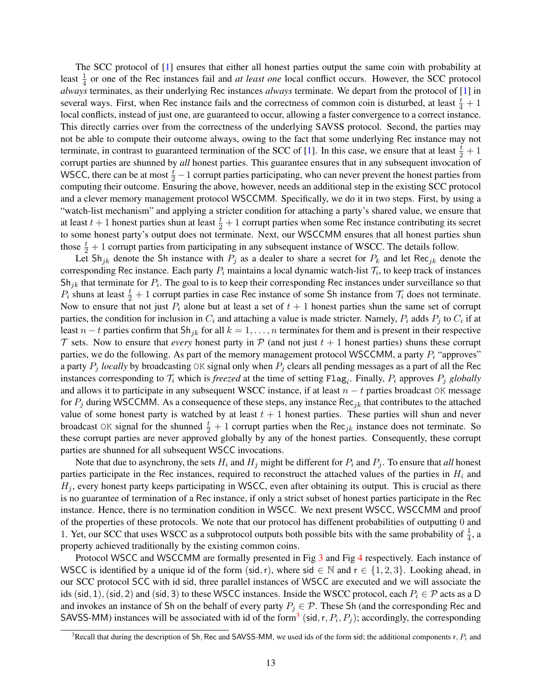The SCC protocol of [\[1\]](#page-33-8) ensures that either all honest parties output the same coin with probability at least  $\frac{1}{4}$  or one of the Rec instances fail and *at least one* local conflict occurs. However, the SCC protocol *always* terminates, as their underlying Rec instances *always* terminate. We depart from the protocol of [\[1\]](#page-33-8) in several ways. First, when Rec instance fails and the correctness of common coin is disturbed, at least  $\frac{t}{4} + 1$ local conflicts, instead of just one, are guaranteed to occur, allowing a faster convergence to a correct instance. This directly carries over from the correctness of the underlying SAVSS protocol. Second, the parties may not be able to compute their outcome always, owing to the fact that some underlying Rec instance may not terminate, in contrast to guaranteed termination of the SCC of [\[1\]](#page-33-8). In this case, we ensure that at least  $\frac{t}{2} + 1$ corrupt parties are shunned by *all* honest parties. This guarantee ensures that in any subsequent invocation of WSCC, there can be at most  $\frac{t}{2} - 1$  corrupt parties participating, who can never prevent the honest parties from computing their outcome. Ensuring the above, however, needs an additional step in the existing SCC protocol and a clever memory management protocol WSCCMM. Specifically, we do it in two steps. First, by using a "watch-list mechanism" and applying a stricter condition for attaching a party's shared value, we ensure that at least  $t+1$  honest parties shun at least  $\frac{t}{2}+1$  corrupt parties when some Rec instance contributing its secret to some honest party's output does not terminate. Next, our WSCCMM ensures that all honest parties shun those  $\frac{t}{2} + 1$  corrupt parties from participating in any subsequent instance of WSCC. The details follow.

Let Sh<sub>jk</sub> denote the Sh instance with  $P_i$  as a dealer to share a secret for  $P_k$  and let Rec<sub>jk</sub> denote the corresponding Rec instance. Each party  $P_i$  maintains a local dynamic watch-list  $\mathcal{T}_i$ , to keep track of instances Sh<sub>jk</sub> that terminate for  $P_i$ . The goal to is to keep their corresponding Rec instances under surveillance so that  $P_i$  shuns at least  $\frac{t}{2} + 1$  corrupt parties in case Rec instance of some Sh instance from  $\mathcal{T}_i$  does not terminate. Now to ensure that not just  $P_i$  alone but at least a set of  $t + 1$  honest parties shun the same set of corrupt parties, the condition for inclusion in  $C_i$  and attaching a value is made stricter. Namely,  $P_i$  adds  $P_j$  to  $C_i$  if at least  $n - t$  parties confirm that Sh<sub>jk</sub> for all  $k = 1, \ldots, n$  terminates for them and is present in their respective  $\tau$  sets. Now to ensure that *every* honest party in  $\mathcal P$  (and not just  $t + 1$  honest parties) shuns these corrupt parties, we do the following. As part of the memory management protocol WSCCMM, a party  $P_i$  "approves" a party  $P_j$  *locally* by broadcasting OK signal only when  $P_j$  clears all pending messages as a part of all the Rec instances corresponding to  $\mathcal{T}_i$  which is *freezed* at the time of setting  $\text{Flag}_i$ . Finally,  $P_i$  approves  $P_j$  *globally* and allows it to participate in any subsequent WSCC instance, if at least  $n - t$  parties broadcast OK message for  $P_i$  during WSCCMM. As a consequence of these steps, any instance Rec<sub>ik</sub> that contributes to the attached value of some honest party is watched by at least  $t + 1$  honest parties. These parties will shun and never broadcast OK signal for the shunned  $\frac{t}{2} + 1$  corrupt parties when the Rec<sub>jk</sub> instance does not terminate. So these corrupt parties are never approved globally by any of the honest parties. Consequently, these corrupt parties are shunned for all subsequent WSCC invocations.

Note that due to asynchrony, the sets  $H_i$  and  $H_j$  might be different for  $P_i$  and  $P_j$ . To ensure that *all* honest parties participate in the Rec instances, required to reconstruct the attached values of the parties in  $H_i$  and  $H<sub>i</sub>$ , every honest party keeps participating in WSCC, even after obtaining its output. This is crucial as there is no guarantee of termination of a Rec instance, if only a strict subset of honest parties participate in the Rec instance. Hence, there is no termination condition in WSCC. We next present WSCC, WSCCMM and proof of the properties of these protocols. We note that our protocol has diffenent probabilities of outputting 0 and 1. Yet, our SCC that uses WSCC as a subprotocol outputs both possible bits with the same probability of  $\frac{1}{4}$ , a property achieved traditionally by the existing common coins.

Protocol WSCC and WSCCMM are formally presented in Fig [3](#page-13-0) and Fig [4](#page-14-0) respectively. Each instance of WSCC is identified by a unique id of the form (sid, r), where sid  $\in \mathbb{N}$  and  $r \in \{1, 2, 3\}$ . Looking ahead, in our SCC protocol SCC with id sid, three parallel instances of WSCC are executed and we will associate the ids (sid, 1), (sid, 2) and (sid, 3) to these WSCC instances. Inside the WSCC protocol, each  $P_i \in \mathcal{P}$  acts as a D and invokes an instance of Sh on the behalf of every party  $P_j \in \mathcal{P}$ . These Sh (and the corresponding Rec and SAVSS-MM) instances will be associated with id of the form<sup>[3](#page-12-0)</sup> (sid, r,  $P_i$ ,  $P_j$ ); accordingly, the corresponding

<span id="page-12-0"></span><sup>&</sup>lt;sup>3</sup>Recall that during the description of Sh, Rec and SAVSS-MM, we used ids of the form sid; the additional components  $r, P_i$  and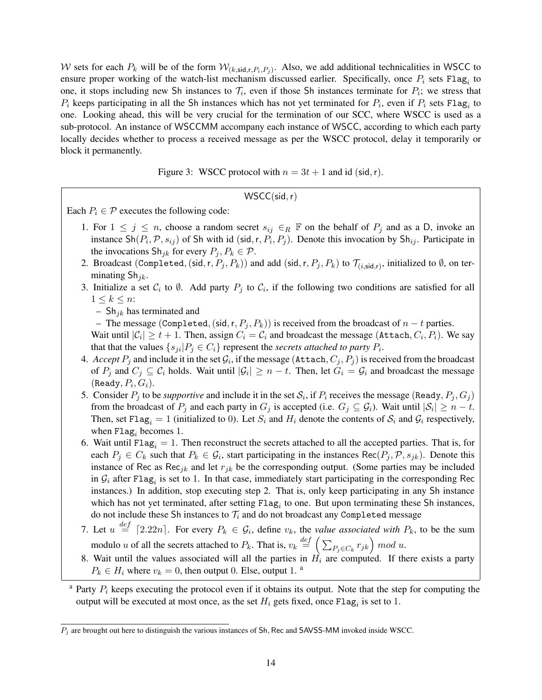W sets for each  $P_k$  will be of the form  $W_{(k, \text{sid}, r, P_i, P_j)}$ . Also, we add additional technicalities in WSCC to ensure proper working of the watch-list mechanism discussed earlier. Specifically, once  $P_i$  sets Flag<sub>i</sub> to one, it stops including new Sh instances to  $\mathcal{T}_i$ , even if those Sh instances terminate for  $P_i$ ; we stress that  $P_i$  keeps participating in all the Sh instances which has not yet terminated for  $P_i$ , even if  $P_i$  sets Flag<sub>i</sub> to one. Looking ahead, this will be very crucial for the termination of our SCC, where WSCC is used as a sub-protocol. An instance of WSCCMM accompany each instance of WSCC, according to which each party locally decides whether to process a received message as per the WSCC protocol, delay it temporarily or block it permanently.

Figure 3: WSCC protocol with  $n = 3t + 1$  and id (sid, r).

$$
\mathsf{WSCC}(\mathsf{sid},\mathsf{r})
$$

<span id="page-13-0"></span>Each  $P_i \in \mathcal{P}$  executes the following code:

- 1. For  $1 \leq j \leq n$ , choose a random secret  $s_{ij} \in_R \mathbb{F}$  on the behalf of  $P_j$  and as a D, invoke an instance  $\text{Sh}(P_i, \mathcal{P}, s_{ij})$  of Sh with id (sid, r,  $P_i, P_j$ ). Denote this invocation by Sh<sub>ij</sub>. Participate in the invocations  $\text{Sh}_{jk}$  for every  $P_j, P_k \in \mathcal{P}$ .
- 2. Broadcast (Completed, (sid, r,  $P_j, P_k$ )) and add (sid, r,  $P_j, P_k$ ) to  $\mathcal{T}_{(i,\mathsf{sid},r)},$  initialized to  $\emptyset$ , on terminating  $\textsf{Sh}_{ik}$ .
- 3. Initialize a set  $C_i$  to  $\emptyset$ . Add party  $P_j$  to  $C_i$ , if the following two conditions are satisfied for all  $1 \leq k \leq n$ :
	- Sh<sub>ik</sub> has terminated and

– The message (Completed, (sid, r,  $P_i$ ,  $P_k$ )) is received from the broadcast of  $n - t$  parties.

Wait until  $|\mathcal{C}_i|\geq t+1.$  Then, assign  $C_i=\mathcal{C}_i$  and broadcast the message (Attach,  $C_i,P_i$ ). We say that that the values  $\{s_{ji} | P_j \in C_i\}$  represent the *secrets attached to party*  $P_i$ .

- 4.  $\emph{Accept } P_j$  and include it in the set  $\mathcal{G}_i,$  if the message (Attach,  $C_j, P_j)$  is received from the broadcast of  $P_j$  and  $C_j \subseteq C_i$  holds. Wait until  $|\mathcal{G}_i| \ge n - t$ . Then, let  $G_i = \mathcal{G}_i$  and broadcast the message  $(\mathtt{Ready}, P_i, G_i).$
- 5. Consider  $P_j$  to be *supportive* and include it in the set  $S_i$ , if  $P_i$  receives the message (Ready,  $P_j$ ,  $G_j$ ) from the broadcast of  $P_j$  and each party in  $G_j$  is accepted (i.e.  $G_j \subseteq G_i$ ). Wait until  $|\mathcal{S}_i| \ge n - t$ . Then, set Flag<sub>i</sub> = 1 (initialized to 0). Let  $S_i$  and  $H_i$  denote the contents of  $S_i$  and  $G_i$  respectively, when  $Flag_i$  becomes 1.
- 6. Wait until Flag<sub>i</sub> = 1. Then reconstruct the secrets attached to all the accepted parties. That is, for each  $P_j \in C_k$  such that  $P_k \in \mathcal{G}_i$ , start participating in the instances  $\text{Rec}(P_j, \mathcal{P}, s_{jk})$ . Denote this instance of Rec as Rec<sub>jk</sub> and let  $r_{jk}$  be the corresponding output. (Some parties may be included in  $G_i$  after Flag<sub>i</sub> is set to 1. In that case, immediately start participating in the corresponding Rec instances.) In addition, stop executing step 2. That is, only keep participating in any Sh instance which has not yet terminated, after setting  $Flag_i$  to one. But upon terminating these Sh instances, do not include these Sh instances to  $\mathcal{T}_i$  and do not broadcast any Completed message
- 7. Let  $u \stackrel{def}{=} [2.22n]$ . For every  $P_k \in \mathcal{G}_i$ , define  $v_k$ , the *value associated with*  $P_k$ , to be the sum modulo u of all the secrets attached to  $P_k$ . That is,  $v_k \stackrel{def}{=} \left( \sum_{P_j \in C_k} r_{jk} \right) \mod u$ .
- 8. Wait until the values associated will all the parties in  $H_i$  are computed. If there exists a party  $P_k \in H_i$  where  $v_k = 0$ , then output 0. Else, output 1. <sup>a</sup>

<sup>&</sup>lt;sup>a</sup> Party  $P_i$  keeps executing the protocol even if it obtains its output. Note that the step for computing the output will be executed at most once, as the set  $H_i$  gets fixed, once  $\text{Flag}_i$  is set to 1.

 $P_j$  are brought out here to distinguish the various instances of Sh, Rec and SAVSS-MM invoked inside WSCC.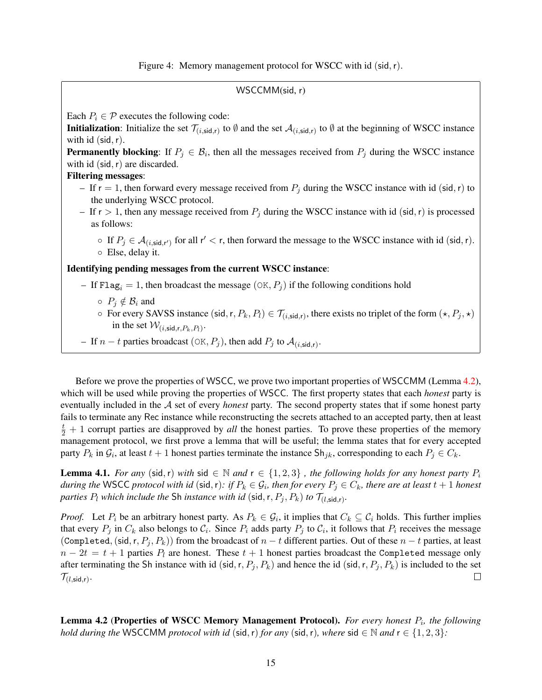Figure 4: Memory management protocol for WSCC with id (sid, r).

WSCCMM(sid, r)

<span id="page-14-0"></span>Each  $P_i \in \mathcal{P}$  executes the following code:

**Initialization**: Initialize the set  $\mathcal{T}_{(i,\text{sid},r)}$  to  $\emptyset$  and the set  $\mathcal{A}_{(i,\text{sid},r)}$  to  $\emptyset$  at the beginning of WSCC instance with id  $(sid, r)$ .

**Permanently blocking:** If  $P_j \in \mathcal{B}_i$ , then all the messages received from  $P_j$  during the WSCC instance with id  $(sid, r)$  are discarded.

#### Filtering messages:

- If  $r = 1$ , then forward every message received from  $P_i$  during the WSCC instance with id (sid, r) to the underlying WSCC protocol.
- If  $r > 1$ , then any message received from  $P_j$  during the WSCC instance with id (sid, r) is processed as follows:

 $\circ$  If  $P_j \in \mathcal{A}_{(i, \text{sid}, r') }$  for all  $r' < r$ , then forward the message to the WSCC instance with id (sid, r). ◦ Else, delay it.

#### Identifying pending messages from the current WSCC instance:

- If Flag<sub>i</sub> = 1, then broadcast the message  $(\alpha K, P_i)$  if the following conditions hold
	- $\circ$   $P_j \notin \mathcal{B}_i$  and
	- $\circ$  For every SAVSS instance (sid, r,  $P_k, P_l) \in \mathcal{T}_{(i, \text{sid}, r)}$ , there exists no triplet of the form  $(\star, P_j, \star)$ in the set  $\mathcal{W}_{(i,\text{sid},r,P_k,P_l)}$ .
- − If *n* − *t* parties broadcast (OK,  $P_j$ ), then add  $P_j$  to  $\mathcal{A}_{(i, \text{sid}, r)}$ .

Before we prove the properties of WSCC, we prove two important properties of WSCCMM (Lemma [4.2\)](#page-14-1), which will be used while proving the properties of WSCC. The first property states that each *honest* party is eventually included in the A set of every *honest* party. The second property states that if some honest party fails to terminate any Rec instance while reconstructing the secrets attached to an accepted party, then at least  $\frac{t}{2}$  + 1 corrupt parties are disapproved by *all* the honest parties. To prove these properties of the memory management protocol, we first prove a lemma that will be useful; the lemma states that for every accepted party  $P_k$  in  $\mathcal{G}_i$ , at least  $t+1$  honest parties terminate the instance  $\textsf{Sh}_{jk}$ , corresponding to each  $P_j \in C_k$ .

<span id="page-14-2"></span>**Lemma 4.1.** *For any* (sid, r) *with* sid  $\in \mathbb{N}$  *and*  $r \in \{1, 2, 3\}$ , *the following holds for any honest party*  $P_i$  $during$  the WSCC protocol with id (sid, r): if  $P_k \in \mathcal{G}_i$ , then for every  $P_j \in C_k$ , there are at least  $t+1$  honest *parties*  $P_l$  *which include the* Sh *instance with id* (sid, r,  $P_j, P_k$ ) *to*  $\mathcal{T}_{(l, \text{sid}, r)}$ *.* 

*Proof.* Let  $P_i$  be an arbitrary honest party. As  $P_k \in G_i$ , it implies that  $C_k \subseteq C_i$  holds. This further implies that every  $P_j$  in  $C_k$  also belongs to  $C_i$ . Since  $P_i$  adds party  $P_j$  to  $C_i$ , it follows that  $P_i$  receives the message (Completed, (sid, r,  $P_j$ ,  $P_k$ )) from the broadcast of  $n - t$  different parties. Out of these  $n - t$  parties, at least  $n - 2t = t + 1$  parties  $P_l$  are honest. These  $t + 1$  honest parties broadcast the Completed message only after terminating the Sh instance with id (sid, r,  $P_j$ ,  $P_k$ ) and hence the id (sid, r,  $P_j$ ,  $P_k$ ) is included to the set  $\mathcal{T}_{(l,\mathsf{sid},\mathsf{r})}.$  $\Box$ 

<span id="page-14-1"></span>Lemma 4.2 (Properties of WSCC Memory Management Protocol). For every honest  $P_i$ , the following *hold during the* WSCCMM *protocol with id* (sid, r) *for any* (sid, r), where sid  $\in \mathbb{N}$  *and*  $r \in \{1, 2, 3\}$ :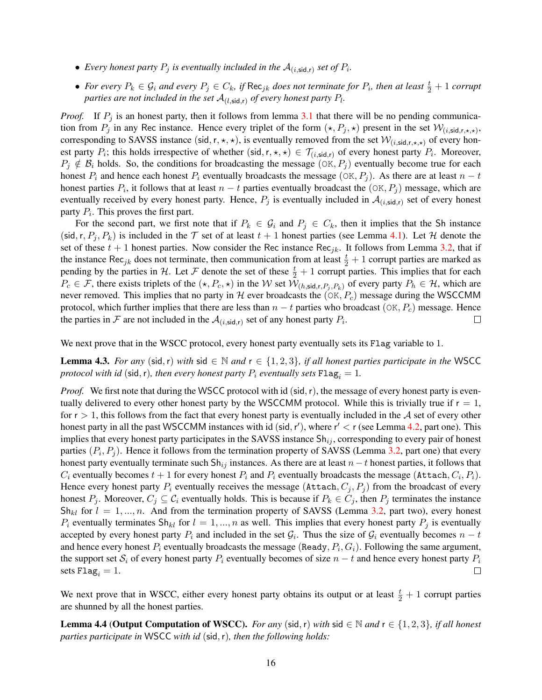- Every honest party  $P_j$  is eventually included in the  $\mathcal{A}_{(i, \text{sid}, r)}$  set of  $P_i$ .
- For every  $P_k \in \mathcal{G}_i$  and every  $P_j \in C_k$ , if  $\mathsf{Rec}_{jk}$  does not terminate for  $P_i$ , then at least  $\frac{t}{2}+1$  corrupt parties are not included in the set  $\mathcal{A}_{(l,\mathsf{sid},\mathsf{r})}$  of every honest party  $P_l$ .

*Proof.* If  $P_j$  is an honest party, then it follows from lemma [3.1](#page-6-1) that there will be no pending communication from  $P_j$  in any Rec instance. Hence every triplet of the form  $(\star, P_j, \star)$  present in the set  $\mathcal{W}_{(i, sid,r,\star,\star)}$ , corresponding to SAVSS instance (sid, r,  $\star$ ,  $\star$ ), is eventually removed from the set  $\mathcal{W}_{(i,\text{sid},r,\star,\star)}$  of every honest party  $P_i$ ; this holds irrespective of whether (sid,  $r, \star, \star$ )  $\in$   $\mathcal{T}_{(i, \text{sid}, r)}$  of every honest party  $P_i$ . Moreover,  $P_j \notin \mathcal{B}_i$  holds. So, the conditions for broadcasting the message (OK,  $P_j$ ) eventually become true for each honest  $P_i$  and hence each honest  $P_i$  eventually broadcasts the message (OK,  $P_i$ ). As there are at least  $n - t$ honest parties  $P_i$ , it follows that at least  $n - t$  parties eventually broadcast the  $(OK, P_j)$  message, which are eventually received by every honest party. Hence,  $P_j$  is eventually included in  $\mathcal{A}_{(i,\text{sid},r)}$  set of every honest party  $P_i$ . This proves the first part.

For the second part, we first note that if  $P_k \in \mathcal{G}_i$  and  $P_j \in C_k$ , then it implies that the Sh instance (sid, r,  $P_i, P_k$ ) is included in the  $\mathcal T$  set of at least  $t + 1$  honest parties (see Lemma [4.1\)](#page-14-2). Let  $\mathcal H$  denote the set of these  $t + 1$  honest parties. Now consider the Rec instance Rec<sub>jk</sub>. It follows from Lemma [3.2,](#page-6-0) that if the instance Rec<sub>jk</sub> does not terminate, then communication from at least  $\frac{t}{2} + 1$  corrupt parties are marked as pending by the parties in H. Let F denote the set of these  $\frac{t}{2} + 1$  corrupt parties. This implies that for each  $P_c \in \mathcal{F}$ , there exists triplets of the  $(\star, P_c, \star)$  in the W set  $\mathcal{W}_{(h, \mathsf{sid}, r, P_i, P_k)}$  of every party  $P_h \in \mathcal{H}$ , which are never removed. This implies that no party in H ever broadcasts the  $(OK, P_c)$  message during the WSCCMM protocol, which further implies that there are less than  $n - t$  parties who broadcast (OK,  $P_c$ ) message. Hence the parties in F are not included in the  $\mathcal{A}_{(i, \text{sid}, r)}$  set of any honest party  $P_i$ .  $\Box$ 

We next prove that in the WSCC protocol, every honest party eventually sets its Flag variable to 1.

<span id="page-15-0"></span>**Lemma 4.3.** *For any* (sid, r) *with* sid ∈ N *and*  $r$  ∈ {1, 2, 3}, *if all honest parties participate in the* WSCC *protocol with id* (sid, r), then every honest party  $P_i$  eventually sets  $\text{Flag}_i = 1$ .

*Proof.* We first note that during the WSCC protocol with id (sid, r), the message of every honest party is eventually delivered to every other honest party by the WSCCMM protocol. While this is trivially true if  $r = 1$ , for  $r > 1$ , this follows from the fact that every honest party is eventually included in the A set of every other honest party in all the past WSCCMM instances with id (sid, r'), where  $r' < r$  (see Lemma [4.2,](#page-14-1) part one). This implies that every honest party participates in the SAVSS instance  $Sh_{ij}$ , corresponding to every pair of honest parties  $(P_i, P_j)$ . Hence it follows from the termination property of SAVSS (Lemma [3.2,](#page-6-0) part one) that every honest party eventually terminate such  $\text{Sh}_{ij}$  instances. As there are at least  $n-t$  honest parties, it follows that  $C_i$  eventually becomes  $t+1$  for every honest  $P_i$  and  $P_i$  eventually broadcasts the message (Attach,  $C_i, P_i$ ). Hence every honest party  $P_i$  eventually receives the message (Attach,  $C_j$ ,  $P_j$ ) from the broadcast of every honest  $P_j$ . Moreover,  $C_j \subseteq C_i$  eventually holds. This is because if  $P_k \in C_j$ , then  $P_j$  terminates the instance  $Sh_{kl}$  for  $l = 1, ..., n$ . And from the termination property of SAVSS (Lemma [3.2,](#page-6-0) part two), every honest  $P_i$  eventually terminates Sh<sub>kl</sub> for  $l = 1, ..., n$  as well. This implies that every honest party  $P_j$  is eventually accepted by every honest party  $P_i$  and included in the set  $G_i$ . Thus the size of  $G_i$  eventually becomes  $n - t$ and hence every honest  $P_i$  eventually broadcasts the message (Ready,  $P_i$ ,  $G_i$ ). Following the same argument, the support set  $S_i$  of every honest party  $P_i$  eventually becomes of size  $n - t$  and hence every honest party  $P_i$  $\Box$ sets  $\text{Flag}_i = 1$ .

We next prove that in WSCC, either every honest party obtains its output or at least  $\frac{t}{2} + 1$  corrupt parties are shunned by all the honest parties.

<span id="page-15-1"></span>**Lemma 4.4 (Output Computation of WSCC).** *For any* (sid, r) *with* sid ∈ N *and*  $r$  ∈ {1, 2, 3}*, if all honest parties participate in* WSCC *with id* (sid,r)*, then the following holds:*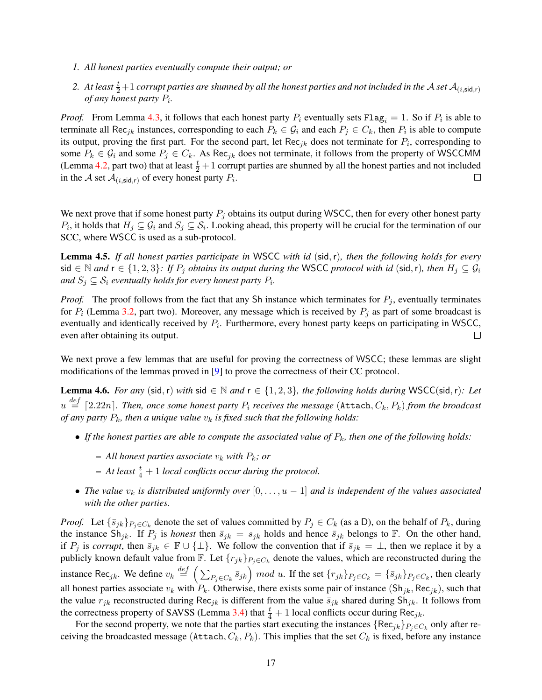- *1. All honest parties eventually compute their output; or*
- 2. At least  $\frac{t}{2}+1$  corrupt parties are shunned by all the honest parties and not included in the  ${\cal A}$  set  ${\cal A}_{(i,{\rm sid},r)}$ *of any honest party* P<sup>i</sup> *.*

*Proof.* From Lemma [4.3,](#page-15-0) it follows that each honest party  $P_i$  eventually sets  $Flag_i = 1$ . So if  $P_i$  is able to terminate all Rec<sub>jk</sub> instances, corresponding to each  $P_k \in G_i$  and each  $P_j \in C_k$ , then  $P_i$  is able to compute its output, proving the first part. For the second part, let Rec<sub>jk</sub> does not terminate for  $P_i$ , corresponding to some  $P_k \in \mathcal{G}_i$  and some  $P_j \in C_k$ . As Rec<sub>jk</sub> does not terminate, it follows from the property of WSCCMM (Lemma [4.2,](#page-14-1) part two) that at least  $\frac{t}{2} + 1$  corrupt parties are shunned by all the honest parties and not included in the A set  $\mathcal{A}_{(i, \text{sid}, r)}$  of every honest party  $P_i$ .  $\Box$ 

We next prove that if some honest party  $P_j$  obtains its output during WSCC, then for every other honest party  $P_i$ , it holds that  $H_j \subseteq G_i$  and  $S_j \subseteq S_i$ . Looking ahead, this property will be crucial for the termination of our SCC, where WSCC is used as a sub-protocol.

<span id="page-16-1"></span>Lemma 4.5. *If all honest parties participate in* WSCC *with id* (sid,r)*, then the following holds for every* sid ∈ N and  $r$  ∈ {1, 2, 3}: If  $P_j$  *obtains its output during the* WSCC *protocol with id* (sid, r), then  $H_j ⊆ G_i$ and  $S_j \subseteq \mathcal{S}_i$  eventually holds for every honest party  $P_i$ .

*Proof.* The proof follows from the fact that any Sh instance which terminates for  $P_j$ , eventually terminates for  $P_i$  (Lemma [3.2,](#page-6-0) part two). Moreover, any message which is received by  $P_j$  as part of some broadcast is eventually and identically received by  $P_i$ . Furthermore, every honest party keeps on participating in WSCC, even after obtaining its output.  $\Box$ 

We next prove a few lemmas that are useful for proving the correctness of WSCC; these lemmas are slight modifications of the lemmas proved in [\[9\]](#page-33-6) to prove the correctness of their CC protocol.

<span id="page-16-0"></span>Lemma 4.6. *For any* (sid,r) *with* sid ∈ N *and* r ∈ {1, 2, 3}*, the following holds during* WSCC(sid,r)*: Let*  $u\stackrel{def}{=} \lceil 2.22n\rceil$ . Then, once some honest party  $P_i$  receives the message  $(\texttt{Attach}, C_k, P_k)$  from the broadcast *of any party*  $P_k$ *, then a unique value*  $v_k$  *is fixed such that the following holds:* 

- If the honest parties are able to compute the associated value of  $P_k$ , then one of the following holds:
	- $-$  *All honest parties associate*  $v_k$  *with*  $P_k$ *; or*
	- $-$  At least  $\frac{t}{4} + 1$  *local conflicts occur during the protocol.*
- The value  $v_k$  is distributed uniformly over  $[0, \ldots, u-1]$  and is independent of the values associated *with the other parties.*

*Proof.* Let  $\{\bar{s}_{jk}\}_{P_j \in C_k}$  denote the set of values committed by  $P_j \in C_k$  (as a D), on the behalf of  $P_k$ , during the instance  $\text{Sh}_{jk}$ . If  $P_j$  is *honest* then  $\bar{s}_{jk} = s_{jk}$  holds and hence  $\bar{s}_{jk}$  belongs to F. On the other hand, if  $P_j$  is *corrupt*, then  $\bar{s}_{jk} \in \mathbb{F} \cup \{\perp\}$ . We follow the convention that if  $\bar{s}_{jk} = \perp$ , then we replace it by a publicly known default value from  $\mathbb{F}$ . Let  $\{r_{jk}\}_{P_j \in C_k}$  denote the values, which are reconstructed during the instance Rec<sub>jk</sub>. We define  $v_k \stackrel{def}{=} \left( \sum_{P_j \in C_k} \bar{s}_{jk} \right) \mod u$ . If the set  $\{r_{jk}\}_{P_j \in C_k} = \{\bar{s}_{jk}\}_{P_j \in C_k}$ , then clearly all honest parties associate  $v_k$  with  $P_k$ . Otherwise, there exists some pair of instance (Sh<sub>jk</sub>, Rec<sub>jk</sub>), such that the value  $r_{jk}$  reconstructed during Rec<sub>jk</sub> is different from the value  $\bar{s}_{jk}$  shared during Sh<sub>jk</sub>. It follows from the correctness property of SAVSS (Lemma [3.4\)](#page-9-0) that  $\frac{t}{4} + 1$  local conflicts occur during Rec<sub>jk</sub>.

For the second property, we note that the parties start executing the instances  $\{Rec_{jk}\}_{P_j \in C_k}$  only after receiving the broadcasted message (Attach,  $C_k$ ,  $P_k$ ). This implies that the set  $C_k$  is fixed, before any instance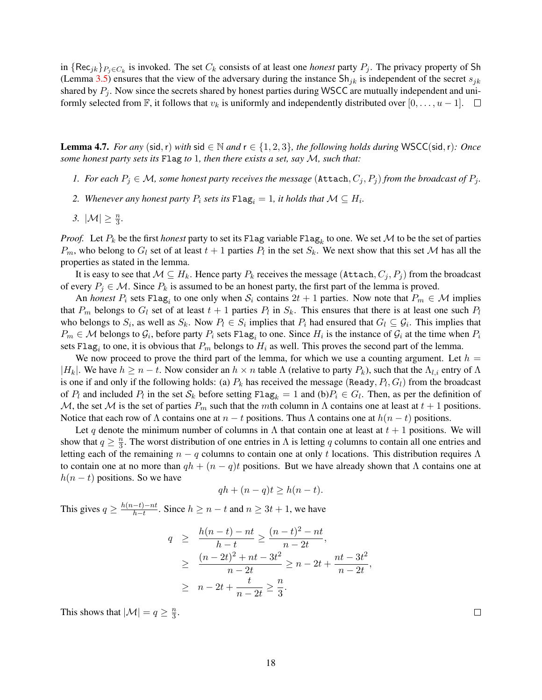in  $\{Rec_{jk}\}_{P_j \in C_k}$  is invoked. The set  $C_k$  consists of at least one *honest* party  $P_j$ . The privacy property of Sh (Lemma [3.5\)](#page-10-1) ensures that the view of the adversary during the instance  $\text{Sh}_{ik}$  is independent of the secret  $s_{jk}$ shared by  $P_i$ . Now since the secrets shared by honest parties during WSCC are mutually independent and uniformly selected from F, it follows that  $v_k$  is uniformly and independently distributed over  $[0, \ldots, u-1]$ .  $\Box$ 

<span id="page-17-0"></span>**Lemma 4.7.** *For any* (sid, r) *with* sid ∈ N *and*  $r$  ∈ {1, 2, 3}, *the following holds during* WSCC(sid, r)*: Once some honest party sets its* Flag *to* 1*, then there exists a set, say* M*, such that:*

- *1. For each*  $P_i \in \mathcal{M}$ , *some honest party receives the message* (Attach,  $C_i$ ,  $P_i$ ) *from the broadcast of*  $P_i$ .
- 2. *Whenever any honest party*  $P_i$  *sets its*  $\text{Flag}_i = 1$ *, it holds that*  $\mathcal{M} \subseteq H_i$ *.*
- 3.  $|\mathcal{M}| \geq \frac{n}{3}$ .

*Proof.* Let  $P_k$  be the first *honest* party to set its Flag variable Flag<sub>k</sub> to one. We set  $M$  to be the set of parties  $P_m$ , who belong to  $G_l$  set of at least  $t + 1$  parties  $P_l$  in the set  $S_k$ . We next show that this set M has all the properties as stated in the lemma.

It is easy to see that  $M \subseteq H_k$ . Hence party  $P_k$  receives the message (Attach,  $C_j, P_j$ ) from the broadcast of every  $P_i \in \mathcal{M}$ . Since  $P_k$  is assumed to be an honest party, the first part of the lemma is proved.

An *honest*  $P_i$  sets Flag<sub>i</sub> to one only when  $S_i$  contains  $2t + 1$  parties. Now note that  $P_m \in \mathcal{M}$  implies that  $P_m$  belongs to  $G_l$  set of at least  $t + 1$  parties  $P_l$  in  $S_k$ . This ensures that there is at least one such  $P_l$ who belongs to  $S_i$ , as well as  $S_k$ . Now  $P_l \in S_i$  implies that  $P_i$  had ensured that  $G_l \subseteq G_i$ . This implies that  $P_m \in \mathcal{M}$  belongs to  $\mathcal{G}_i$ , before party  $P_i$  sets Flag<sub>i</sub> to one. Since  $H_i$  is the instance of  $\mathcal{G}_i$  at the time when  $P_i$ sets Flag<sub>i</sub> to one, it is obvious that  $P_m$  belongs to  $H_i$  as well. This proves the second part of the lemma.

We now proceed to prove the third part of the lemma, for which we use a counting argument. Let  $h =$  $|H_k|$ . We have  $h \ge n-t$ . Now consider an  $h \times n$  table  $\Lambda$  (relative to party  $P_k$ ), such that the  $\Lambda_{l,i}$  entry of  $\Lambda$ is one if and only if the following holds: (a)  $P_k$  has received the message (Ready,  $P_l$ ,  $G_l$ ) from the broadcast of  $P_l$  and included  $P_l$  in the set  $S_k$  before setting  $Flag_k = 1$  and  $(b)P_i \in G_l$ . Then, as per the definition of M, the set M is the set of parties  $P_m$  such that the mth column in  $\Lambda$  contains one at least at  $t + 1$  positions. Notice that each row of  $\Lambda$  contains one at  $n - t$  positions. Thus  $\Lambda$  contains one at  $h(n - t)$  positions.

Let q denote the minimum number of columns in Λ that contain one at least at  $t + 1$  positions. We will show that  $q \geq \frac{n}{3}$  $\frac{n}{3}$ . The worst distribution of one entries in  $\Lambda$  is letting q columns to contain all one entries and letting each of the remaining  $n - q$  columns to contain one at only t locations. This distribution requires  $\Lambda$ to contain one at no more than  $qh + (n - q)t$  positions. But we have already shown that  $\Lambda$  contains one at  $h(n - t)$  positions. So we have

$$
qh + (n - q)t \ge h(n - t).
$$

This gives  $q \geq \frac{h(n-t)-nt}{h-t}$  $\frac{-t}{h-t}$ . Since  $h \ge n - t$  and  $n \ge 3t + 1$ , we have

$$
q \ge \frac{h(n-t) - nt}{h-t} \ge \frac{(n-t)^2 - nt}{n-2t},
$$
  
 
$$
\ge \frac{(n-2t)^2 + nt - 3t^2}{n-2t} \ge n - 2t + \frac{nt - 3t^2}{n-2t}
$$
  
 
$$
\ge n - 2t + \frac{t}{n-2t} \ge \frac{n}{3}.
$$

,

<span id="page-17-1"></span>This shows that  $|\mathcal{M}| = q \geq \frac{n}{3}$  $\frac{n}{3}$ .

 $\Box$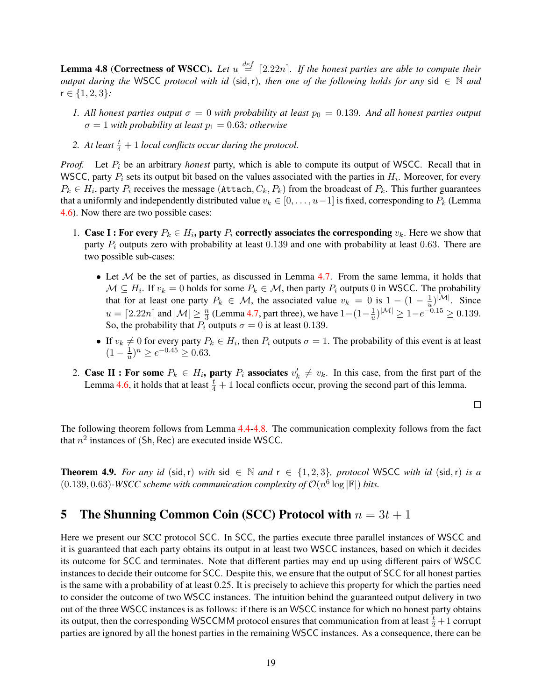**Lemma 4.8 (Correctness of WSCC).** Let  $u \stackrel{def}{=} [2.22n]$ . If the honest parties are able to compute their *output during the* WSCC *protocol with id* (sid, r), then one of the following holds for any sid  $\in \mathbb{N}$  and r ∈ {1, 2, 3}*:*

- *1.* All honest parties output  $\sigma = 0$  with probability at least  $p_0 = 0.139$ . And all honest parties output  $\sigma = 1$  *with probability at least*  $p_1 = 0.63$ *; otherwise*
- 2. At least  $\frac{t}{4} + 1$  *local conflicts occur during the protocol.*

*Proof.* Let  $P_i$  be an arbitrary *honest* party, which is able to compute its output of WSCC. Recall that in WSCC, party  $P_i$  sets its output bit based on the values associated with the parties in  $H_i$ . Moreover, for every  $P_k \in H_i$ , party  $P_i$  receives the message (Attach,  $C_k, P_k$ ) from the broadcast of  $P_k$ . This further guarantees that a uniformly and independently distributed value  $v_k \in [0, \ldots, u-1]$  is fixed, corresponding to  $P_k$  (Lemma [4.6\)](#page-16-0). Now there are two possible cases:

- 1. Case I : For every  $P_k \in H_i$ , party  $P_i$  correctly associates the corresponding  $v_k$ . Here we show that party  $P_i$  outputs zero with probability at least 0.139 and one with probability at least 0.63. There are two possible sub-cases:
	- Let  $M$  be the set of parties, as discussed in Lemma [4.7.](#page-17-0) From the same lemma, it holds that  $\mathcal{M} \subseteq H_i$ . If  $v_k = 0$  holds for some  $P_k \in \mathcal{M}$ , then party  $P_i$  outputs 0 in WSCC. The probability that for at least one party  $P_k \in \mathcal{M}$ , the associated value  $v_k = 0$  is  $1 - (1 - \frac{1}{u})$  $\frac{1}{u}$ )<sup>|M|</sup>. Since  $u = \lceil 2.22n \rceil$  and  $|M| \geq \frac{n}{3}$  (Lemma [4.7,](#page-17-0) part three), we have  $1-(1-\frac{1}{u})$  $\frac{1}{u}$ )<sup>|M|</sup>  $\geq 1 - e^{-0.15} \geq 0.139.$ So, the probability that  $P_i$  outputs  $\sigma = 0$  is at least 0.139.
	- If  $v_k \neq 0$  for every party  $P_k \in H_i$ , then  $P_i$  outputs  $\sigma = 1$ . The probability of this event is at least  $(1 - \frac{1}{n})$  $(\frac{1}{u})^n \ge e^{-0.45} \ge 0.63.$
- 2. Case II : For some  $P_k \in H_i$ , party  $P_i$  associates  $v'_k \neq v_k$ . In this case, from the first part of the Lemma [4.6,](#page-16-0) it holds that at least  $\frac{t}{4} + 1$  local conflicts occur, proving the second part of this lemma.

 $\Box$ 

The following theorem follows from Lemma [4.4-](#page-15-1)[4.8.](#page-17-1) The communication complexity follows from the fact that  $n^2$  instances of (Sh, Rec) are executed inside WSCC.

**Theorem 4.9.** *For any id* (sid, r) *with* sid ∈ N *and*  $r$  ∈ {1, 2, 3}*, protocol* WSCC *with id* (sid, r) *is a* (0.139, 0.63)*-WSCC scheme with communication complexity of*  $\mathcal{O}(n^6 \log |\mathbb{F}|)$  *bits.* 

# 5 The Shunning Common Coin (SCC) Protocol with  $n = 3t + 1$

Here we present our SCC protocol SCC. In SCC, the parties execute three parallel instances of WSCC and it is guaranteed that each party obtains its output in at least two WSCC instances, based on which it decides its outcome for SCC and terminates. Note that different parties may end up using different pairs of WSCC instances to decide their outcome for SCC. Despite this, we ensure that the output of SCC for all honest parties is the same with a probability of at least 0.25. It is precisely to achieve this property for which the parties need to consider the outcome of two WSCC instances. The intuition behind the guaranteed output delivery in two out of the three WSCC instances is as follows: if there is an WSCC instance for which no honest party obtains its output, then the corresponding WSCCMM protocol ensures that communication from at least  $\frac{t}{2}+1$  corrupt parties are ignored by all the honest parties in the remaining WSCC instances. As a consequence, there can be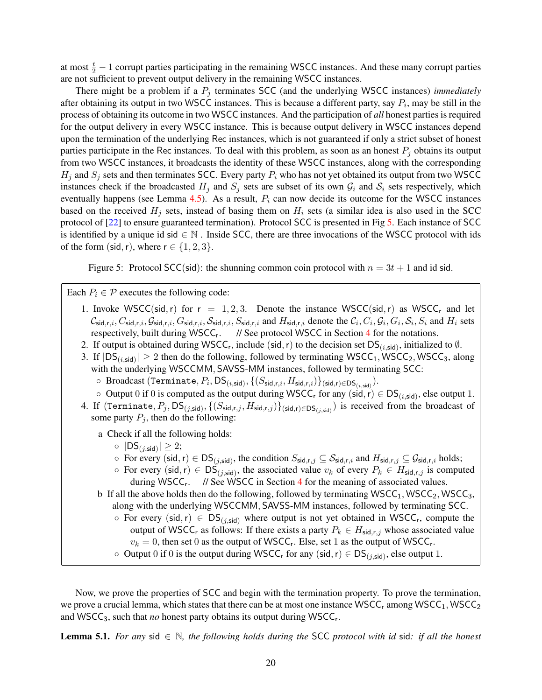at most  $\frac{t}{2} - 1$  corrupt parties participating in the remaining WSCC instances. And these many corrupt parties are not sufficient to prevent output delivery in the remaining WSCC instances.

There might be a problem if a  $P_j$  terminates SCC (and the underlying WSCC instances) *immediately* after obtaining its output in two WSCC instances. This is because a different party, say  $P_i$ , may be still in the process of obtaining its outcome in two WSCC instances. And the participation of *all* honest parties is required for the output delivery in every WSCC instance. This is because output delivery in WSCC instances depend upon the termination of the underlying Rec instances, which is not guaranteed if only a strict subset of honest parties participate in the Rec instances. To deal with this problem, as soon as an honest  $P_i$  obtains its output from two WSCC instances, it broadcasts the identity of these WSCC instances, along with the corresponding  $H_i$  and  $S_i$  sets and then terminates SCC. Every party  $P_i$  who has not yet obtained its output from two WSCC instances check if the broadcasted  $H_j$  and  $S_j$  sets are subset of its own  $G_i$  and  $S_i$  sets respectively, which eventually happens (see Lemma [4.5\)](#page-16-1). As a result,  $P_i$  can now decide its outcome for the WSCC instances based on the received  $H_i$  sets, instead of basing them on  $H_i$  sets (a similar idea is also used in the SCC protocol of [\[22\]](#page-34-3) to ensure guaranteed termination). Protocol SCC is presented in Fig [5.](#page-19-0) Each instance of SCC is identified by a unique id sid  $\in \mathbb{N}$ . Inside SCC, there are three invocations of the WSCC protocol with ids of the form (sid, r), where  $r \in \{1, 2, 3\}$ .

<span id="page-19-0"></span>Figure 5: Protocol SCC(sid): the shunning common coin protocol with  $n = 3t + 1$  and id sid.

Each  $P_i \in \mathcal{P}$  executes the following code:

- 1. Invoke WSCC(sid, r) for  $r = 1, 2, 3$ . Denote the instance WSCC(sid, r) as WSCC<sub>r</sub> and let  $\mathcal{C}_{\text{sid},r,i}, C_{\text{sid},r,i}, \mathcal{G}_{\text{sid},r,i}, \mathcal{S}_{\text{sid},r,i}, S_{\text{sid},r,i}}$  and  $H_{\text{sid},r,i}$  denote the  $\mathcal{C}_i, C_i, \mathcal{G}_i, G_i, \mathcal{S}_i, S_i$  and  $H_i$  sets respectively, built during WSCC<sub>r</sub>. // See protocol WSCC in Section [4](#page-11-1) for the notations.
- 2. If output is obtained during WSCC<sub>r</sub>, include (sid, r) to the decision set  $DS_{(i, sid)}$ , initialized to  $\emptyset$ .
- 3. If  $|DS_{(i, sid)}| \ge 2$  then do the following, followed by terminating WSCC<sub>1</sub>, WSCC<sub>2</sub>, WSCC<sub>3</sub>, along with the underlying WSCCMM, SAVSS-MM instances, followed by terminating SCC:
	- $\circ \ \ \text{Broadcast (Terminate}, P_i, \text{DS}_{(i, \text{sid})}, \{(S_{\text{sid}, r, i}, H_{\text{sid}, r, i})\}_{(\text{sid}, r) \in \text{DS}_{(i, \text{sid})}}).$
	- $\circ$  Output 0 if 0 is computed as the output during WSCC<sub>r</sub> for any (sid, r)  $\in DS_{(i, sid)}$ , else output 1.
- 4. If (Terminate,  $P_j$ ,  $\mathsf{DS}_{(j,\mathsf{sid})},\{(S_{\mathsf{sid},r,j},H_{\mathsf{sid},r,j})\}_{(\mathsf{sid},r)\in \mathsf{DS}_{(j,\mathsf{sid})}})$  is received from the broadcast of some party  $P_j$ , then do the following:

a Check if all the following holds:

- $\circ$   $|DS_{(j, sid)}| \geq 2;$
- $\circ$  For every (sid, r)  $\in \mathsf{DS}_{(j,\mathsf{sid})}$ , the condition  $S_{\mathsf{sid},r,j} \subseteq S_{\mathsf{sid},r,i}$  and  $H_{\mathsf{sid},r,j} \subseteq \mathcal{G}_{\mathsf{sid},r,i}$  holds;
- $\circ$  For every (sid, r)  $\in DS_{(j,\text{sid})}$ , the associated value  $v_k$  of every  $P_k \in H_{\text{sid},r,j}$  is computed during WSCC<sub>r</sub>. // See WSCC in Section [4](#page-11-1) for the meaning of associated values.
- b If all the above holds then do the following, followed by terminating  $WSCC_1$ ,  $WSCC_2$ ,  $WSCC_3$ , along with the underlying WSCCMM, SAVSS-MM instances, followed by terminating SCC.
	- $\circ$  For every (sid, r)  $\in DS_{(j, sid)}$  where output is not yet obtained in WSCC<sub>r</sub>, compute the output of WSCC<sub>r</sub> as follows: If there exists a party  $P_k \in H_{\text{sid},r,j}$  whose associated value  $v_k = 0$ , then set 0 as the output of WSCC<sub>r</sub>. Else, set 1 as the output of WSCC<sub>r</sub>.
	- $\circ$  Output 0 if 0 is the output during WSCC<sub>r</sub> for any (sid, r)  $\in DS_{(j,\text{sid})}$ , else output 1.

Now, we prove the properties of SCC and begin with the termination property. To prove the termination, we prove a crucial lemma, which states that there can be at most one instance  $WSCC<sub>r</sub>$  among  $WSCC<sub>1</sub>$ ,  $WSCC<sub>2</sub>$ and WSCC<sub>3</sub>, such that *no* honest party obtains its output during WSCC<sub>r</sub>.

<span id="page-19-1"></span>Lemma 5.1. *For any* sid ∈ N*, the following holds during the* SCC *protocol with id* sid*: if all the honest*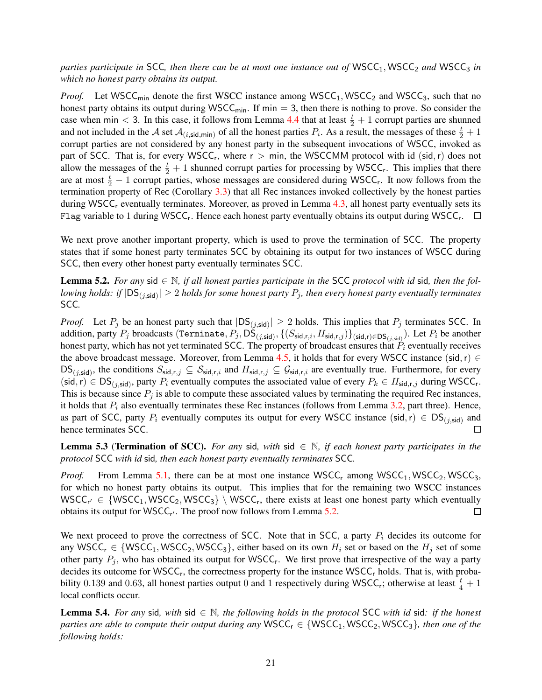*parties participate in* SCC, then there can be at most one instance out of WSCC<sub>1</sub>, WSCC<sub>2</sub> and WSCC<sub>3</sub> in *which no honest party obtains its output.*

*Proof.* Let WSCC<sub>min</sub> denote the first WSCC instance among WSCC<sub>1</sub>, WSCC<sub>2</sub> and WSCC<sub>3</sub>, such that no honest party obtains its output during WSCC<sub>min</sub>. If min  $=$  3, then there is nothing to prove. So consider the case when min < 3. In this case, it follows from Lemma [4.4](#page-15-1) that at least  $\frac{t}{2} + 1$  corrupt parties are shunned and not included in the A set  $A_{(i,\text{sid,min})}$  of all the honest parties  $P_i$ . As a result, the messages of these  $\frac{t}{2}+1$ corrupt parties are not considered by any honest party in the subsequent invocations of WSCC, invoked as part of SCC. That is, for every WSCC<sub>r</sub>, where  $r > min$ , the WSCCMM protocol with id (sid, r) does not allow the messages of the  $\frac{t}{2} + 1$  shunned corrupt parties for processing by WSCC<sub>r</sub>. This implies that there are at most  $\frac{t}{2} - 1$  corrupt parties, whose messages are considered during WSCC<sub>r</sub>. It now follows from the termination property of Rec (Corollary [3.3\)](#page-9-1) that all Rec instances invoked collectively by the honest parties during WSCC<sub>r</sub> eventually terminates. Moreover, as proved in Lemma  $4.3$ , all honest party eventually sets its Flag variable to 1 during WSCC<sub>r</sub>. Hence each honest party eventually obtains its output during WSCC<sub>r</sub>.

We next prove another important property, which is used to prove the termination of SCC. The property states that if some honest party terminates SCC by obtaining its output for two instances of WSCC during SCC, then every other honest party eventually terminates SCC.

<span id="page-20-0"></span>**Lemma 5.2.** For any sid  $\in \mathbb{N}$ , if all honest parties participate in the SCC protocol with id sid, then the fol*lowing holds: if*  $|DS_{(j,\text{sid})}| \geq 2$  *holds for some honest party*  $P_j$ *, then every honest party eventually terminates* SCC*.*

*Proof.* Let  $P_j$  be an honest party such that  $|DS_{(j, sid)}| \ge 2$  holds. This implies that  $P_j$  terminates SCC. In addition, party  $P_j$  broadcasts (Terminate,  $P_j$ , DS $_{(j,\mathsf{sid})},$   $\{(S_{\mathsf{sid},r,i},H_{\mathsf{sid},r,j})\}_{(\mathsf{sid},r)\in \mathsf{DS}_{(j,\mathsf{sid})}})$ . Let  $P_i$  be another honest party, which has not yet terminated SCC. The property of broadcast ensures that  $\hat{P}_i$  eventually receives the above broadcast message. Moreover, from Lemma [4.5,](#page-16-1) it holds that for every WSCC instance (sid,r)  $\in$  $DS_{(j,\text{sid})}$ , the conditions  $S_{\text{sid},r,j} \subseteq S_{\text{sid},r,i}$  and  $H_{\text{sid},r,j} \subseteq \mathcal{G}_{\text{sid},r,i}$  are eventually true. Furthermore, for every  $(\text{sid}, r) \in DS_{(j, \text{sid})},$  party  $P_i$  eventually computes the associated value of every  $P_k \in H_{\text{sid}, r, j}$  during WSCC<sub>r</sub>. This is because since  $P_j$  is able to compute these associated values by terminating the required Rec instances, it holds that  $P_i$  also eventually terminates these Rec instances (follows from Lemma [3.2,](#page-6-0) part three). Hence, as part of SCC, party  $P_i$  eventually computes its output for every WSCC instance (sid, r)  $\in DS_{(j,\text{sid})}$  and hence terminates SCC.  $\Box$ 

<span id="page-20-2"></span>**Lemma 5.3 (Termination of SCC).** *For any* sid, with sid  $\in \mathbb{N}$ , if each honest party participates in the *protocol* SCC *with id* sid*, then each honest party eventually terminates* SCC*.*

*Proof.* From Lemma [5.1,](#page-19-1) there can be at most one instance  $WSCC_1$  among  $WSCC_1$ ,  $WSCC_2$ ,  $WSCC_3$ , for which no honest party obtains its output. This implies that for the remaining two WSCC instances  $WSCC_{r'} \in \{WSCC_1, WSCC_2, WSCC_3\} \setminus WSCC_r$ , there exists at least one honest party which eventually obtains its output for  $WSCC_{r'}$ . The proof now follows from Lemma [5.2.](#page-20-0)  $\Box$ 

We next proceed to prove the correctness of SCC. Note that in SCC, a party  $P_i$  decides its outcome for any WSCC<sub>r</sub>  $\in$  {WSCC<sub>1</sub>, WSCC<sub>2</sub>, WSCC<sub>3</sub>}, either based on its own  $H_i$  set or based on the  $H_j$  set of some other party  $P_j$ , who has obtained its output for WSCC<sub>r</sub>. We first prove that irrespective of the way a party decides its outcome for WSCC<sub>r</sub>, the correctness property for the instance WSCC<sub>r</sub> holds. That is, with probability 0.139 and 0.63, all honest parties output 0 and 1 respectively during WSCC<sub>r</sub>; otherwise at least  $\frac{t}{4} + 1$ local conflicts occur.

<span id="page-20-1"></span>Lemma 5.4. *For any* sid*, with* sid ∈ N*, the following holds in the protocol* SCC *with id* sid*: if the honest parties are able to compute their output during any*  $WSCC_r \in \{WSCC_1, WSCC_2, WSCC_3\}$ , then one of the *following holds:*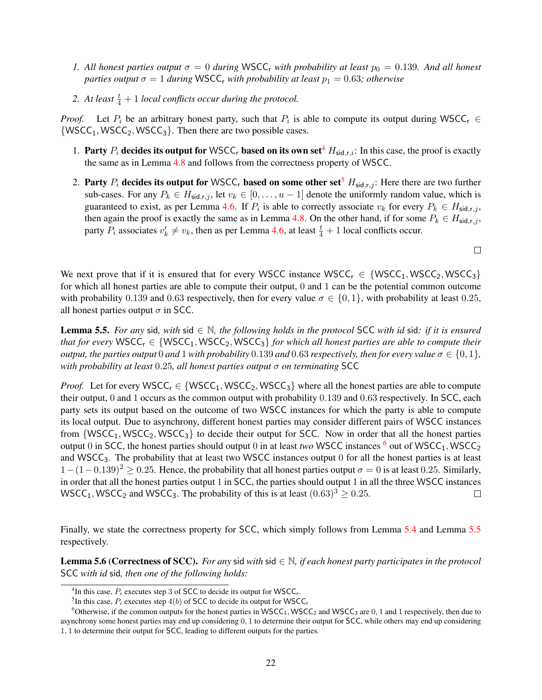- *1.* All honest parties output  $\sigma = 0$  during WSCC<sub>r</sub> with probability at least  $p_0 = 0.139$ . And all honest *parties output*  $\sigma = 1$  *during* WSCC<sub>r</sub> *with probability at least*  $p_1 = 0.63$ *; otherwise*
- 2. At least  $\frac{t}{4} + 1$  *local conflicts occur during the protocol.*

*Proof.* Let  $P_i$  be an arbitrary honest party, such that  $P_i$  is able to compute its output during WSCC<sub>r</sub>  $\in$  $\{WSCC_1, WSCC_2, WSCC_3\}$ . Then there are two possible cases.

- 1. Party  $P_i$  decides its output for WSCC<sub>r</sub> based on its own set<sup>[4](#page-21-0)</sup>  $H_{\text{sid},r,i}$ : In this case, the proof is exactly the same as in Lemma [4.8](#page-17-1) and follows from the correctness property of WSCC.
- 2. Party  $P_i$  decides its output for WSCC, based on some other set<sup>[5](#page-21-1)</sup>  $H_{\text{sid},r,j}$ : Here there are two further sub-cases. For any  $P_k \in H_{\text{sid},r,j}$ , let  $v_k \in [0, \ldots, u-1]$  denote the uniformly random value, which is guaranteed to exist, as per Lemma [4.6.](#page-16-0) If  $P_i$  is able to correctly associate  $v_k$  for every  $P_k \in H_{\text{sid},r,j}$ , then again the proof is exactly the same as in Lemma [4.8.](#page-17-1) On the other hand, if for some  $P_k \in H_{\text{sid},r,j}$ , party  $P_i$  associates  $v'_k \neq v_k$ , then as per Lemma [4.6,](#page-16-0) at least  $\frac{t}{4} + 1$  local conflicts occur.

 $\Box$ 

We next prove that if it is ensured that for every WSCC instance  $WSCC<sub>r</sub> \in \{WSCC<sub>1</sub>, WSCC<sub>2</sub>, WSCC<sub>3</sub>\}$ for which all honest parties are able to compute their output, 0 and 1 can be the potential common outcome with probability 0.139 and 0.63 respectively, then for every value  $\sigma \in \{0, 1\}$ , with probability at least 0.25, all honest parties output  $\sigma$  in SCC.

<span id="page-21-3"></span>Lemma 5.5. *For any* sid*, with* sid ∈ N*, the following holds in the protocol* SCC *with id* sid*: if it is ensured that for every* WSCC<sub>r</sub>  $\in$  {WSCC<sub>1</sub>, WSCC<sub>2</sub>, WSCC<sub>3</sub>} *for which all honest parties are able to compute their output, the parties output* 0 *and* 1 *with probability* 0.139 *and* 0.63 *respectively, then for every value*  $\sigma \in \{0, 1\}$ *, with probability at least* 0.25*, all honest parties output* σ *on terminating* SCC

*Proof.* Let for every WSCC<sub>r</sub>  $\in$  {WSCC<sub>1</sub>, WSCC<sub>2</sub>, WSCC<sub>3</sub>} where all the honest parties are able to compute their output, 0 and 1 occurs as the common output with probability 0.139 and 0.63 respectively. In SCC, each party sets its output based on the outcome of two WSCC instances for which the party is able to compute its local output. Due to asynchrony, different honest parties may consider different pairs of WSCC instances from  $\{WSCC_1, WSCC_2, WSCC_3\}$  to decide their output for SCC. Now in order that all the honest parties output 0 in SCC, the honest parties should output 0 in at least *two* WSCC instances  $\frac{6}{5}$  $\frac{6}{5}$  $\frac{6}{5}$  out of WSCC<sub>1</sub>, WSCC<sub>2</sub> and WSCC3. The probability that at least two WSCC instances output 0 for all the honest parties is at least  $1-(1-0.139)^2 \ge 0.25$ . Hence, the probability that all honest parties output  $\sigma = 0$  is at least 0.25. Similarly, in order that all the honest parties output 1 in SCC, the parties should output 1 in all the three WSCC instances WSCC<sub>1</sub>, WSCC<sub>2</sub> and WSCC<sub>3</sub>. The probability of this is at least  $(0.63)^3 \ge 0.25$ .  $\Box$ 

Finally, we state the correctness property for SCC, which simply follows from Lemma [5.4](#page-20-1) and Lemma [5.5](#page-21-3) respectively.

<span id="page-21-4"></span>Lemma 5.6 (Correctness of SCC). *For any* sid *with* sid ∈ N*, if each honest party participates in the protocol* SCC *with id* sid*, then one of the following holds:*

<span id="page-21-0"></span><sup>&</sup>lt;sup>4</sup>In this case,  $P_i$  executes step 3 of SCC to decide its output for WSCC<sub>r</sub>.

<span id="page-21-2"></span><span id="page-21-1"></span><sup>&</sup>lt;sup>5</sup>In this case,  $P_i$  executes step 4(b) of SCC to decide its output for WSCC<sub>r</sub>

<sup>&</sup>lt;sup>6</sup>Otherwise, if the common outputs for the honest parties in  $WSCC<sub>1</sub>$ , WSCC<sub>2</sub> and WSCC<sub>3</sub> are 0, 1 and 1 respectively, then due to asynchrony some honest parties may end up considering 0, 1 to determine their output for SCC, while others may end up considering 1, 1 to determine their output for SCC, leading to different outputs for the parties.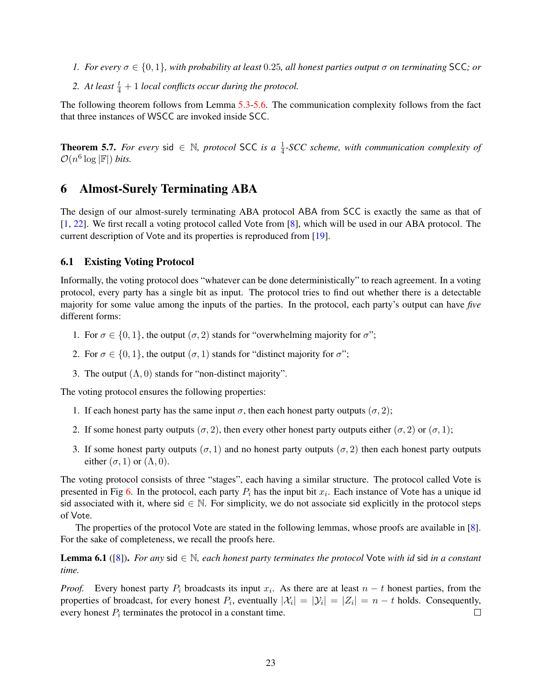- *1.* For every  $\sigma \in \{0, 1\}$ , with probability at least 0.25, all honest parties output  $\sigma$  on terminating SCC; or
- 2. At least  $\frac{t}{4} + 1$  *local conflicts occur during the protocol.*

The following theorem follows from Lemma [5.3-](#page-20-2)[5.6.](#page-21-4) The communication complexity follows from the fact that three instances of WSCC are invoked inside SCC.

**Theorem 5.7.** For every sid  $\in \mathbb{N}$ , protocol SCC is a  $\frac{1}{4}$ -SCC scheme, with communication complexity of  $\mathcal{O}(n^6 \log |\mathbb{F}|)$  *bits.* 

# 6 Almost-Surely Terminating ABA

The design of our almost-surely terminating ABA protocol ABA from SCC is exactly the same as that of [\[1,](#page-33-8) [22\]](#page-34-3). We first recall a voting protocol called Vote from [\[8\]](#page-33-7), which will be used in our ABA protocol. The current description of Vote and its properties is reproduced from [\[19\]](#page-34-2).

### 6.1 Existing Voting Protocol

Informally, the voting protocol does "whatever can be done deterministically" to reach agreement. In a voting protocol, every party has a single bit as input. The protocol tries to find out whether there is a detectable majority for some value among the inputs of the parties. In the protocol, each party's output can have *five* different forms:

- 1. For  $\sigma \in \{0, 1\}$ , the output  $(\sigma, 2)$  stands for "overwhelming majority for  $\sigma$ ";
- 2. For  $\sigma \in \{0, 1\}$ , the output  $(\sigma, 1)$  stands for "distinct majority for  $\sigma$ ";
- 3. The output  $(Λ, 0)$  stands for "non-distinct majority".

The voting protocol ensures the following properties:

- 1. If each honest party has the same input  $\sigma$ , then each honest party outputs  $(\sigma, 2)$ ;
- 2. If some honest party outputs  $(\sigma, 2)$ , then every other honest party outputs either  $(\sigma, 2)$  or  $(\sigma, 1)$ ;
- 3. If some honest party outputs ( $\sigma$ , 1) and no honest party outputs ( $\sigma$ , 2) then each honest party outputs either  $(\sigma, 1)$  or  $(\Lambda, 0)$ .

The voting protocol consists of three "stages", each having a similar structure. The protocol called Vote is presented in Fig [6.](#page-23-0) In the protocol, each party  $P_i$  has the input bit  $x_i$ . Each instance of Vote has a unique id sid associated with it, where sid  $\in \mathbb{N}$ . For simplicity, we do not associate sid explicitly in the protocol steps of Vote.

The properties of the protocol Vote are stated in the following lemmas, whose proofs are available in [\[8\]](#page-33-7). For the sake of completeness, we recall the proofs here.

<span id="page-22-1"></span>Lemma 6.1 ([\[8\]](#page-33-7)). *For any* sid ∈ N*, each honest party terminates the protocol* Vote *with id* sid *in a constant time.*

<span id="page-22-0"></span>*Proof.* Every honest party  $P_i$  broadcasts its input  $x_i$ . As there are at least  $n - t$  honest parties, from the properties of broadcast, for every honest  $P_i$ , eventually  $|\mathcal{X}_i| = |\mathcal{Y}_i| = |Z_i| = n - t$  holds. Consequently, every honest  $P_i$  terminates the protocol in a constant time.  $\Box$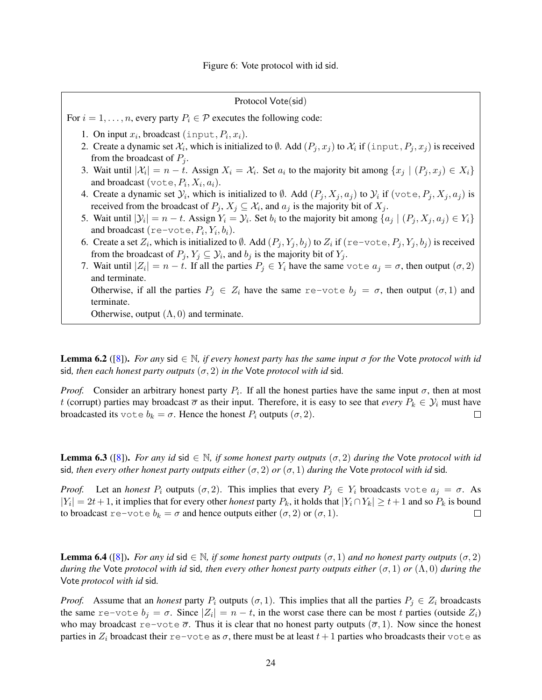<span id="page-23-0"></span>Protocol Vote(sid) For  $i = 1, \ldots, n$ , every party  $P_i \in \mathcal{P}$  executes the following code: 1. On input  $x_i$ , broadcast (input,  $P_i$ ,  $x_i$ ). 2. Create a dynamic set  $\mathcal{X}_i$ , which is initialized to  $\emptyset$ . Add  $(P_j, x_j)$  to  $\mathcal{X}_i$  if  $(\text{input}, P_j, x_j)$  is received from the broadcast of  $P_i$ . 3. Wait until  $|\mathcal{X}_i| = n - t$ . Assign  $X_i = \mathcal{X}_i$ . Set  $a_i$  to the majority bit among  $\{x_j \mid (P_j, x_j) \in X_i\}$ and broadcast  $(\text{vote}, P_i, X_i, a_i)$ . 4. Create a dynamic set  $\mathcal{Y}_i$ , which is initialized to  $\emptyset$ . Add  $(P_j, X_j, a_j)$  to  $\mathcal{Y}_i$  if  $(\forall \text{ote}, P_j, X_j, a_j)$  is received from the broadcast of  $P_j$ ,  $X_j \subseteq \mathcal{X}_i$ , and  $a_j$  is the majority bit of  $X_j$ . 5. Wait until  $|\mathcal{Y}_i| = n - t$ . Assign  $Y_i = \mathcal{Y}_i$ . Set  $b_i$  to the majority bit among  $\{a_j \mid (P_j, X_j, a_j) \in Y_i\}$ and broadcast (re-vote,  $P_i, Y_i, b_i$ ). 6. Create a set  $Z_i$ , which is initialized to  $\emptyset$ . Add  $(P_j, Y_j, b_j)$  to  $Z_i$  if  $(\text{re}-\text{vote}, P_j, Y_j, b_j)$  is received from the broadcast of  $P_j$ ,  $Y_j \subseteq Y_i$ , and  $b_j$  is the majority bit of  $Y_j$ . 7. Wait until  $|Z_i| = n - t$ . If all the parties  $P_j \in Y_i$  have the same vote  $a_j = \sigma$ , then output  $(\sigma, 2)$ and terminate. Otherwise, if all the parties  $P_i \in Z_i$  have the same re-vote  $b_i = \sigma$ , then output  $(\sigma, 1)$  and terminate. Otherwise, output  $(Λ, 0)$  and terminate.

**Lemma 6.2** ([\[8\]](#page-33-7)). *For any* sid  $\in \mathbb{N}$ , *if every honest party has the same input*  $\sigma$  *for the* Vote *protocol with id* sid, then each honest party outputs  $(\sigma, 2)$  *in the* Vote *protocol with id* sid.

*Proof.* Consider an arbitrary honest party  $P_i$ . If all the honest parties have the same input  $\sigma$ , then at most t (corrupt) parties may broadcast  $\overline{\sigma}$  as their input. Therefore, it is easy to see that *every*  $P_k \in \mathcal{Y}_i$  must have broadcasted its vote  $b_k = \sigma$ . Hence the honest  $P_i$  outputs  $(\sigma, 2)$ .  $\Box$ 

<span id="page-23-1"></span>**Lemma 6.3** ([\[8\]](#page-33-7)). *For any id* sid  $\in \mathbb{N}$ , *if some honest party outputs* ( $\sigma$ , 2) *during the* Vote *protocol with id* sid, then every other honest party outputs either  $(\sigma, 2)$  or  $(\sigma, 1)$  during the Vote protocol with id sid.

*Proof.* Let an *honest*  $P_i$  outputs  $(\sigma, 2)$ . This implies that every  $P_j \in Y_i$  broadcasts vote  $a_j = \sigma$ . As  $|Y_i| = 2t + 1$ , it implies that for every other *honest* party  $P_k$ , it holds that  $|Y_i \cap Y_k| \ge t + 1$  and so  $P_k$  is bound to broadcast re-vote  $b_k = \sigma$  and hence outputs either  $(\sigma, 2)$  or  $(\sigma, 1)$ .  $\Box$ 

<span id="page-23-2"></span>**Lemma 6.4** ([\[8\]](#page-33-7)). *For any id* sid  $\in \mathbb{N}$ , if some honest party outputs  $(\sigma, 1)$  and no honest party outputs  $(\sigma, 2)$ *during the* Vote *protocol with id* sid*, then every other honest party outputs either* (σ, 1) *or* (Λ, 0) *during the* Vote *protocol with id* sid*.*

*Proof.* Assume that an *honest* party  $P_i$  outputs  $(\sigma, 1)$ . This implies that all the parties  $P_j \in Z_i$  broadcasts the same re-vote  $b_j = \sigma$ . Since  $|Z_i| = n - t$ , in the worst case there can be most t parties (outside  $Z_i$ ) who may broadcast  $r = -\text{vote } \overline{\sigma}$ . Thus it is clear that no honest party outputs  $(\overline{\sigma}, 1)$ . Now since the honest parties in  $Z_i$  broadcast their re-vote as  $\sigma$ , there must be at least  $t + 1$  parties who broadcasts their vote as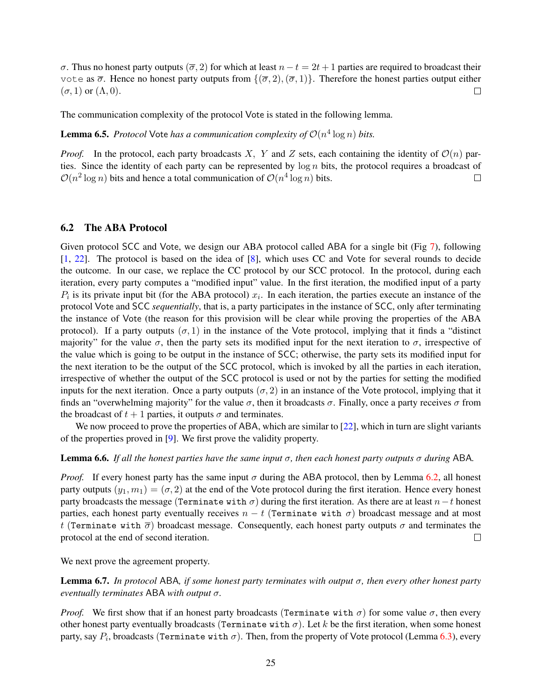σ. Thus no honest party outputs ( $\overline{\sigma}$ , 2) for which at least  $n - t = 2t + 1$  parties are required to broadcast their vote as  $\overline{\sigma}$ . Hence no honest party outputs from  $\{(\overline{\sigma}, 2), (\overline{\sigma}, 1)\}\$ . Therefore the honest parties output either  $(\sigma, 1)$  or  $(\Lambda, 0)$ .  $\Box$ 

The communication complexity of the protocol Vote is stated in the following lemma.

**Lemma 6.5.** *Protocol* Vote *has a communication complexity of*  $O(n^4 \log n)$  *bits.* 

*Proof.* In the protocol, each party broadcasts X, Y and Z sets, each containing the identity of  $\mathcal{O}(n)$  parties. Since the identity of each party can be represented by  $\log n$  bits, the protocol requires a broadcast of  $\mathcal{O}(n^2 \log n)$  bits and hence a total communication of  $\mathcal{O}(n^4 \log n)$  bits.  $\Box$ 

### 6.2 The ABA Protocol

Given protocol SCC and Vote, we design our ABA protocol called ABA for a single bit (Fig [7\)](#page-25-0), following [\[1,](#page-33-8) [22\]](#page-34-3). The protocol is based on the idea of [\[8\]](#page-33-7), which uses CC and Vote for several rounds to decide the outcome. In our case, we replace the CC protocol by our SCC protocol. In the protocol, during each iteration, every party computes a "modified input" value. In the first iteration, the modified input of a party  $P_i$  is its private input bit (for the ABA protocol)  $x_i$ . In each iteration, the parties execute an instance of the protocol Vote and SCC *sequentially*, that is, a party participates in the instance of SCC, only after terminating the instance of Vote (the reason for this provision will be clear while proving the properties of the ABA protocol). If a party outputs  $(\sigma, 1)$  in the instance of the Vote protocol, implying that it finds a "distinct majority" for the value  $\sigma$ , then the party sets its modified input for the next iteration to  $\sigma$ , irrespective of the value which is going to be output in the instance of SCC; otherwise, the party sets its modified input for the next iteration to be the output of the SCC protocol, which is invoked by all the parties in each iteration, irrespective of whether the output of the SCC protocol is used or not by the parties for setting the modified inputs for the next iteration. Once a party outputs  $(\sigma, 2)$  in an instance of the Vote protocol, implying that it finds an "overwhelming majority" for the value  $\sigma$ , then it broadcasts  $\sigma$ . Finally, once a party receives  $\sigma$  from the broadcast of  $t + 1$  parties, it outputs  $\sigma$  and terminates.

We now proceed to prove the properties of ABA, which are similar to [\[22\]](#page-34-3), which in turn are slight variants of the properties proved in [\[9\]](#page-33-6). We first prove the validity property.

#### <span id="page-24-1"></span>**Lemma 6.6.** *If all the honest parties have the same input*  $\sigma$ , *then each honest party outputs*  $\sigma$  *during* ABA.

*Proof.* If every honest party has the same input  $\sigma$  during the ABA protocol, then by Lemma [6.2,](#page-22-0) all honest party outputs  $(y_1, m_1) = (\sigma, 2)$  at the end of the Vote protocol during the first iteration. Hence every honest party broadcasts the message (Terminate with  $\sigma$ ) during the first iteration. As there are at least  $n-t$  honest parties, each honest party eventually receives  $n - t$  (Terminate with  $\sigma$ ) broadcast message and at most t (Terminate with  $\overline{\sigma}$ ) broadcast message. Consequently, each honest party outputs  $\sigma$  and terminates the protocol at the end of second iteration.  $\Box$ 

<span id="page-24-0"></span>We next prove the agreement property.

Lemma 6.7. *In protocol* ABA*, if some honest party terminates with output* σ*, then every other honest party eventually terminates* ABA *with output* σ*.*

*Proof.* We first show that if an honest party broadcasts (Terminate with  $\sigma$ ) for some value  $\sigma$ , then every other honest party eventually broadcasts (Terminate with  $\sigma$ ). Let k be the first iteration, when some honest party, say  $P_i$ , broadcasts (Terminate with  $\sigma$ ). Then, from the property of Vote protocol (Lemma  $6.3$ ), every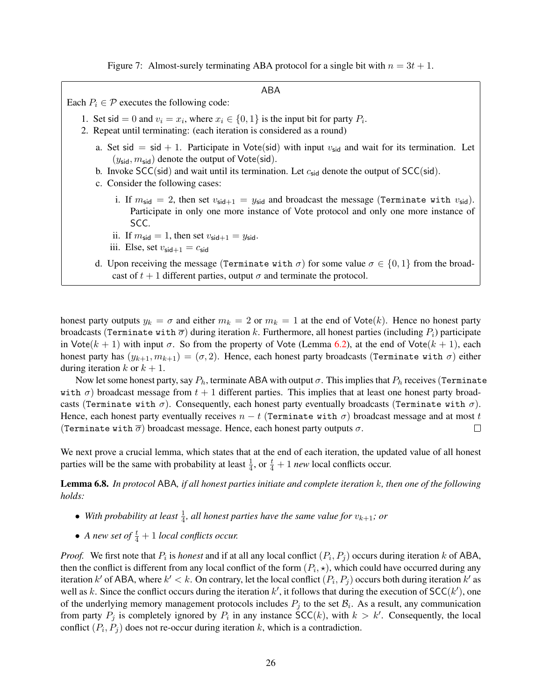Figure 7: Almost-surely terminating ABA protocol for a single bit with  $n = 3t + 1$ .

ABA

<span id="page-25-0"></span>Each  $P_i \in \mathcal{P}$  executes the following code:

- 1. Set sid = 0 and  $v_i = x_i$ , where  $x_i \in \{0, 1\}$  is the input bit for party  $P_i$ .
- 2. Repeat until terminating: (each iteration is considered as a round)
	- a. Set sid = sid + 1. Participate in Vote(sid) with input  $v_{\text{sid}}$  and wait for its termination. Let  $(y_{\text{sid}}, m_{\text{sid}})$  denote the output of Vote(sid).
	- b. Invoke SCC(sid) and wait until its termination. Let  $c_{sid}$  denote the output of SCC(sid).
	- c. Consider the following cases:
		- i. If  $m_{\text{sid}} = 2$ , then set  $v_{\text{sid}+1} = y_{\text{sid}}$  and broadcast the message (Terminate with  $v_{\text{sid}}$ ). Participate in only one more instance of Vote protocol and only one more instance of SCC.
		- ii. If  $m_{\text{sid}} = 1$ , then set  $v_{\text{sid}+1} = y_{\text{sid}}$ .
		- iii. Else, set  $v_{\text{sid}+1} = c_{\text{sid}}$
	- d. Upon receiving the message (Terminate with  $\sigma$ ) for some value  $\sigma \in \{0,1\}$  from the broadcast of  $t + 1$  different parties, output  $\sigma$  and terminate the protocol.

honest party outputs  $y_k = \sigma$  and either  $m_k = 2$  or  $m_k = 1$  at the end of Vote(k). Hence no honest party broadcasts (Terminate with  $\overline{\sigma}$ ) during iteration k. Furthermore, all honest parties (including  $P_i$ ) participate in Vote $(k + 1)$  with input  $\sigma$ . So from the property of Vote (Lemma [6.2\)](#page-22-0), at the end of Vote $(k + 1)$ , each honest party has  $(y_{k+1}, m_{k+1}) = (\sigma, 2)$ . Hence, each honest party broadcasts (Terminate with  $\sigma$ ) either during iteration k or  $k + 1$ .

Now let some honest party, say  $P_h$ , terminate ABA with output  $\sigma$ . This implies that  $P_h$  receives (Terminate with  $\sigma$ ) broadcast message from  $t + 1$  different parties. This implies that at least one honest party broadcasts (Terminate with  $\sigma$ ). Consequently, each honest party eventually broadcasts (Terminate with  $\sigma$ ). Hence, each honest party eventually receives  $n - t$  (Terminate with  $\sigma$ ) broadcast message and at most t (Terminate with  $\bar{\sigma}$ ) broadcast message. Hence, each honest party outputs  $\sigma$ .  $\Box$ 

We next prove a crucial lemma, which states that at the end of each iteration, the updated value of all honest parties will be the same with probability at least  $\frac{1}{4}$ , or  $\frac{t}{4} + 1$  *new* local conflicts occur.

<span id="page-25-1"></span>Lemma 6.8. *In protocol* ABA*, if all honest parties initiate and complete iteration* k*, then one of the following holds:*

- With probability at least  $\frac{1}{4}$ , all honest parties have the same value for  $v_{k+1}$ ; or
- *A new set of*  $\frac{t}{4} + 1$  *local conflicts occur.*

*Proof.* We first note that  $P_i$  is *honest* and if at all any local conflict  $(P_i, P_j)$  occurs during iteration k of ABA, then the conflict is different from any local conflict of the form  $(P_i, \star)$ , which could have occurred during any iteration k' of ABA, where  $k' < k$ . On contrary, let the local conflict  $(P_i, P_j)$  occurs both during iteration k' as well as k. Since the conflict occurs during the iteration  $k'$ , it follows that during the execution of SCC( $k'$ ), one of the underlying memory management protocols includes  $P_j$  to the set  $\mathcal{B}_i$ . As a result, any communication from party  $P_j$  is completely ignored by  $P_i$  in any instance  $SCC(k)$ , with  $k > k'$ . Consequently, the local conflict  $(P_i, P_j)$  does not re-occur during iteration k, which is a contradiction.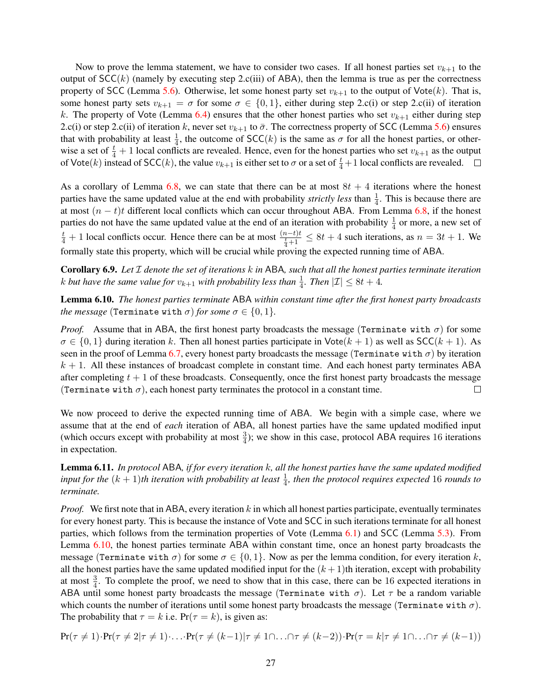Now to prove the lemma statement, we have to consider two cases. If all honest parties set  $v_{k+1}$  to the output of  $SCC(k)$  (namely by executing step 2.c(iii) of ABA), then the lemma is true as per the correctness property of SCC (Lemma [5.6\)](#page-21-4). Otherwise, let some honest party set  $v_{k+1}$  to the output of Vote(k). That is, some honest party sets  $v_{k+1} = \sigma$  for some  $\sigma \in \{0, 1\}$ , either during step 2.c(i) or step 2.c(ii) of iteration k. The property of Vote (Lemma [6.4\)](#page-23-2) ensures that the other honest parties who set  $v_{k+1}$  either during step 2.c(i) or step 2.c(ii) of iteration k, never set  $v_{k+1}$  to  $\bar{\sigma}$ . The correctness property of SCC (Lemma [5.6\)](#page-21-4) ensures that with probability at least  $\frac{1}{4}$ , the outcome of SCC(k) is the same as  $\sigma$  for all the honest parties, or otherwise a set of  $\frac{t}{4} + 1$  local conflicts are revealed. Hence, even for the honest parties who set  $v_{k+1}$  as the output of Vote(k) instead of SCC(k), the value  $v_{k+1}$  is either set to  $\sigma$  or a set of  $\frac{t}{4}+1$  local conflicts are revealed.

As a corollary of Lemma [6.8,](#page-25-1) we can state that there can be at most  $8t + 4$  iterations where the honest parties have the same updated value at the end with probability *strictly less* than  $\frac{1}{4}$ . This is because there are at most  $(n - t)t$  different local conflicts which can occur throughout ABA. From Lemma [6.8,](#page-25-1) if the honest parties do not have the same updated value at the end of an iteration with probability  $\frac{1}{4}$  or more, a new set of  $\frac{t}{4} + 1$  local conflicts occur. Hence there can be at most  $\frac{(n-t)t}{\frac{t}{4}+1} \le 8t + 4$  such iterations, as  $n = 3t + 1$ . We formally state this property, which will be crucial while proving the expected running time of ABA.

<span id="page-26-1"></span>Corollary 6.9. *Let* I *denote the set of iterations* k *in* ABA*, such that all the honest parties terminate iteration* k but have the same value for  $v_{k+1}$  with probability less than  $\frac{1}{4}$ . Then  $|\mathcal{I}| \leq 8t + 4$ .

<span id="page-26-0"></span>Lemma 6.10. *The honest parties terminate* ABA *within constant time after the first honest party broadcasts the message* (Terminate with  $\sigma$ ) *for some*  $\sigma \in \{0, 1\}$ *.* 

*Proof.* Assume that in ABA, the first honest party broadcasts the message (Terminate with  $\sigma$ ) for some  $\sigma \in \{0, 1\}$  during iteration k. Then all honest participate in  $\text{Vote}(k + 1)$  as well as  $\text{SCC}(k + 1)$ . As seen in the proof of Lemma [6.7,](#page-24-0) every honest party broadcasts the message (Terminate with  $\sigma$ ) by iteration  $k + 1$ . All these instances of broadcast complete in constant time. And each honest party terminates ABA after completing  $t + 1$  of these broadcasts. Consequently, once the first honest party broadcasts the message (Terminate with  $\sigma$ ), each honest party terminates the protocol in a constant time.  $\Box$ 

We now proceed to derive the expected running time of ABA. We begin with a simple case, where we assume that at the end of *each* iteration of ABA, all honest parties have the same updated modified input (which occurs except with probability at most  $\frac{3}{4}$ ); we show in this case, protocol ABA requires 16 iterations in expectation.

<span id="page-26-2"></span>Lemma 6.11. *In protocol* ABA*, if for every iteration* k*, all the honest parties have the same updated modified* input for the  $(k + 1)$ th iteration with probability at least  $\frac{1}{4}$ , then the protocol requires expected 16 rounds to *terminate.*

*Proof.* We first note that in ABA, every iteration  $k$  in which all honest participate, eventually terminates for every honest party. This is because the instance of Vote and SCC in such iterations terminate for all honest parties, which follows from the termination properties of Vote (Lemma [6.1\)](#page-22-1) and SCC (Lemma [5.3\)](#page-20-2). From Lemma [6.10,](#page-26-0) the honest parties terminate ABA within constant time, once an honest party broadcasts the message (Terminate with  $\sigma$ ) for some  $\sigma \in \{0, 1\}$ . Now as per the lemma condition, for every iteration k, all the honest parties have the same updated modified input for the  $(k + 1)$ th iteration, except with probability at most  $\frac{3}{4}$ . To complete the proof, we need to show that in this case, there can be 16 expected iterations in ABA until some honest party broadcasts the message (Terminate with  $\sigma$ ). Let  $\tau$  be a random variable which counts the number of iterations until some honest party broadcasts the message (Terminate with  $\sigma$ ). The probability that  $\tau = k$  i.e.  $Pr(\tau = k)$ , is given as:

$$
Pr(\tau \neq 1) \cdot Pr(\tau \neq 2 | \tau \neq 1) \cdot \ldots \cdot Pr(\tau \neq (k-1) | \tau \neq 1 \cap \ldots \cap \tau \neq (k-2)) \cdot Pr(\tau = k | \tau \neq 1 \cap \ldots \cap \tau \neq (k-1))
$$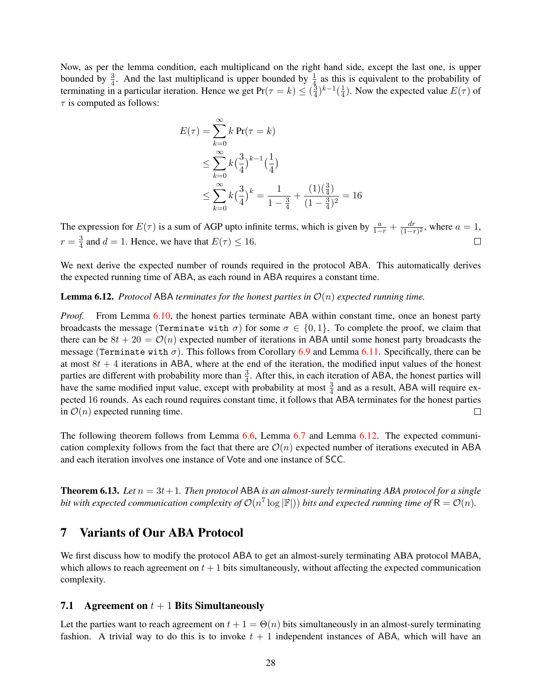Now, as per the lemma condition, each multiplicand on the right hand side, except the last one, is upper bounded by  $\frac{3}{4}$ . And the last multiplicand is upper bounded by  $\frac{1}{4}$  as this is equivalent to the probability of terminating in a particular iteration. Hence we get  $Pr(\tau = k) \leq \left(\frac{3}{4}\right)$  $(\frac{3}{4})^{k-1}$  $(\frac{1}{4})$  $\frac{1}{4}$ ). Now the expected value  $E(\tau)$  of  $\tau$  is computed as follows:

$$
E(\tau) = \sum_{k=0}^{\infty} k \Pr(\tau = k)
$$
  
\n
$$
\leq \sum_{k=0}^{\infty} k \left(\frac{3}{4}\right)^{k-1} \left(\frac{1}{4}\right)
$$
  
\n
$$
\leq \sum_{k=0}^{\infty} k \left(\frac{3}{4}\right)^k = \frac{1}{1 - \frac{3}{4}} + \frac{(1)\left(\frac{3}{4}\right)}{(1 - \frac{3}{4})^2} = 16
$$

The expression for  $E(\tau)$  is a sum of AGP upto infinite terms, which is given by  $\frac{a}{1-r} + \frac{dr}{(1-r)}$  $\frac{dr}{(1-r)^2}$ , where  $a=1$ ,  $r=\frac{3}{4}$  $\frac{3}{4}$  and  $d = 1$ . Hence, we have that  $E(\tau) \leq 16$ .

We next derive the expected number of rounds required in the protocol ABA. This automatically derives the expected running time of ABA, as each round in ABA requires a constant time.

#### <span id="page-27-0"></span>**Lemma 6.12.** *Protocol* ABA *terminates for the honest parties in*  $\mathcal{O}(n)$  *expected running time.*

*Proof.* From Lemma [6.10,](#page-26-0) the honest parties terminate ABA within constant time, once an honest party broadcasts the message (Terminate with  $\sigma$ ) for some  $\sigma \in \{0, 1\}$ . To complete the proof, we claim that there can be  $8t + 20 = \mathcal{O}(n)$  expected number of iterations in ABA until some honest party broadcasts the message (Terminate with  $\sigma$ ). This follows from Corollary [6.9](#page-26-1) and Lemma [6.11.](#page-26-2) Specifically, there can be at most  $8t + 4$  iterations in ABA, where at the end of the iteration, the modified input values of the honest parties are different with probability more than  $\frac{3}{4}$ . After this, in each iteration of ABA, the honest parties will have the same modified input value, except with probability at most  $\frac{3}{4}$  and as a result, ABA will require expected 16 rounds. As each round requires constant time, it follows that ABA terminates for the honest parties in  $\mathcal{O}(n)$  expected running time.  $\Box$ 

The following theorem follows from Lemma [6.6,](#page-24-1) Lemma [6.7](#page-24-0) and Lemma [6.12.](#page-27-0) The expected communication complexity follows from the fact that there are  $\mathcal{O}(n)$  expected number of iterations executed in ABA and each iteration involves one instance of Vote and one instance of SCC.

**Theorem 6.13.** Let  $n = 3t + 1$ . Then protocol ABA is an almost-surely terminating ABA protocol for a single bit with expected communication complexity of  $\mathcal{O}(n^7 \log |\mathbb{F}|)$ ) bits and expected running time of  $\mathsf{R} = \mathcal{O}(n)$ .

# 7 Variants of Our ABA Protocol

We first discuss how to modify the protocol ABA to get an almost-surely terminating ABA protocol MABA, which allows to reach agreement on  $t + 1$  bits simultaneously, without affecting the expected communication complexity.

#### 7.1 Agreement on  $t + 1$  Bits Simultaneously

Let the parties want to reach agreement on  $t + 1 = \Theta(n)$  bits simultaneously in an almost-surely terminating fashion. A trivial way to do this is to invoke  $t + 1$  independent instances of ABA, which will have an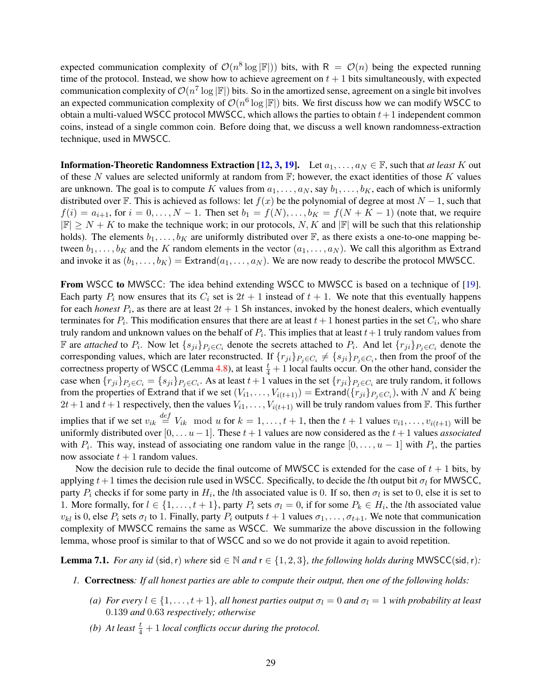expected communication complexity of  $\mathcal{O}(n^8 \log |\mathbb{F}|)$  bits, with  $R = \mathcal{O}(n)$  being the expected running time of the protocol. Instead, we show how to achieve agreement on  $t + 1$  bits simultaneously, with expected communication complexity of  $\mathcal{O}(n^7 \log |\mathbb{F}|)$  bits. So in the amortized sense, agreement on a single bit involves an expected communication complexity of  $\mathcal{O}(n^6 \log |\mathbb{F}|)$  bits. We first discuss how we can modify WSCC to obtain a multi-valued WSCC protocol MWSCC, which allows the parties to obtain  $t + 1$  independent common coins, instead of a single common coin. Before doing that, we discuss a well known randomness-extraction technique, used in MWSCC.

**Information-Theoretic Randomness Extraction [\[12,](#page-33-15) [3,](#page-33-16) [19\]](#page-34-2).** Let  $a_1, \ldots, a_N \in \mathbb{F}$ , such that *at least* K out of these N values are selected uniformly at random from  $\mathbb{F}$ ; however, the exact identities of those K values are unknown. The goal is to compute K values from  $a_1, \ldots, a_N$ , say  $b_1, \ldots, b_K$ , each of which is uniformly distributed over F. This is achieved as follows: let  $f(x)$  be the polynomial of degree at most  $N - 1$ , such that  $f(i) = a_{i+1}$ , for  $i = 0, \ldots, N-1$ . Then set  $b_1 = f(N), \ldots, b_K = f(N+K-1)$  (note that, we require  $|\mathbb{F}| \geq N + K$  to make the technique work; in our protocols, N, K and  $|\mathbb{F}|$  will be such that this relationship holds). The elements  $b_1, \ldots, b_K$  are uniformly distributed over F, as there exists a one-to-one mapping between  $b_1, \ldots, b_K$  and the K random elements in the vector  $(a_1, \ldots, a_N)$ . We call this algorithm as Extrand and invoke it as  $(b_1, \ldots, b_K) =$  Extrand $(a_1, \ldots, a_N)$ . We are now ready to describe the protocol MWSCC.

From WSCC to MWSCC: The idea behind extending WSCC to MWSCC is based on a technique of [\[19\]](#page-34-2). Each party  $P_i$  now ensures that its  $C_i$  set is  $2t + 1$  instead of  $t + 1$ . We note that this eventually happens for each *honest*  $P_i$ , as there are at least  $2t + 1$  Sh instances, invoked by the honest dealers, which eventually terminates for  $P_i$ . This modification ensures that there are at least  $t+1$  honest parties in the set  $C_i$ , who share truly random and unknown values on the behalf of  $P_i.$  This implies that at least  $t+1$  truly random values from F are *attached* to  $P_i$ . Now let  $\{s_{ji}\}_{P_j \in C_i}$  denote the secrets attached to  $P_i$ . And let  $\{r_{ji}\}_{P_j \in C_i}$  denote the corresponding values, which are later reconstructed. If  $\{r_{ji}\}_{P_j \in C_i} \neq \{s_{ji}\}_{P_j \in C_i}$ , then from the proof of the correctness property of WSCC (Lemma [4.8\)](#page-17-1), at least  $\frac{t}{4} + 1$  local faults occur. On the other hand, consider the case when  $\{r_{ji}\}_{P_j \in C_i} = \{s_{ji}\}_{P_j \in C_i}$ . As at least  $t+1$  values in the set  $\{r_{ji}\}_{P_j \in C_i}$  are truly random, it follows from the properties of Extrand that if we set  $(V_{i1}, \ldots, V_{i(t+1)}) =$  Extrand $(\{r_{ji}\}_{P_j \in C_i})$ , with  $N$  and  $K$  being  $2t+1$  and  $t+1$  respectively, then the values  $V_{i1}, \ldots, V_{i(t+1)}$  will be truly random values from F. This further implies that if we set  $v_{ik} \stackrel{def}{=} V_{ik} \mod u$  for  $k = 1, \ldots, t + 1$ , then the  $t + 1$  values  $v_{i1}, \ldots, v_{i(t+1)}$  will be uniformly distributed over  $[0, \ldots u-1]$ . These  $t+1$  values are now considered as the  $t+1$  values *associated* with  $P_i$ . This way, instead of associating one random value in the range  $[0, \ldots, u-1]$  with  $P_i$ , the parties now associate  $t + 1$  random values.

Now the decision rule to decide the final outcome of MWSCC is extended for the case of  $t + 1$  bits, by applying  $t+1$  times the decision rule used in WSCC. Specifically, to decide the *l*th output bit  $\sigma_l$  for MWSCC, party  $P_i$  checks if for some party in  $H_i$ , the *l*th associated value is 0. If so, then  $\sigma_l$  is set to 0, else it is set to 1. More formally, for  $l \in \{1, ..., t+1\}$ , party  $P_i$  sets  $\sigma_l = 0$ , if for some  $P_k \in H_i$ , the *l*th associated value  $v_{kl}$  is 0, else  $P_i$  sets  $\sigma_l$  to 1. Finally, party  $P_i$  outputs  $t+1$  values  $\sigma_1, \ldots, \sigma_{t+1}$ . We note that communication complexity of MWSCC remains the same as WSCC. We summarize the above discussion in the following lemma, whose proof is similar to that of WSCC and so we do not provide it again to avoid repetition.

**Lemma 7.1.** *For any id* (sid, r) *where* sid  $\in \mathbb{N}$  *and*  $r \in \{1, 2, 3\}$ , *the following holds during* MWSCC(sid, r):

- *1.* Correctness*: If all honest parties are able to compute their output, then one of the following holds:*
	- *(a) For every*  $l \in \{1, \ldots, t+1\}$ *, all honest parties output*  $\sigma_l = 0$  *and*  $\sigma_l = 1$  *with probability at least* 0.139 *and* 0.63 *respectively; otherwise*
	- *(b)* At least  $\frac{t}{4} + 1$  *local conflicts occur during the protocol.*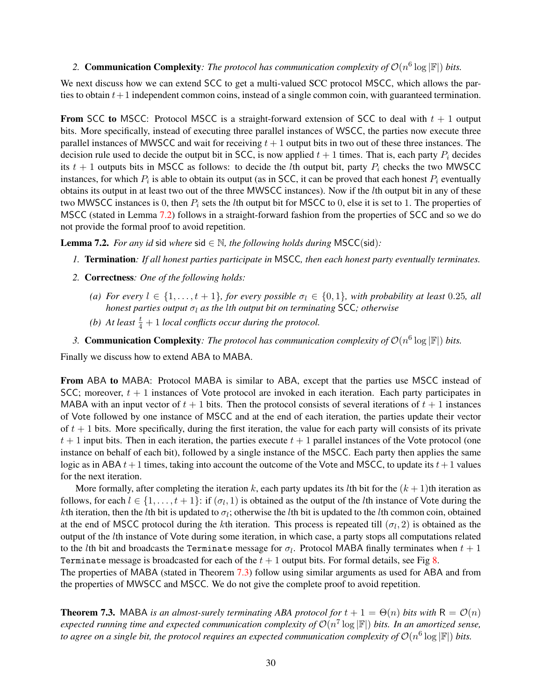### 2. **Communication Complexity**: The protocol has communication complexity of  $\mathcal{O}(n^6 \log |\mathbb{F}|)$  bits.

We next discuss how we can extend SCC to get a multi-valued SCC protocol MSCC, which allows the parties to obtain  $t + 1$  independent common coins, instead of a single common coin, with guaranteed termination.

**From SCC to MSCC:** Protocol MSCC is a straight-forward extension of SCC to deal with  $t + 1$  output bits. More specifically, instead of executing three parallel instances of WSCC, the parties now execute three parallel instances of MWSCC and wait for receiving  $t + 1$  output bits in two out of these three instances. The decision rule used to decide the output bit in SCC, is now applied  $t + 1$  times. That is, each party  $P_i$  decides its  $t + 1$  outputs bits in MSCC as follows: to decide the *l*th output bit, party  $P_i$  checks the two MWSCC instances, for which  $P_i$  is able to obtain its output (as in SCC, it can be proved that each honest  $P_i$  eventually obtains its output in at least two out of the three MWSCC instances). Now if the lth output bit in any of these two MWSCC instances is 0, then  $P_i$  sets the *l*th output bit for MSCC to 0, else it is set to 1. The properties of MSCC (stated in Lemma [7.2\)](#page-29-0) follows in a straight-forward fashion from the properties of SCC and so we do not provide the formal proof to avoid repetition.

<span id="page-29-0"></span>**Lemma 7.2.** *For any id* sid *where* sid  $\in \mathbb{N}$ *, the following holds during* MSCC(sid):

- *1.* Termination*: If all honest parties participate in* MSCC*, then each honest party eventually terminates.*
- *2.* Correctness*: One of the following holds:*
	- *(a) For every*  $l \in \{1, \ldots, t+1\}$ *, for every possible*  $\sigma_l \in \{0, 1\}$ *, with probability at least* 0.25*, all honest parties output*  $σ<sub>l</sub>$  *as the lth output bit on terminating* SCC; *otherwise*
	- *(b)* At least  $\frac{t}{4} + 1$  *local conflicts occur during the protocol.*
- 3. **Communication Complexity**: The protocol has communication complexity of  $\mathcal{O}(n^6 \log |\mathbb{F}|)$  bits.

Finally we discuss how to extend ABA to MABA.

From ABA to MABA: Protocol MABA is similar to ABA, except that the parties use MSCC instead of SCC; moreover,  $t + 1$  instances of Vote protocol are invoked in each iteration. Each party participates in MABA with an input vector of  $t + 1$  bits. Then the protocol consists of several iterations of  $t + 1$  instances of Vote followed by one instance of MSCC and at the end of each iteration, the parties update their vector of  $t + 1$  bits. More specifically, during the first iteration, the value for each party will consists of its private  $t + 1$  input bits. Then in each iteration, the parties execute  $t + 1$  parallel instances of the Vote protocol (one instance on behalf of each bit), followed by a single instance of the MSCC. Each party then applies the same logic as in ABA  $t+1$  times, taking into account the outcome of the Vote and MSCC, to update its  $t+1$  values for the next iteration.

More formally, after completing the iteration k, each party updates its lth bit for the  $(k + 1)$ th iteration as follows, for each  $l \in \{1, \ldots, t+1\}$ : if  $(\sigma_l, 1)$  is obtained as the output of the *l*th instance of Vote during the kth iteration, then the lth bit is updated to  $\sigma_l$ ; otherwise the lth bit is updated to the lth common coin, obtained at the end of MSCC protocol during the *k*th iteration. This process is repeated till  $(\sigma_l, 2)$  is obtained as the output of the lth instance of Vote during some iteration, in which case, a party stops all computations related to the lth bit and broadcasts the Terminate message for  $\sigma_l$ . Protocol MABA finally terminates when  $t+1$ Terminate message is broadcasted for each of the  $t + 1$  output bits. For formal details, see Fig [8.](#page-30-0)

The properties of MABA (stated in Theorem [7.3\)](#page-29-1) follow using similar arguments as used for ABA and from the properties of MWSCC and MSCC. We do not give the complete proof to avoid repetition.

<span id="page-29-1"></span>**Theorem 7.3.** MABA *is an almost-surely terminating ABA protocol for*  $t + 1 = \Theta(n)$  *bits with*  $R = \mathcal{O}(n)$ expected running time and expected communication complexity of  $\mathcal{O}(n^7 \log |\mathbb{F}|)$  bits. In an amortized sense, to agree on a single bit, the protocol requires an expected communication complexity of  $\mathcal{O}(n^6 \log |\mathbb{F}|)$  bits.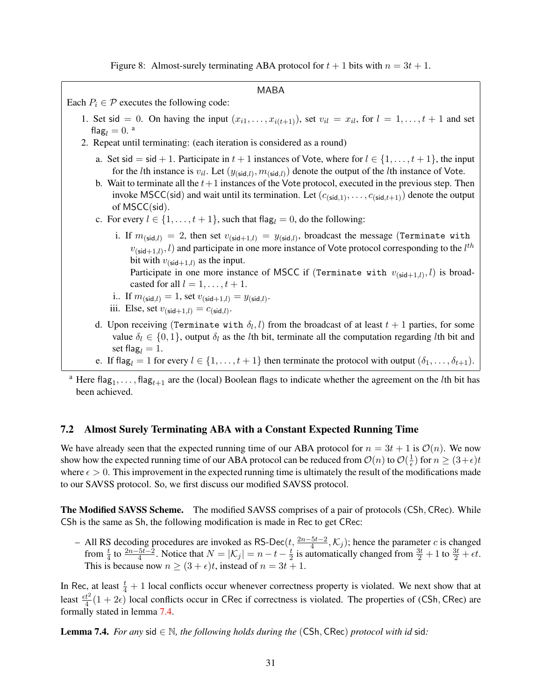Figure 8: Almost-surely terminating ABA protocol for  $t + 1$  bits with  $n = 3t + 1$ .

<span id="page-30-0"></span>

| MABA                                                                                                                                                                                                                                                                                                                                                                                                                                                                                                                                                                                                                     |  |  |  |  |  |
|--------------------------------------------------------------------------------------------------------------------------------------------------------------------------------------------------------------------------------------------------------------------------------------------------------------------------------------------------------------------------------------------------------------------------------------------------------------------------------------------------------------------------------------------------------------------------------------------------------------------------|--|--|--|--|--|
| Each $P_i \in \mathcal{P}$ executes the following code:                                                                                                                                                                                                                                                                                                                                                                                                                                                                                                                                                                  |  |  |  |  |  |
| 1. Set sid = 0. On having the input $(x_{i1},,x_{i(t+1)})$ , set $v_{il} = x_{il}$ , for $l = 1,,t+1$ and set<br>flag <sub>l</sub> = $0$ . <sup>a</sup><br>2. Repeat until terminating: (each iteration is considered as a round)                                                                                                                                                                                                                                                                                                                                                                                        |  |  |  |  |  |
| a. Set sid = sid + 1. Participate in $t + 1$ instances of Vote, where for $l \in \{1, , t + 1\}$ , the input<br>for the <i>l</i> th instance is $v_{il}$ . Let $(y_{(\text{sid},l)}, m_{(\text{sid},l)})$ denote the output of the <i>l</i> th instance of Vote.<br>b. Wait to terminate all the $t+1$ instances of the Vote protocol, executed in the previous step. Then<br>invoke MSCC(sid) and wait until its termination. Let $(c_{\text{(sid,1)}}, \ldots, c_{\text{(sid,t+1)}})$ denote the output<br>of $MSCC(side)$ .<br>c. For every $l \in \{1, , t+1\}$ , such that flag <sub>l</sub> = 0, do the following: |  |  |  |  |  |
| i. If $m_{(\text{sid},l)} = 2$ , then set $v_{(\text{sid}+1,l)} = y_{(\text{sid},l)}$ , broadcast the message (Terminate with<br>$v_{(\text{sid}+1,l)}, l$ and participate in one more instance of Vote protocol corresponding to the $l^{th}$<br>bit with $v_{\text{(sid+1,l)}}$ as the input.<br>Participate in one more instance of MSCC if (Terminate with $v_{\text{(sid+1,l)}}, l$ ) is broad-<br>casted for all $l = 1, \ldots, t + 1$ .<br>i If $m_{(\text{sid},l)} = 1$ , set $v_{(\text{sid}+1,l)} = y_{(\text{sid},l)}$ .<br>iii. Else, set $v_{(\text{sid}+1,l)} = c_{(\text{sid},l)}$ .                     |  |  |  |  |  |
| d. Upon receiving (Terminate with $\delta_l$ , l) from the broadcast of at least $t+1$ parties, for some<br>value $\delta_l \in \{0,1\}$ , output $\delta_l$ as the <i>l</i> th bit, terminate all the computation regarding <i>l</i> th bit and<br>set flag <sub>l</sub> = 1.<br>e. If flag <sub>l</sub> = 1 for every $l \in \{1, , t + 1\}$ then terminate the protocol with output $(\delta_1, , \delta_{t+1})$ .                                                                                                                                                                                                    |  |  |  |  |  |
| <sup>a</sup> Here flor<br>flag see the (local) Roolean flags to indicate whether the agreement on the lth bit has                                                                                                                                                                                                                                                                                                                                                                                                                                                                                                        |  |  |  |  |  |

<sup>a</sup> Here flag<sub>1</sub>,..., flag<sub>t+1</sub> are the (local) Boolean flags to indicate whether the agreement on the *l*th bit has been achieved.

#### 7.2 Almost Surely Terminating ABA with a Constant Expected Running Time

We have already seen that the expected running time of our ABA protocol for  $n = 3t + 1$  is  $\mathcal{O}(n)$ . We now show how the expected running time of our ABA protocol can be reduced from  $\mathcal{O}(n)$  to  $\mathcal{O}(\frac{1}{\epsilon})$  $(\frac{1}{\epsilon})$  for  $n \geq (3+\epsilon)t$ where  $\epsilon > 0$ . This improvement in the expected running time is ultimately the result of the modifications made to our SAVSS protocol. So, we first discuss our modified SAVSS protocol.

The Modified SAVSS Scheme. The modified SAVSS comprises of a pair of protocols (CSh, CRec). While CSh is the same as Sh, the following modification is made in Rec to get CRec:

– All RS decoding procedures are invoked as RS-Dec(t,  $\frac{2n-5t-2}{4}$ , K<sub>j</sub>); hence the parameter c is changed from  $\frac{t}{4}$  to  $\frac{2n-5t-2}{4}$ . Notice that  $N = |\mathcal{K}_j| = n - t - \frac{t}{2}$  $\frac{t}{2}$  is automatically changed from  $\frac{3t}{2}+1$  to  $\frac{3t}{2}+\epsilon t$ . This is because now  $n \ge (3 + \epsilon)t$ , instead of  $n = 3t + 1$ .

In Rec, at least  $\frac{t}{4} + 1$  local conflicts occur whenever correctness property is violated. We next show that at least  $\frac{et^2}{4}(1+2\epsilon)$  local conflicts occur in CRec if correctness is violated. The properties of (CSh, CRec) are formally stated in lemma [7.4.](#page-30-1)

<span id="page-30-1"></span>**Lemma 7.4.** *For any* sid  $\in \mathbb{N}$ *, the following holds during the* (CSh, CRec) *protocol with id* sid: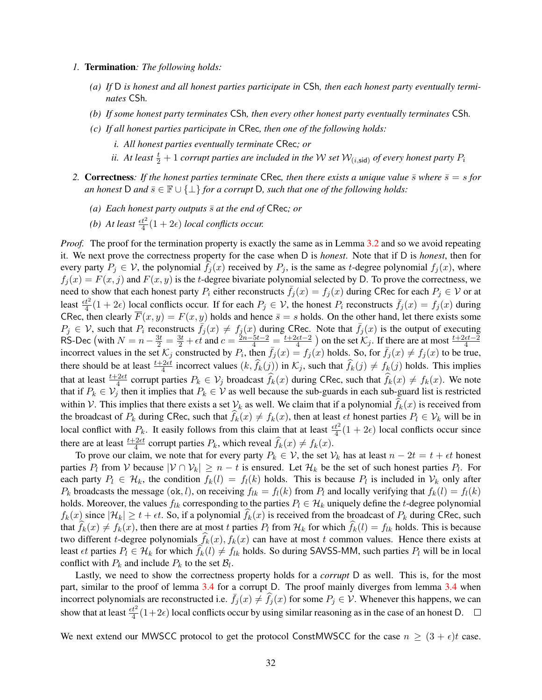- *1.* Termination*: The following holds:*
	- *(a) If* D *is honest and all honest parties participate in* CSh*, then each honest party eventually terminates* CSh*.*
	- *(b) If some honest party terminates* CSh*, then every other honest party eventually terminates* CSh*.*
	- *(c) If all honest parties participate in* CRec*, then one of the following holds:*
		- *i. All honest parties eventually terminate* CRec*; or*
		- *ii. At least*  $\frac{t}{2}+1$  *corrupt parties are included in the W set*  $\mathcal{W}_{(i,\mathsf{sid})}$  *of every honest party*  $P_i$
- 2. **Correctness**: If the honest parties terminate CRec, then there exists a unique value  $\bar{s}$  where  $\bar{s} = s$  for *an honest* D *and*  $\bar{s} \in \mathbb{F} \cup \{\perp\}$  *for a corrupt* D, *such that one of the following holds:* 
	- *(a) Each honest party outputs*  $\bar{s}$  *at the end of* CRec; *or*
	- (b) At least  $\frac{\epsilon t^2}{4}(1+2\epsilon)$  *local conflicts occur.*

*Proof.* The proof for the termination property is exactly the same as in Lemma [3.2](#page-6-0) and so we avoid repeating it. We next prove the correctness property for the case when D is *honest*. Note that if D is *honest*, then for every party  $P_i \in V$ , the polynomial  $f_i(x)$  received by  $P_i$ , is the same as t-degree polynomial  $f_i(x)$ , where  $f_i(x) = F(x, j)$  and  $F(x, y)$  is the t-degree bivariate polynomial selected by D. To prove the correctness, we need to show that each honest party  $P_i$  either reconstructs  $\bar{f}_j(x) = f_j(x)$  during CRec for each  $P_j \in V$  or at least  $\frac{\epsilon t^2}{4}(1+2\epsilon)$  local conflicts occur. If for each  $P_j \in V$ , the honest  $P_i$  reconstructs  $\bar{f}_j(x) = f_j(x)$  during CRec, then clearly  $\overline{F}(x, y) = F(x, y)$  holds and hence  $\overline{s} = s$  holds. On the other hand, let there exists some  $P_j \in V$ , such that  $P_i$  reconstructs  $\bar{f}_j(x) \neq f_j(x)$  during CRec. Note that  $\bar{f}_j(x)$  is the output of executing RS-Dec (with  $N = n - \frac{3t}{2} = \frac{3t}{2} + \epsilon t$  and  $c = \frac{2n - 5t - 2}{4} = \frac{t + 2\epsilon t - 2}{4}$  $\frac{\epsilon t - 2}{4}$ ) on the set  $\mathcal{K}_j$ . If there are at most  $\frac{t+2\epsilon t-2}{4}$ incorrect values in the set  $\mathcal{K}_j$  constructed by  $P_i$ , then  $\bar{f}_j(x) = f_j(x)$  holds. So, for  $\bar{f}_j(x) \neq f_j(x)$  to be true, there should be at least  $\frac{t+2\epsilon t}{4}$  incorrect values  $(k, \hat{f}_k(j))$  in  $\mathcal{K}_j$ , such that  $\hat{f}_k(j) \neq f_k(j)$  holds. This implies that at least  $\frac{t+2\epsilon t}{4}$  corrupt parties  $P_k \in V_j$  broadcast  $\hat{f}_k(x)$  during CRec, such that  $\hat{f}_k(x) \neq f_k(x)$ . We note that if  $P_k \in V_j$  then it implies that  $P_k \in V$  as well because the sub-guards in each sub-guard list is restricted within V. This implies that there exists a set  $V_k$  as well. We claim that if a polynomial  $f_k(x)$  is received from the broadcast of  $P_k$  during CRec, such that  $f_k(x) \neq f_k(x)$ , then at least  $\epsilon t$  honest parties  $P_l \in \mathcal{V}_k$  will be in local conflict with  $P_k$ . It easily follows from this claim that at least  $\frac{\epsilon t^2}{4}(1+2\epsilon)$  local conflicts occur since there are at least  $\frac{t+2\epsilon t}{4}$  corrupt parties  $P_k$ , which reveal  $\widehat{f}_k(x) \neq f_k(x)$ .

To prove our claim, we note that for every party  $P_k \in V$ , the set  $V_k$  has at least  $n - 2t = t + \epsilon t$  honest parties  $P_l$  from V because  $|V \cap V_k| \ge n - t$  is ensured. Let  $\mathcal{H}_k$  be the set of such honest parties  $P_l$ . For each party  $P_l \in \mathcal{H}_k$ , the condition  $f_k(l) = f_l(k)$  holds. This is because  $P_l$  is included in  $\mathcal{V}_k$  only after  $P_k$  broadcasts the message (ok, l), on receiving  $f_{lk} = f_l(k)$  from  $P_l$  and locally verifying that  $f_k(l) = f_l(k)$ holds. Moreover, the values  $f_{lk}$  corresponding to the parties  $P_l \in \mathcal{H}_k$  uniquely define the t-degree polynomial  $f_k(x)$  since  $|\mathcal{H}_k| \ge t + \epsilon t$ . So, if a polynomial  $f_k(x)$  is received from the broadcast of  $P_k$  during CRec, such that  $f_k(x) \neq f_k(x)$ , then there are at most t parties  $P_l$  from  $\mathcal{H}_k$  for which  $f_k(l) = f_{lk}$  holds. This is because two different *t*-degree polynomials  $f_k(x)$ ,  $f_k(x)$  can have at most *t* common values. Hence there exists at least  $\epsilon t$  parties  $P_l \in \mathcal{H}_k$  for which  $f_k(l) \neq f_{lk}$  holds. So during SAVSS-MM, such parties  $P_l$  will be in local conflict with  $P_k$  and include  $P_k$  to the set  $\mathcal{B}_l$ .

Lastly, we need to show the correctness property holds for a *corrupt* D as well. This is, for the most part, similar to the proof of lemma [3.4](#page-9-0) for a corrupt D. The proof mainly diverges from lemma [3.4](#page-9-0) when incorrect polynomials are reconstructed i.e.  $\bar{f}_j(x) \neq \hat{f}_j(x)$  for some  $P_j \in \mathcal{V}$ . Whenever this happens, we can show that at least  $\frac{et^2}{4}(1+2\epsilon)$  local conflicts occur by using similar reasoning as in the case of an honest D.

We next extend our MWSCC protocol to get the protocol ConstMWSCC for the case  $n \geq (3 + \epsilon)t$  case.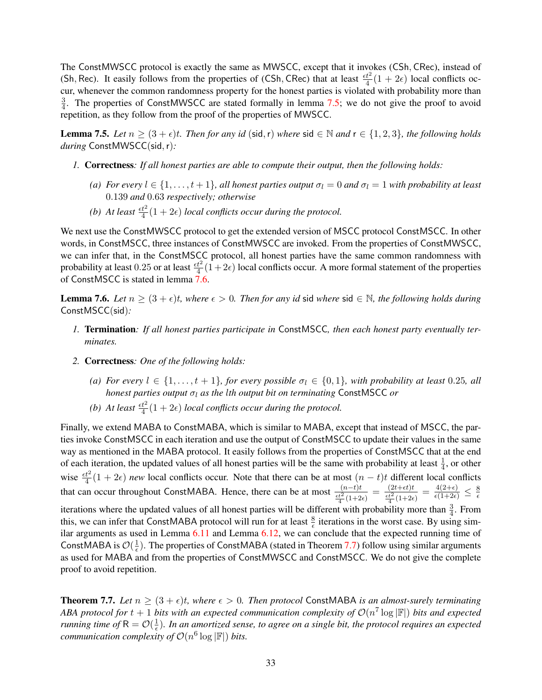The ConstMWSCC protocol is exactly the same as MWSCC, except that it invokes (CSh, CRec), instead of (Sh, Rec). It easily follows from the properties of (CSh, CRec) that at least  $\frac{\epsilon t^2}{4}(1+2\epsilon)$  local conflicts occur, whenever the common randomness property for the honest parties is violated with probability more than 3  $\frac{3}{4}$ . The properties of ConstMWSCC are stated formally in lemma [7.5;](#page-32-0) we do not give the proof to avoid repetition, as they follow from the proof of the properties of MWSCC.

<span id="page-32-0"></span>**Lemma 7.5.** *Let*  $n \geq (3 + \epsilon)t$ *. Then for any id* (sid, r) *where* sid ∈ N *and*  $r \in \{1, 2, 3\}$ *, the following holds during* ConstMWSCC(sid,r)*:*

- *1.* Correctness*: If all honest parties are able to compute their output, then the following holds:*
	- *(a) For every*  $l \in \{1, \ldots, t+1\}$ *, all honest parties output*  $\sigma_l = 0$  *and*  $\sigma_l = 1$  *with probability at least* 0.139 *and* 0.63 *respectively; otherwise*
	- (b) At least  $\frac{et^2}{4}(1+2\epsilon)$  *local conflicts occur during the protocol.*

We next use the ConstMWSCC protocol to get the extended version of MSCC protocol ConstMSCC. In other words, in ConstMSCC, three instances of ConstMWSCC are invoked. From the properties of ConstMWSCC, we can infer that, in the ConstMSCC protocol, all honest parties have the same common randomness with probability at least 0.25 or at least  $\frac{t^2}{4}(1+2\epsilon)$  local conflicts occur. A more formal statement of the properties of ConstMSCC is stated in lemma [7.6.](#page-32-1)

<span id="page-32-1"></span>**Lemma 7.6.** *Let*  $n \geq (3 + \epsilon)t$ *, where*  $\epsilon > 0$ *. Then for any id* sid *where* sid ∈ N*, the following holds during* ConstMSCC(sid)*:*

- *1.* Termination*: If all honest parties participate in* ConstMSCC*, then each honest party eventually terminates.*
- *2.* Correctness*: One of the following holds:*
	- *(a) For every*  $l \in \{1, \ldots, t+1\}$ *, for every possible*  $\sigma_l \in \{0, 1\}$ *, with probability at least* 0.25*, all honest parties output*  $σ<sub>l</sub>$  *as the lth output bit on terminating* ConstMSCC *or*
	- (b) At least  $\frac{e^{2}}{4}(1+2\epsilon)$  *local conflicts occur during the protocol.*

Finally, we extend MABA to ConstMABA, which is similar to MABA, except that instead of MSCC, the parties invoke ConstMSCC in each iteration and use the output of ConstMSCC to update their values in the same way as mentioned in the MABA protocol. It easily follows from the properties of ConstMSCC that at the end of each iteration, the updated values of all honest parties will be the same with probability at least  $\frac{1}{4}$ , or other wise  $\frac{\epsilon t^2}{4}(1+2\epsilon)$  *new* local conflicts occur. Note that there can be at most  $(n-t)t$  different local conflicts wise that can occur throughout ConstMABA. Hence, there can be at most  $\frac{(n-t)t}{\frac{\epsilon t^2}{4}(1+2\epsilon)} = \frac{(2t+\epsilon t)t}{\frac{\epsilon t^2}{4}(1+2\epsilon)}$  $\frac{(2t+\epsilon t)t}{\frac{\epsilon t^2}{4}(1+2\epsilon)} = \frac{4(2+\epsilon)}{\epsilon(1+2\epsilon)} \leq \frac{8}{\epsilon}$  $\epsilon$ iterations where the updated values of all honest parties will be different with probability more than  $\frac{3}{4}$ . From this, we can infer that ConstMABA protocol will run for at least  $\frac{8}{6}$  iterations in the worst case. By using similar arguments as used in Lemma [6.11](#page-26-2) and Lemma [6.12,](#page-27-0) we can conclude that the expected running time of ConstMABA is  $\mathcal{O}(\frac{1}{\epsilon})$  $\frac{1}{\epsilon}$ ). The properties of ConstMABA (stated in Theorem [7.7\)](#page-32-2) follow using similar arguments as used for MABA and from the properties of ConstMWSCC and ConstMSCC. We do not give the complete proof to avoid repetition.

<span id="page-32-2"></span>**Theorem 7.7.** Let  $n \geq (3 + \epsilon)t$ , where  $\epsilon > 0$ . Then protocol ConstMABA is an almost-surely terminating ABA protocol for  $t + 1$  bits with an expected communication complexity of  $\mathcal{O}(n^7 \log |\mathbb{F}|)$  bits and expected *running time of*  $R = \mathcal{O}(\frac{1}{\epsilon})$  $\frac{1}{\epsilon}$ ). In an amortized sense, to agree on a single bit, the protocol requires an expected *communication complexity of*  $O(n^6 \log |\mathbb{F}|)$  *bits.*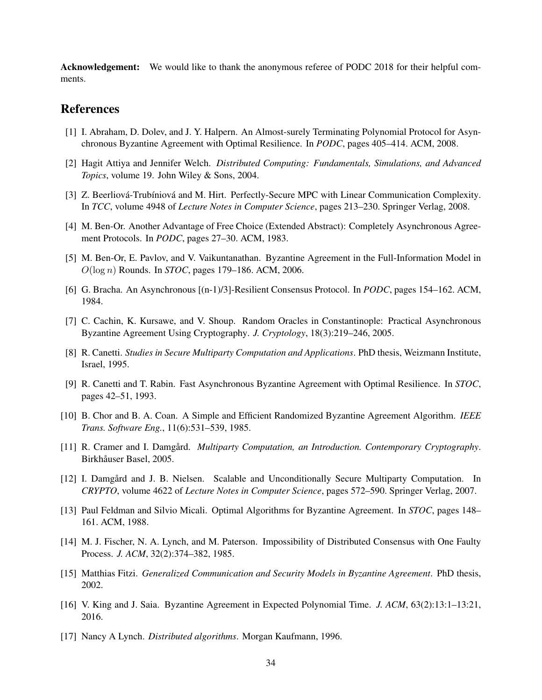Acknowledgement: We would like to thank the anonymous referee of PODC 2018 for their helpful comments.

# References

- <span id="page-33-8"></span>[1] I. Abraham, D. Dolev, and J. Y. Halpern. An Almost-surely Terminating Polynomial Protocol for Asynchronous Byzantine Agreement with Optimal Resilience. In *PODC*, pages 405–414. ACM, 2008.
- <span id="page-33-2"></span>[2] Hagit Attiya and Jennifer Welch. *Distributed Computing: Fundamentals, Simulations, and Advanced Topics*, volume 19. John Wiley & Sons, 2004.
- <span id="page-33-16"></span>[3] Z. Beerliová-Trubíniová and M. Hirt. Perfectly-Secure MPC with Linear Communication Complexity. In *TCC*, volume 4948 of *Lecture Notes in Computer Science*, pages 213–230. Springer Verlag, 2008.
- <span id="page-33-4"></span>[4] M. Ben-Or. Another Advantage of Free Choice (Extended Abstract): Completely Asynchronous Agreement Protocols. In *PODC*, pages 27–30. ACM, 1983.
- <span id="page-33-11"></span>[5] M. Ben-Or, E. Pavlov, and V. Vaikuntanathan. Byzantine Agreement in the Full-Information Model in O(log n) Rounds. In *STOC*, pages 179–186. ACM, 2006.
- <span id="page-33-5"></span>[6] G. Bracha. An Asynchronous [(n-1)/3]-Resilient Consensus Protocol. In *PODC*, pages 154–162. ACM, 1984.
- <span id="page-33-13"></span>[7] C. Cachin, K. Kursawe, and V. Shoup. Random Oracles in Constantinople: Practical Asynchronous Byzantine Agreement Using Cryptography. *J. Cryptology*, 18(3):219–246, 2005.
- <span id="page-33-7"></span>[8] R. Canetti. *Studies in Secure Multiparty Computation and Applications*. PhD thesis, Weizmann Institute, Israel, 1995.
- <span id="page-33-6"></span>[9] R. Canetti and T. Rabin. Fast Asynchronous Byzantine Agreement with Optimal Resilience. In *STOC*, pages 42–51, 1993.
- <span id="page-33-10"></span>[10] B. Chor and B. A. Coan. A Simple and Efficient Randomized Byzantine Agreement Algorithm. *IEEE Trans. Software Eng.*, 11(6):531–539, 1985.
- <span id="page-33-14"></span>[11] R. Cramer and I. Damgård. *Multiparty Computation, an Introduction. Contemporary Cryptography*. Birkhåuser Basel, 2005.
- <span id="page-33-15"></span>[12] I. Damgård and J. B. Nielsen. Scalable and Unconditionally Secure Multiparty Computation. In *CRYPTO*, volume 4622 of *Lecture Notes in Computer Science*, pages 572–590. Springer Verlag, 2007.
- <span id="page-33-9"></span>[13] Paul Feldman and Silvio Micali. Optimal Algorithms for Byzantine Agreement. In *STOC*, pages 148– 161. ACM, 1988.
- <span id="page-33-3"></span>[14] M. J. Fischer, N. A. Lynch, and M. Paterson. Impossibility of Distributed Consensus with One Faulty Process. *J. ACM*, 32(2):374–382, 1985.
- <span id="page-33-1"></span>[15] Matthias Fitzi. *Generalized Communication and Security Models in Byzantine Agreement*. PhD thesis, 2002.
- <span id="page-33-12"></span>[16] V. King and J. Saia. Byzantine Agreement in Expected Polynomial Time. *J. ACM*, 63(2):13:1–13:21, 2016.
- <span id="page-33-0"></span>[17] Nancy A Lynch. *Distributed algorithms*. Morgan Kaufmann, 1996.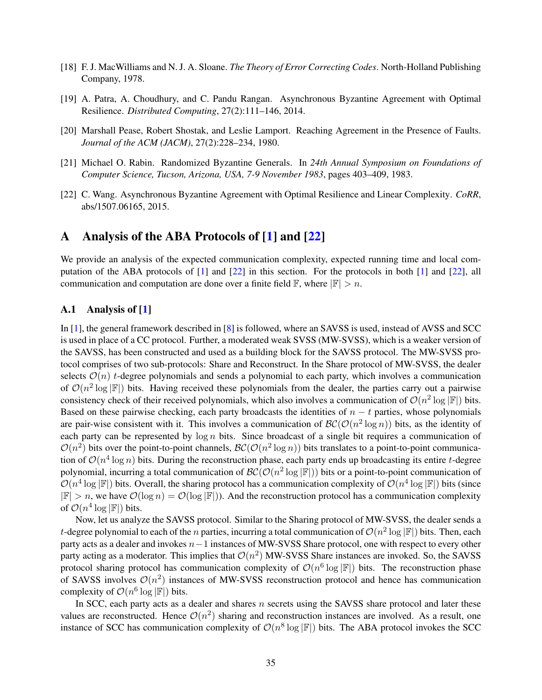- <span id="page-34-5"></span>[18] F. J. MacWilliams and N. J. A. Sloane. *The Theory of Error Correcting Codes*. North-Holland Publishing Company, 1978.
- <span id="page-34-2"></span>[19] A. Patra, A. Choudhury, and C. Pandu Rangan. Asynchronous Byzantine Agreement with Optimal Resilience. *Distributed Computing*, 27(2):111–146, 2014.
- <span id="page-34-0"></span>[20] Marshall Pease, Robert Shostak, and Leslie Lamport. Reaching Agreement in the Presence of Faults. *Journal of the ACM (JACM)*, 27(2):228–234, 1980.
- <span id="page-34-1"></span>[21] Michael O. Rabin. Randomized Byzantine Generals. In *24th Annual Symposium on Foundations of Computer Science, Tucson, Arizona, USA, 7-9 November 1983*, pages 403–409, 1983.
- <span id="page-34-3"></span>[22] C. Wang. Asynchronous Byzantine Agreement with Optimal Resilience and Linear Complexity. *CoRR*, abs/1507.06165, 2015.

### <span id="page-34-4"></span>A Analysis of the ABA Protocols of [\[1\]](#page-33-8) and [\[22\]](#page-34-3)

We provide an analysis of the expected communication complexity, expected running time and local computation of the ABA protocols of [\[1\]](#page-33-8) and [\[22\]](#page-34-3) in this section. For the protocols in both [\[1\]](#page-33-8) and [\[22\]](#page-34-3), all communication and computation are done over a finite field  $\mathbb{F}$ , where  $|\mathbb{F}| > n$ .

### A.1 Analysis of [\[1\]](#page-33-8)

In [\[1\]](#page-33-8), the general framework described in [\[8\]](#page-33-7) is followed, where an SAVSS is used, instead of AVSS and SCC is used in place of a CC protocol. Further, a moderated weak SVSS (MW-SVSS), which is a weaker version of the SAVSS, has been constructed and used as a building block for the SAVSS protocol. The MW-SVSS protocol comprises of two sub-protocols: Share and Reconstruct. In the Share protocol of MW-SVSS, the dealer selects  $\mathcal{O}(n)$  t-degree polynomials and sends a polynomial to each party, which involves a communication of  $\mathcal{O}(n^2 \log |\mathbb{F}|)$  bits. Having received these polynomials from the dealer, the parties carry out a pairwise consistency check of their received polynomials, which also involves a communication of  $\mathcal{O}(n^2 \log |\mathbb{F}|)$  bits. Based on these pairwise checking, each party broadcasts the identities of  $n - t$  parties, whose polynomials are pair-wise consistent with it. This involves a communication of  $\mathcal{BC}(\mathcal{O}(n^2 \log n))$  bits, as the identity of each party can be represented by  $\log n$  bits. Since broadcast of a single bit requires a communication of  $\mathcal{O}(n^2)$  bits over the point-to-point channels,  $\mathcal{BC}(\mathcal{O}(n^2 \log n))$  bits translates to a point-to-point communication of  $O(n^4 \log n)$  bits. During the reconstruction phase, each party ends up broadcasting its entire t-degree polynomial, incurring a total communication of  $\mathcal{BC}(\mathcal{O}(n^2 \log |\mathbb{F}|))$  bits or a point-to-point communication of  $\mathcal{O}(n^4 \log |\mathbb{F}|)$  bits. Overall, the sharing protocol has a communication complexity of  $\mathcal{O}(n^4 \log |\mathbb{F}|)$  bits (since  $|\mathbb{F}| > n$ , we have  $\mathcal{O}(\log n) = \mathcal{O}(\log |\mathbb{F}|)$ . And the reconstruction protocol has a communication complexity of  $\mathcal{O}(n^4 \log |\mathbb{F}|)$  bits.

Now, let us analyze the SAVSS protocol. Similar to the Sharing protocol of MW-SVSS, the dealer sends a t-degree polynomial to each of the n parties, incurring a total communication of  $\mathcal{O}(n^2 \log |\mathbb{F}|)$  bits. Then, each party acts as a dealer and invokes n−1 instances of MW-SVSS Share protocol, one with respect to every other party acting as a moderator. This implies that  $\mathcal{O}(n^2)$  MW-SVSS Share instances are invoked. So, the SAVSS protocol sharing protocol has communication complexity of  $\mathcal{O}(n^6 \log |\mathbb{F}|)$  bits. The reconstruction phase of SAVSS involves  $\mathcal{O}(n^2)$  instances of MW-SVSS reconstruction protocol and hence has communication complexity of  $\mathcal{O}(n^6 \log |\mathbb{F}|)$  bits.

In SCC, each party acts as a dealer and shares  $n$  secrets using the SAVSS share protocol and later these values are reconstructed. Hence  $\mathcal{O}(n^2)$  sharing and reconstruction instances are involved. As a result, one instance of SCC has communication complexity of  $\mathcal{O}(n^8 \log |\mathbb{F}|)$  bits. The ABA protocol invokes the SCC